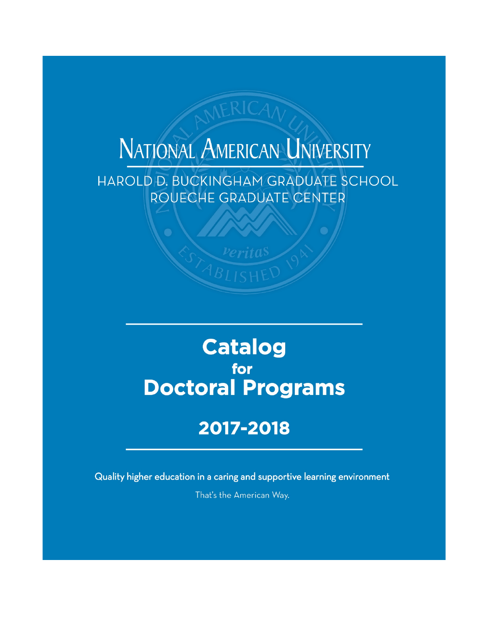# NATIONAL AMERICAN UNIVERSITY

HAROLD D. BUCKINGHAM GRADUATE SCHOOL ROUECHE GRADUATE CENTER

## **Catalog** for **Doctoral Programs**

## 2017-2018

Quality higher education in a caring and supportive learning environment

That's the American Way.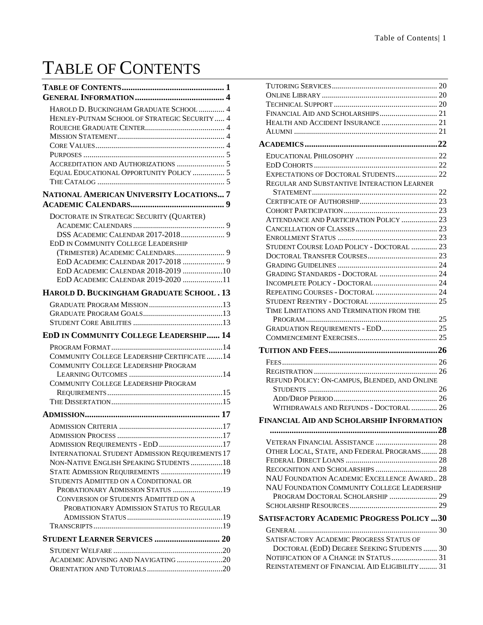## <span id="page-1-0"></span>TABLE OF CONTENTS

| HAROLD D. BUCKINGHAM GRADUATE SCHOOL  4                                                           |  |
|---------------------------------------------------------------------------------------------------|--|
| HENLEY-PUTNAM SCHOOL OF STRATEGIC SECURITY  4                                                     |  |
|                                                                                                   |  |
|                                                                                                   |  |
|                                                                                                   |  |
|                                                                                                   |  |
|                                                                                                   |  |
| EQUAL EDUCATIONAL OPPORTUNITY POLICY  5                                                           |  |
|                                                                                                   |  |
| NATIONAL AMERICAN UNIVERSITY LOCATIONS 7                                                          |  |
|                                                                                                   |  |
| DOCTORATE IN STRATEGIC SECURITY (QUARTER)                                                         |  |
|                                                                                                   |  |
|                                                                                                   |  |
| EDD IN COMMUNITY COLLEGE LEADERSHIP                                                               |  |
|                                                                                                   |  |
|                                                                                                   |  |
| EDD ACADEMIC CALENDAR 2018-2019 10                                                                |  |
| EDD ACADEMIC CALENDAR 2019-2020 11                                                                |  |
| HAROLD D. BUCKINGHAM GRADUATE SCHOOL . 13                                                         |  |
|                                                                                                   |  |
|                                                                                                   |  |
|                                                                                                   |  |
|                                                                                                   |  |
|                                                                                                   |  |
| EDD IN COMMUNITY COLLEGE LEADERSHIP 14                                                            |  |
|                                                                                                   |  |
| COMMUNITY COLLEGE LEADERSHIP CERTIFICATE  14                                                      |  |
| COMMUNITY COLLEGE LEADERSHIP PROGRAM                                                              |  |
| COMMUNITY COLLEGE LEADERSHIP PROGRAM                                                              |  |
|                                                                                                   |  |
|                                                                                                   |  |
|                                                                                                   |  |
|                                                                                                   |  |
|                                                                                                   |  |
|                                                                                                   |  |
| ADMISSION REQUIREMENTS - EDD 17                                                                   |  |
| <b>INTERNATIONAL STUDENT ADMISSION REQUIREMENTS 17</b><br>NON-NATIVE ENGLISH SPEAKING STUDENTS 18 |  |
| STATE ADMISSION REQUIREMENTS 19                                                                   |  |
| STUDENTS ADMITTED ON A CONDITIONAL OR                                                             |  |
| PROBATIONARY ADMISSION STATUS 19                                                                  |  |
| CONVERSION OF STUDENTS ADMITTED ON A                                                              |  |
| PROBATIONARY ADMISSION STATUS TO REGULAR                                                          |  |
|                                                                                                   |  |
|                                                                                                   |  |
| STUDENT LEARNER SERVICES  20                                                                      |  |
|                                                                                                   |  |
| ACADEMIC ADVISING AND NAVIGATING 20                                                               |  |

| EXPECTATIONS OF DOCTORAL STUDENTS 22             |
|--------------------------------------------------|
| REGULAR AND SUBSTANTIVE INTERACTION LEARNER      |
|                                                  |
|                                                  |
|                                                  |
| ATTENDANCE AND PARTICIPATION POLICY  23          |
|                                                  |
|                                                  |
| STUDENT COURSE LOAD POLICY - DOCTORAL  23        |
|                                                  |
|                                                  |
|                                                  |
|                                                  |
|                                                  |
|                                                  |
| TIME LIMITATIONS AND TERMINATION FROM THE        |
|                                                  |
| GRADUATION REQUIREMENTS - EDD 25                 |
|                                                  |
|                                                  |
|                                                  |
|                                                  |
| REFUND POLICY: ON-CAMPUS, BLENDED, AND ONLINE    |
|                                                  |
|                                                  |
| WITHDRAWALS AND REFUNDS - DOCTORAL  26           |
| <b>FINANCIAL AID AND SCHOLARSHIP INFORMATION</b> |
|                                                  |
|                                                  |
| OTHER LOCAL, STATE, AND FEDERAL PROGRAMS 28      |
|                                                  |
|                                                  |
| NAU FOUNDATION ACADEMIC EXCELLENCE AWARD 28      |
| NAU FOUNDATION COMMUNITY COLLEGE LEADERSHIP      |
| PROGRAM DOCTORAL SCHOLARSHIP  29                 |
|                                                  |
| <b>SATISFACTORY ACADEMIC PROGRESS POLICY 30</b>  |
|                                                  |
| SATISFACTORY ACADEMIC PROGRESS STATUS OF         |
| DOCTORAL (EDD) DEGREE SEEKING STUDENTS  30       |
|                                                  |
| REINSTATEMENT OF FINANCIAL AID ELIGIBILITY 31    |
|                                                  |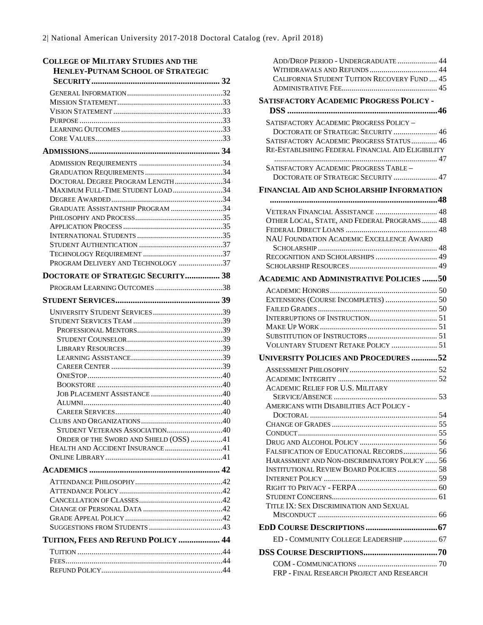| <b>COLLEGE OF MILITARY STUDIES AND THE</b><br><b>HENLEY-PUTNAM SCHOOL OF STRATEGIC</b> |  |
|----------------------------------------------------------------------------------------|--|
|                                                                                        |  |
|                                                                                        |  |
|                                                                                        |  |
|                                                                                        |  |
|                                                                                        |  |
|                                                                                        |  |
|                                                                                        |  |
|                                                                                        |  |
|                                                                                        |  |
|                                                                                        |  |
| DOCTORAL DEGREE PROGRAM LENGTH34                                                       |  |
| MAXIMUM FULL-TIME STUDENT LOAD34                                                       |  |
|                                                                                        |  |
| GRADUATE ASSISTANTSHIP PROGRAM 34                                                      |  |
|                                                                                        |  |
|                                                                                        |  |
|                                                                                        |  |
|                                                                                        |  |
|                                                                                        |  |
| PROGRAM DELIVERY AND TECHNOLOGY 37                                                     |  |
| DOCTORATE OF STRATEGIC SECURITY 38                                                     |  |
|                                                                                        |  |
|                                                                                        |  |
|                                                                                        |  |
|                                                                                        |  |
|                                                                                        |  |
|                                                                                        |  |
|                                                                                        |  |
|                                                                                        |  |
|                                                                                        |  |
|                                                                                        |  |
|                                                                                        |  |
|                                                                                        |  |
| ALUMNL.                                                                                |  |
|                                                                                        |  |
|                                                                                        |  |
| STUDENT VETERANS ASSOCIATION40                                                         |  |
| ORDER OF THE SWORD AND SHIELD (OSS) 41                                                 |  |
| HEALTH AND ACCIDENT INSURANCE41                                                        |  |
|                                                                                        |  |
|                                                                                        |  |
|                                                                                        |  |
|                                                                                        |  |
|                                                                                        |  |
|                                                                                        |  |
|                                                                                        |  |
|                                                                                        |  |
| TUITION, FEES AND REFUND POLICY  44                                                    |  |
|                                                                                        |  |
|                                                                                        |  |
|                                                                                        |  |

| ADD/DROP PERIOD - UNDERGRADUATE 44<br>CALIFORNIA STUDENT TUITION RECOVERY FUND  45             |
|------------------------------------------------------------------------------------------------|
|                                                                                                |
| <b>SATISFACTORY ACADEMIC PROGRESS POLICY -</b>                                                 |
| SATISFACTORY ACADEMIC PROGRESS POLICY -<br>DOCTORATE OF STRATEGIC SECURITY  46                 |
| SATISFACTORY ACADEMIC PROGRESS STATUS  46<br>RE-ESTABLISHING FEDERAL FINANCIAL AID ELIGIBILITY |
| SATISFACTORY ACADEMIC PROGRESS TABLE -<br>DOCTORATE OF STRATEGIC SECURITY  47                  |
| <b>FINANCIAL AID AND SCHOLARSHIP INFORMATION</b>                                               |
|                                                                                                |
| VETERAN FINANCIAL ASSISTANCE  48                                                               |
| OTHER LOCAL, STATE, AND FEDERAL PROGRAMS 48                                                    |
|                                                                                                |
| NAU FOUNDATION ACADEMIC EXCELLENCE AWARD                                                       |
|                                                                                                |
|                                                                                                |
| <b>ACADEMIC AND ADMINISTRATIVE POLICIES 50</b>                                                 |
|                                                                                                |
| EXTENSIONS (COURSE INCOMPLETES)  50                                                            |
|                                                                                                |
|                                                                                                |
|                                                                                                |
|                                                                                                |
| VOLUNTARY STUDENT RETAKE POLICY  51                                                            |
| UNIVERSITY POLICIES AND PROCEDURES 52                                                          |
|                                                                                                |
| <b>ACADEMIC RELIEF FOR U.S. MILITARY</b>                                                       |
| AMERICANS WITH DISABILITIES ACT POLICY -                                                       |
|                                                                                                |
|                                                                                                |
|                                                                                                |
| FALSIFICATION OF EDUCATIONAL RECORDS 56                                                        |
| HARASSMENT AND NON-DISCRIMINATORY POLICY  56                                                   |
| <b>INSTITUTIONAL REVIEW BOARD POLICIES  58</b>                                                 |
|                                                                                                |
|                                                                                                |
|                                                                                                |
| TITLE IX: SEX DISCRIMINATION AND SEXUAL                                                        |
|                                                                                                |
| ED - COMMUNITY COLLEGE LEADERSHIP 67                                                           |
|                                                                                                |
| FRP - FINAL RESEARCH PROJECT AND RESEARCH                                                      |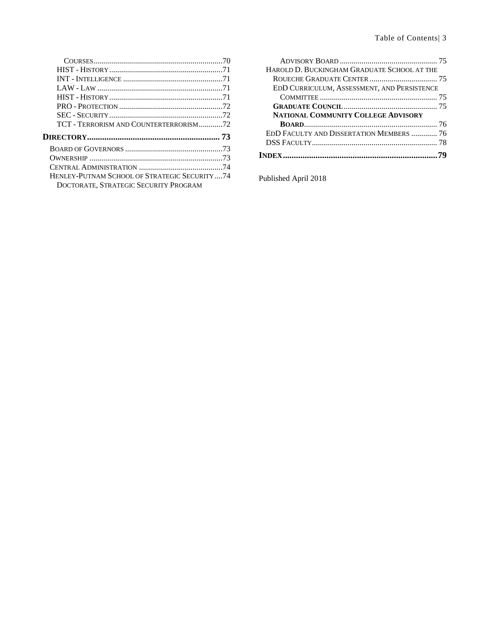| TCT - TERRORISM AND COUNTERTERRORISM72                                                  |  |
|-----------------------------------------------------------------------------------------|--|
|                                                                                         |  |
|                                                                                         |  |
|                                                                                         |  |
|                                                                                         |  |
|                                                                                         |  |
| HENLEY-PUTNAM SCHOOL OF STRATEGIC SECURITY  74<br>DOCTORATE, STRATEGIC SECURITY PROGRAM |  |

| HAROLD D. BUCKINGHAM GRADUATE SCHOOL AT THE |  |
|---------------------------------------------|--|
|                                             |  |
| EDD CURRICULUM, ASSESSMENT, AND PERSISTENCE |  |
|                                             |  |
|                                             |  |
| <b>NATIONAL COMMUNITY COLLEGE ADVISORY</b>  |  |
|                                             |  |
| EDD FACULTY AND DISSERTATION MEMBERS  76    |  |
|                                             |  |
|                                             |  |
|                                             |  |

Published April 2018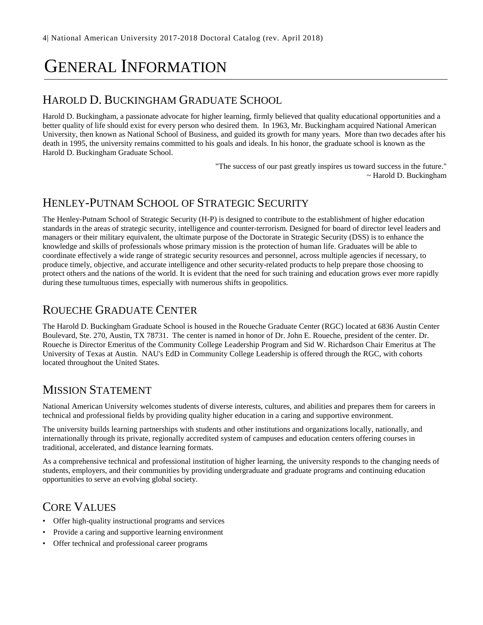## <span id="page-4-0"></span>GENERAL INFORMATION

## <span id="page-4-1"></span>HAROLD D. BUCKINGHAM GRADUATE SCHOOL

Harold D. Buckingham, a passionate advocate for higher learning, firmly believed that quality educational opportunities and a better quality of life should exist for every person who desired them. In 1963, Mr. Buckingham acquired National American University, then known as National School of Business, and guided its growth for many years. More than two decades after his death in 1995, the university remains committed to his goals and ideals. In his honor, the graduate school is known as the Harold D. Buckingham Graduate School.

> "The success of our past greatly inspires us toward success in the future." ~ Harold D. Buckingham

## <span id="page-4-2"></span>HENLEY-PUTNAM SCHOOL OF STRATEGIC SECURITY

The Henley-Putnam School of Strategic Security (H-P) is designed to contribute to the establishment of higher education standards in the areas of strategic security, intelligence and counter-terrorism. Designed for board of director level leaders and managers or their military equivalent, the ultimate purpose of the Doctorate in Strategic Security (DSS) is to enhance the knowledge and skills of professionals whose primary mission is the protection of human life. Graduates will be able to coordinate effectively a wide range of strategic security resources and personnel, across multiple agencies if necessary, to produce timely, objective, and accurate intelligence and other security-related products to help prepare those choosing to protect others and the nations of the world. It is evident that the need for such training and education grows ever more rapidly during these tumultuous times, especially with numerous shifts in geopolitics.

#### <span id="page-4-3"></span>ROUECHE GRADUATE CENTER

The Harold D. Buckingham Graduate School is housed in the Roueche Graduate Center (RGC) located at 6836 Austin Center Boulevard, Ste. 270, Austin, TX 78731. The center is named in honor of Dr. John E. Roueche, president of the center. Dr. Roueche is Director Emeritus of the Community College Leadership Program and Sid W. Richardson Chair Emeritus at The University of Texas at Austin. NAU's EdD in Community College Leadership is offered through the RGC, with cohorts located throughout the United States.

### <span id="page-4-4"></span>MISSION STATEMENT

National American University welcomes students of diverse interests, cultures, and abilities and prepares them for careers in technical and professional fields by providing quality higher education in a caring and supportive environment.

The university builds learning partnerships with students and other institutions and organizations locally, nationally, and internationally through its private, regionally accredited system of campuses and education centers offering courses in traditional, accelerated, and distance learning formats.

As a comprehensive technical and professional institution of higher learning, the university responds to the changing needs of students, employers, and their communities by providing undergraduate and graduate programs and continuing education opportunities to serve an evolving global society.

## <span id="page-4-5"></span>CORE VALUES

- Offer high-quality instructional programs and services
- Provide a caring and supportive learning environment
- Offer technical and professional career programs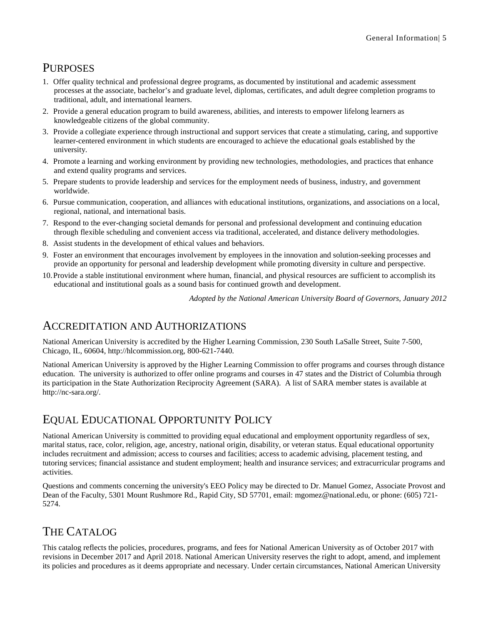## <span id="page-5-0"></span>PURPOSES

- 1. Offer quality technical and professional degree programs, as documented by institutional and academic assessment processes at the associate, bachelor's and graduate level, diplomas, certificates, and adult degree completion programs to traditional, adult, and international learners.
- 2. Provide a general education program to build awareness, abilities, and interests to empower lifelong learners as knowledgeable citizens of the global community.
- 3. Provide a collegiate experience through instructional and support services that create a stimulating, caring, and supportive learner-centered environment in which students are encouraged to achieve the educational goals established by the university.
- 4. Promote a learning and working environment by providing new technologies, methodologies, and practices that enhance and extend quality programs and services.
- 5. Prepare students to provide leadership and services for the employment needs of business, industry, and government worldwide.
- 6. Pursue communication, cooperation, and alliances with educational institutions, organizations, and associations on a local, regional, national, and international basis.
- 7. Respond to the ever-changing societal demands for personal and professional development and continuing education through flexible scheduling and convenient access via traditional, accelerated, and distance delivery methodologies.
- 8. Assist students in the development of ethical values and behaviors.
- 9. Foster an environment that encourages involvement by employees in the innovation and solution-seeking processes and provide an opportunity for personal and leadership development while promoting diversity in culture and perspective.
- 10.Provide a stable institutional environment where human, financial, and physical resources are sufficient to accomplish its educational and institutional goals as a sound basis for continued growth and development.

*Adopted by the National American University Board of Governors, January 2012*

#### <span id="page-5-1"></span>ACCREDITATION AND AUTHORIZATIONS

National American University is accredited by the Higher Learning Commission, 230 South LaSalle Street, Suite 7-500, Chicago, IL, 60604, http://hlcommission.org, 800-621-7440.

National American University is approved by the Higher Learning Commission to offer programs and courses through distance education. The university is authorized to offer online programs and courses in 47 states and the District of Columbia through its participation in the State Authorization Reciprocity Agreement (SARA). A list of SARA member states is available at http://nc-sara.org/.

## <span id="page-5-2"></span>EQUAL EDUCATIONAL OPPORTUNITY POLICY

National American University is committed to providing equal educational and employment opportunity regardless of sex, marital status, race, color, religion, age, ancestry, national origin, disability, or veteran status. Equal educational opportunity includes recruitment and admission; access to courses and facilities; access to academic advising, placement testing, and tutoring services; financial assistance and student employment; health and insurance services; and extracurricular programs and activities.

Questions and comments concerning the university's EEO Policy may be directed to Dr. Manuel Gomez, Associate Provost and Dean of the Faculty, 5301 Mount Rushmore Rd., Rapid City, SD 57701, email: mgomez@national.edu, or phone: (605) 721- 5274.

## <span id="page-5-3"></span>THE CATALOG

This catalog reflects the policies, procedures, programs, and fees for National American University as of October 2017 with revisions in December 2017 and April 2018. National American University reserves the right to adopt, amend, and implement its policies and procedures as it deems appropriate and necessary. Under certain circumstances, National American University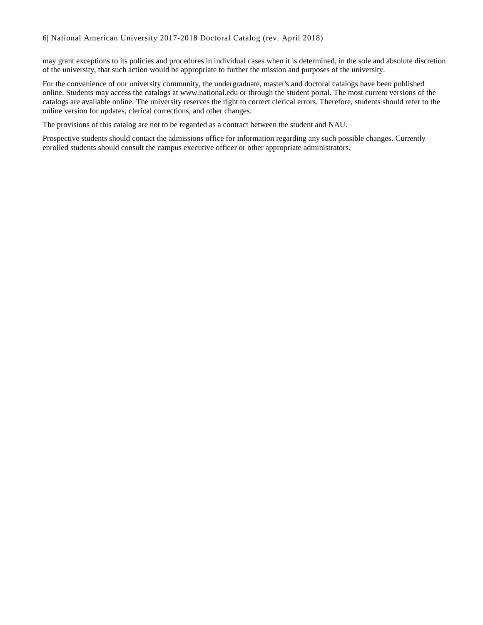may grant exceptions to its policies and procedures in individual cases when it is determined, in the sole and absolute discretion of the university, that such action would be appropriate to further the mission and purposes of the university.

For the convenience of our university community, the undergraduate, master's and doctoral catalogs have been published online. Students may access the catalogs at www.national.edu or through the student portal. The most current versions of the catalogs are available online. The university reserves the right to correct clerical errors. Therefore, students should refer to the online version for updates, clerical corrections, and other changes.

The provisions of this catalog are not to be regarded as a contract between the student and NAU.

Prospective students should contact the admissions office for information regarding any such possible changes. Currently enrolled students should consult the campus executive officer or other appropriate administrators.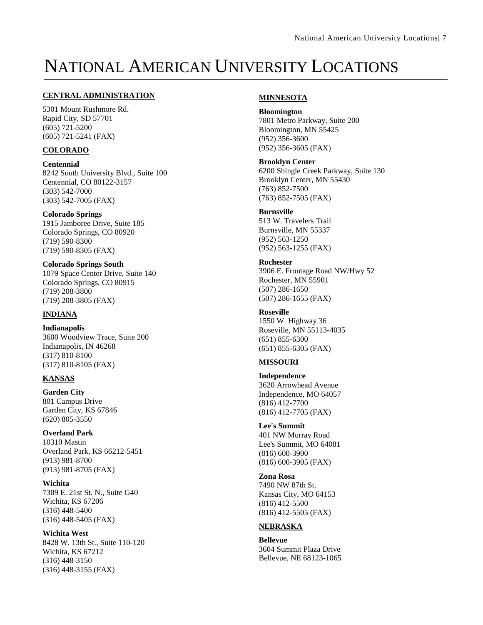## <span id="page-7-0"></span>NATIONAL AMERICAN UNIVERSITY LOCATIONS

#### **CENTRAL ADMINISTRATION**

5301 Mount Rushmore Rd. Rapid City, SD 57701 (605) 721-5200 (605) 721-5241 (FAX)

#### **COLORADO**

**Centennial** 8242 South University Blvd., Suite 100 Centennial, CO 80122-3157 (303) 542-7000 (303) 542-7005 (FAX)

**Colorado Springs** 1915 Jamboree Drive, Suite 185 Colorado Springs, CO 80920 (719) 590-8300 (719) 590-8305 (FAX)

**Colorado Springs South** 1079 Space Center Drive, Suite 140 Colorado Springs, CO 80915 (719) 208-3800 (719) 208-3805 (FAX)

#### **INDIANA**

**Indianapolis** 3600 Woodview Trace, Suite 200 Indianapolis, IN 46268 (317) 810-8100 (317) 810-8105 (FAX)

#### **KANSAS**

**Garden City** 801 Campus Drive Garden City, KS 67846 (620) 805-3550

**Overland Park** 10310 Mastin Overland Park, KS 66212-5451 (913) 981-8700 (913) 981-8705 (FAX)

**Wichita** 7309 E. 21st St. N., Suite G40 Wichita, KS 67206 (316) 448-5400 (316) 448-5405 (FAX)

**Wichita West** 8428 W. 13th St., Suite 110-120 Wichita, KS 67212 (316) 448-3150 (316) 448-3155 (FAX)

#### **MINNESOTA**

**Bloomington** 7801 Metro Parkway, Suite 200 Bloomington, MN 55425 (952) 356-3600 (952) 356-3605 (FAX)

**Brooklyn Center**

6200 Shingle Creek Parkway, Suite 130 Brooklyn Center, MN 55430 (763) 852-7500 (763) 852-7505 (FAX)

**Burnsville** 513 W. Travelers Trail Burnsville, MN 55337 (952) 563-1250 (952) 563-1255 (FAX)

**Rochester** 3906 E. Frontage Road NW/Hwy 52 Rochester, MN 55901 (507) 286-1650 (507) 286-1655 (FAX)

**Roseville** 1550 W. Highway 36 Roseville, MN 55113-4035 (651) 855-6300 (651) 855-6305 (FAX)

#### **MISSOURI**

**Independence** 3620 Arrowhead Avenue Independence, MO 64057 (816) 412-7700 (816) 412-7705 (FAX)

**Lee's Summit** 401 NW Murray Road Lee's Summit, MO 64081 (816) 600-3900 (816) 600-3905 (FAX)

**Zona Rosa** 7490 NW 87th St. Kansas City, MO 64153 (816) 412-5500 (816) 412-5505 (FAX)

#### **NEBRASKA**

**Bellevue** 3604 Summit Plaza Drive Bellevue, NE 68123-1065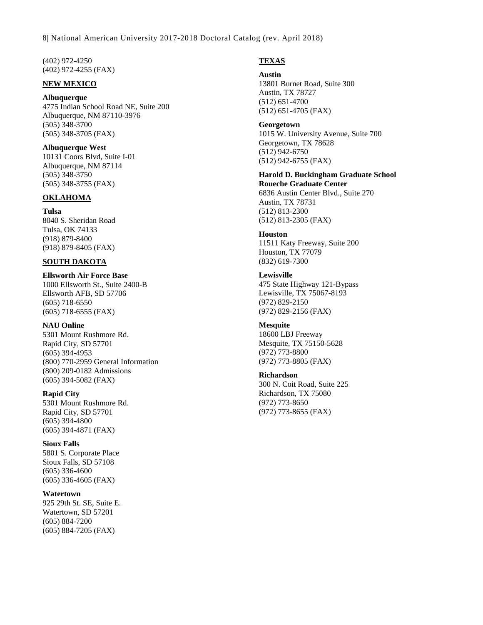8| National American University 2017-2018 Doctoral Catalog (rev. April 2018)

(402) 972-4250 (402) 972-4255 (FAX)

#### **NEW MEXICO**

**Albuquerque** 4775 Indian School Road NE, Suite 200 Albuquerque, NM 87110-3976 (505) 348-3700 (505) 348-3705 (FAX)

**Albuquerque West** 10131 Coors Blvd, Suite I-01 Albuquerque, NM 87114 (505) 348-3750 (505) 348-3755 (FAX)

#### **OKLAHOMA**

**Tulsa** 8040 S. Sheridan Road Tulsa, OK 74133 (918) 879-8400 (918) 879-8405 (FAX)

#### **SOUTH DAKOTA**

**Ellsworth Air Force Base** 1000 Ellsworth St., Suite 2400-B Ellsworth AFB, SD 57706 (605) 718-6550 (605) 718-6555 (FAX)

**NAU Online** 5301 Mount Rushmore Rd. Rapid City, SD 57701 (605) 394-4953 (800) 770-2959 General Information (800) 209-0182 Admissions (605) 394-5082 (FAX)

**Rapid City** 5301 Mount Rushmore Rd. Rapid City, SD 57701 (605) 394-4800 (605) 394-4871 (FAX)

**Sioux Falls** 5801 S. Corporate Place Sioux Falls, SD 57108 (605) 336-4600 (605) 336-4605 (FAX)

**Watertown** 925 29th St. SE, Suite E. Watertown, SD 57201 (605) 884-7200 (605) 884-7205 (FAX)

#### **TEXAS**

#### **Austin**

13801 Burnet Road, Suite 300 Austin, TX 78727 (512) 651-4700 (512) 651-4705 (FAX)

**Georgetown** 1015 W. University Avenue, Suite 700 Georgetown, TX 78628 (512) 942-6750 (512) 942-6755 (FAX)

**Harold D. Buckingham Graduate School Roueche Graduate Center** 6836 Austin Center Blvd., Suite 270 Austin, TX 78731 (512) 813-2300 (512) 813-2305 (FAX)

**Houston** 11511 Katy Freeway, Suite 200 Houston, TX 77079 (832) 619-7300

**Lewisville** 475 State Highway 121-Bypass Lewisville, TX 75067-8193 (972) 829-2150 (972) 829-2156 (FAX)

**Mesquite** 18600 LBJ Freeway Mesquite, TX 75150-5628 (972) 773-8800 (972) 773-8805 (FAX)

**Richardson** 300 N. Coit Road, Suite 225 Richardson, TX 75080 (972) 773-8650 (972) 773-8655 (FAX)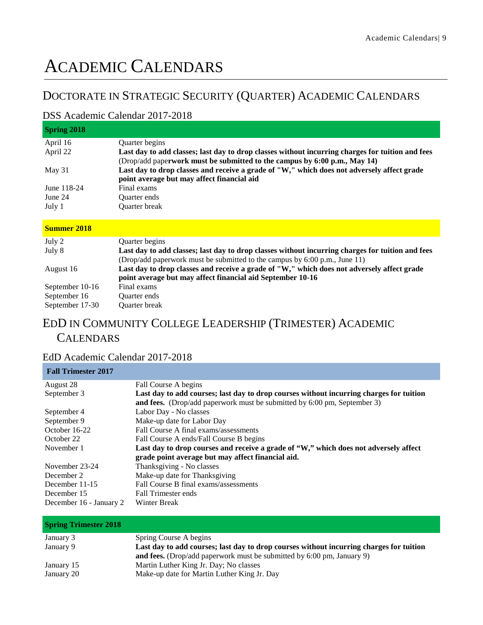## <span id="page-9-0"></span>ACADEMIC CALENDARS

## <span id="page-9-1"></span>DOCTORATE IN STRATEGIC SECURITY (QUARTER) ACADEMIC CALENDARS

#### <span id="page-9-2"></span>DSS Academic Calendar 2017-2018

| <b>Spring 2018</b> |                                                                                                                                                          |
|--------------------|----------------------------------------------------------------------------------------------------------------------------------------------------------|
| April 16           | <b>Ouarter</b> begins                                                                                                                                    |
| April 22           | Last day to add classes; last day to drop classes without incurring charges for tuition and fees                                                         |
|                    | (Drop/add paperwork must be submitted to the campus by 6:00 p.m., May 14)                                                                                |
| May $31$           | Last day to drop classes and receive a grade of "W," which does not adversely affect grade                                                               |
|                    | point average but may affect financial aid                                                                                                               |
| June 118-24        | Final exams                                                                                                                                              |
| June 24            | Quarter ends                                                                                                                                             |
| July 1             | Quarter break                                                                                                                                            |
|                    |                                                                                                                                                          |
| <b>Summer 2018</b> |                                                                                                                                                          |
| July 2             | <b>Ouarter</b> begins                                                                                                                                    |
| July 8             | Last day to add classes; last day to drop classes without incurring charges for tuition and fees                                                         |
|                    | (Drop/add paperwork must be submitted to the campus by 6:00 p.m., June 11)                                                                               |
| August 16          | Last day to drop classes and receive a grade of "W," which does not adversely affect grade<br>point average but may affect financial aid September 10-16 |

## <span id="page-9-3"></span>EDD IN COMMUNITY COLLEGE LEADERSHIP (TRIMESTER) ACADEMIC **CALENDARS**

#### <span id="page-9-4"></span>EdD Academic Calendar 2017-2018

September 10-16 Final exams September 16 Quarter ends September 17-30 Quarter break

**Fall Trimester 2017**

| rall Trilliester 2017   |                                                                                         |
|-------------------------|-----------------------------------------------------------------------------------------|
| August 28               | Fall Course A begins                                                                    |
| September 3             | Last day to add courses; last day to drop courses without incurring charges for tuition |
|                         | and fees. (Drop/add paperwork must be submitted by 6:00 pm, September 3)                |
| September 4             | Labor Day - No classes                                                                  |
| September 9             | Make-up date for Labor Day                                                              |
| October 16-22           | Fall Course A final exams/assessments                                                   |
| October 22              | Fall Course A ends/Fall Course B begins                                                 |
| November 1              | Last day to drop courses and receive a grade of "W," which does not adversely affect    |
|                         | grade point average but may affect financial aid.                                       |
| November 23-24          | Thanksgiving - No classes                                                               |
| December 2              | Make-up date for Thanksgiving                                                           |
| December 11-15          | Fall Course B final exams/assessments                                                   |
| December 15             | <b>Fall Trimester ends</b>                                                              |
| December 16 - January 2 | Winter Break                                                                            |
|                         |                                                                                         |

| <b>Spring Trimester 2018</b> |                                                                                                                                                                          |
|------------------------------|--------------------------------------------------------------------------------------------------------------------------------------------------------------------------|
| January 3                    | Spring Course A begins                                                                                                                                                   |
| January 9                    | Last day to add courses; last day to drop courses without incurring charges for tuition<br><b>and fees.</b> (Drop/add paperwork must be submitted by 6:00 pm, January 9) |
| January 15                   | Martin Luther King Jr. Day; No classes                                                                                                                                   |
| January 20                   | Make-up date for Martin Luther King Jr. Day                                                                                                                              |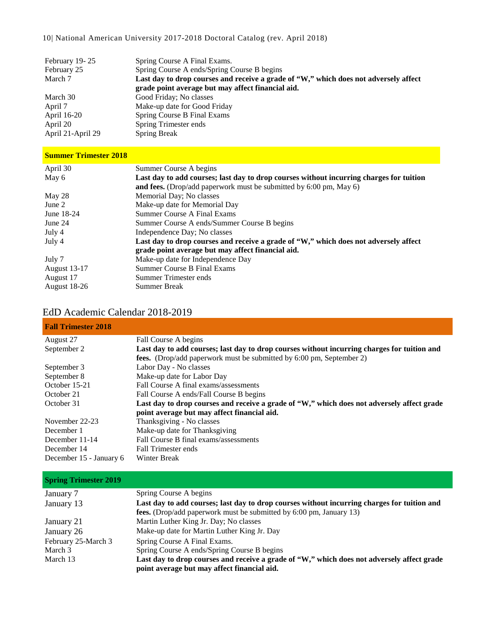#### 10| National American University 2017-2018 Doctoral Catalog (rev. April 2018)

| February 19-25    | Spring Course A Final Exams.                                                         |
|-------------------|--------------------------------------------------------------------------------------|
| February 25       | Spring Course A ends/Spring Course B begins                                          |
| March 7           | Last day to drop courses and receive a grade of "W," which does not adversely affect |
|                   | grade point average but may affect financial aid.                                    |
| March 30          | Good Friday; No classes                                                              |
| April 7           | Make-up date for Good Friday                                                         |
| April 16-20       | Spring Course B Final Exams                                                          |
| April 20          | Spring Trimester ends                                                                |
| April 21-April 29 | <b>Spring Break</b>                                                                  |

#### **Summer Trimester 2018**

| April 30            | Summer Course A begins                                                                  |
|---------------------|-----------------------------------------------------------------------------------------|
| May 6               | Last day to add courses; last day to drop courses without incurring charges for tuition |
|                     | and fees. (Drop/add paperwork must be submitted by 6:00 pm, May 6)                      |
| May 28              | Memorial Day; No classes                                                                |
| June 2              | Make-up date for Memorial Day                                                           |
| June 18-24          | Summer Course A Final Exams                                                             |
| June 24             | Summer Course A ends/Summer Course B begins                                             |
| July 4              | Independence Day; No classes                                                            |
| July 4              | Last day to drop courses and receive a grade of "W," which does not adversely affect    |
|                     | grade point average but may affect financial aid.                                       |
| July 7              | Make-up date for Independence Day                                                       |
| <b>August 13-17</b> | Summer Course B Final Exams                                                             |
| August 17           | Summer Trimester ends                                                                   |
| <b>August 18-26</b> | <b>Summer Break</b>                                                                     |

#### <span id="page-10-0"></span>EdD Academic Calendar 2018-2019

| <b>Fall Trimester 2018</b> |                                                                                             |
|----------------------------|---------------------------------------------------------------------------------------------|
| August 27                  | Fall Course A begins                                                                        |
| September 2                | Last day to add courses; last day to drop courses without incurring charges for tuition and |
|                            | fees. (Drop/add paperwork must be submitted by 6:00 pm, September 2)                        |
| September 3                | Labor Day - No classes                                                                      |
| September 8                | Make-up date for Labor Day                                                                  |
| October 15-21              | Fall Course A final exams/assessments                                                       |
| October 21                 | Fall Course A ends/Fall Course B begins                                                     |
| October 31                 | Last day to drop courses and receive a grade of "W," which does not adversely affect grade  |
|                            | point average but may affect financial aid.                                                 |
| November 22-23             | Thanksgiving - No classes                                                                   |
| December 1                 | Make-up date for Thanksgiving                                                               |
| December 11-14             | Fall Course B final exams/assessments                                                       |
| December 14                | Fall Trimester ends                                                                         |
| December 15 - January 6    | Winter Break                                                                                |

| <b>Spring Trimester 2019</b> |                                                                                             |  |  |
|------------------------------|---------------------------------------------------------------------------------------------|--|--|
| January 7                    | Spring Course A begins                                                                      |  |  |
| January 13                   | Last day to add courses; last day to drop courses without incurring charges for tuition and |  |  |
|                              | fees. (Drop/add paperwork must be submitted by 6:00 pm, January 13)                         |  |  |
| January 21                   | Martin Luther King Jr. Day; No classes                                                      |  |  |
| January 26                   | Make-up date for Martin Luther King Jr. Day                                                 |  |  |
| February 25-March 3          | Spring Course A Final Exams.                                                                |  |  |
| March 3                      | Spring Course A ends/Spring Course B begins                                                 |  |  |
| March 13                     | Last day to drop courses and receive a grade of "W," which does not adversely affect grade  |  |  |
|                              | point average but may affect financial aid.                                                 |  |  |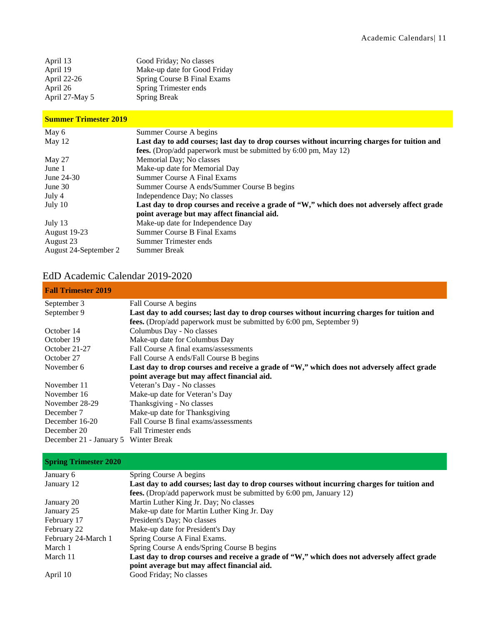| April 13       | Good Friday; No classes      |
|----------------|------------------------------|
| April 19       | Make-up date for Good Friday |
| April 22-26    | Spring Course B Final Exams  |
| April 26       | Spring Trimester ends        |
| April 27-May 5 | <b>Spring Break</b>          |

#### **Summer Trimester 2019**

| May 6                 | Summer Course A begins                                                                      |  |  |
|-----------------------|---------------------------------------------------------------------------------------------|--|--|
| May $12$              | Last day to add courses; last day to drop courses without incurring charges for tuition and |  |  |
|                       | fees. (Drop/add paperwork must be submitted by 6:00 pm, May 12)                             |  |  |
| May 27                | Memorial Day; No classes                                                                    |  |  |
| June 1                | Make-up date for Memorial Day                                                               |  |  |
| June 24-30            | <b>Summer Course A Final Exams</b>                                                          |  |  |
| June $30$             | Summer Course A ends/Summer Course B begins                                                 |  |  |
| July 4                | Independence Day; No classes                                                                |  |  |
| July 10               | Last day to drop courses and receive a grade of "W," which does not adversely affect grade  |  |  |
|                       | point average but may affect financial aid.                                                 |  |  |
| July 13               | Make-up date for Independence Day                                                           |  |  |
| <b>August 19-23</b>   | <b>Summer Course B Final Exams</b>                                                          |  |  |
| August 23             | Summer Trimester ends                                                                       |  |  |
| August 24-September 2 | <b>Summer Break</b>                                                                         |  |  |

## <span id="page-11-0"></span>EdD Academic Calendar 2019-2020

| <b>Fall Trimester 2019</b>           |                                                                                             |  |  |
|--------------------------------------|---------------------------------------------------------------------------------------------|--|--|
| September 3                          | Fall Course A begins                                                                        |  |  |
| September 9                          | Last day to add courses; last day to drop courses without incurring charges for tuition and |  |  |
|                                      | <b>fees.</b> (Drop/add paperwork must be submitted by 6:00 pm, September 9)                 |  |  |
| October 14                           | Columbus Day - No classes                                                                   |  |  |
| October 19                           | Make-up date for Columbus Day                                                               |  |  |
| October 21-27                        | Fall Course A final exams/assessments                                                       |  |  |
| October 27                           | Fall Course A ends/Fall Course B begins                                                     |  |  |
| November 6                           | Last day to drop courses and receive a grade of "W," which does not adversely affect grade  |  |  |
|                                      | point average but may affect financial aid.                                                 |  |  |
| November 11                          | Veteran's Day - No classes                                                                  |  |  |
| November 16                          | Make-up date for Veteran's Day                                                              |  |  |
| November 28-29                       | Thanksgiving - No classes                                                                   |  |  |
| December 7                           | Make-up date for Thanksgiving                                                               |  |  |
| December 16-20                       | Fall Course B final exams/assessments                                                       |  |  |
| December 20                          | Fall Trimester ends                                                                         |  |  |
| December 21 - January 5 Winter Break |                                                                                             |  |  |

#### **Spring Trimester 2020**

| January 6           | Spring Course A begins                                                                      |  |
|---------------------|---------------------------------------------------------------------------------------------|--|
| January 12          | Last day to add courses; last day to drop courses without incurring charges for tuition and |  |
|                     | fees. (Drop/add paperwork must be submitted by 6:00 pm, January 12)                         |  |
| January 20          | Martin Luther King Jr. Day; No classes                                                      |  |
| January 25          | Make-up date for Martin Luther King Jr. Day                                                 |  |
| February 17         | President's Day; No classes                                                                 |  |
| February 22         | Make-up date for President's Day                                                            |  |
| February 24-March 1 | Spring Course A Final Exams.                                                                |  |
| March 1             | Spring Course A ends/Spring Course B begins                                                 |  |
| March 11            | Last day to drop courses and receive a grade of "W," which does not adversely affect grade  |  |
|                     | point average but may affect financial aid.                                                 |  |
| April 10            | Good Friday; No classes                                                                     |  |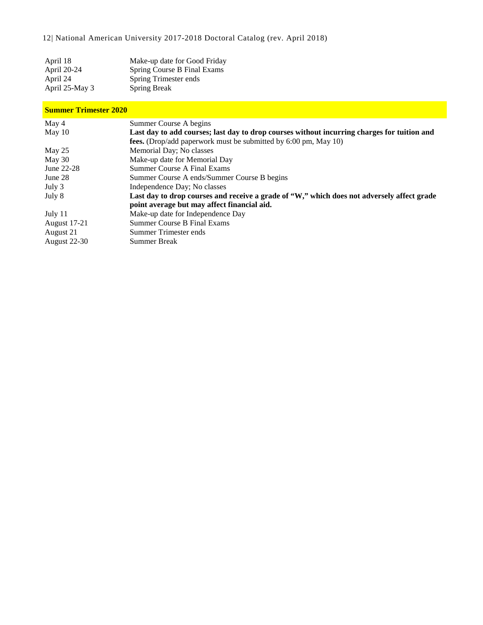12| National American University 2017-2018 Doctoral Catalog (rev. April 2018)

| April 18       | Make-up date for Good Friday |
|----------------|------------------------------|
| April 20-24    | Spring Course B Final Exams  |
| April 24       | Spring Trimester ends        |
| April 25-May 3 | <b>Spring Break</b>          |

#### **Summer Trimester 2020**

| May 4               | Summer Course A begins                                                                      |  |  |
|---------------------|---------------------------------------------------------------------------------------------|--|--|
| May $10$            | Last day to add courses; last day to drop courses without incurring charges for tuition and |  |  |
|                     | fees. (Drop/add paperwork must be submitted by 6:00 pm, May 10)                             |  |  |
| May $25$            | Memorial Day; No classes                                                                    |  |  |
| May 30              | Make-up date for Memorial Day                                                               |  |  |
| June 22-28          | Summer Course A Final Exams                                                                 |  |  |
| June 28             | Summer Course A ends/Summer Course B begins                                                 |  |  |
| July 3              | Independence Day; No classes                                                                |  |  |
| July 8              | Last day to drop courses and receive a grade of "W," which does not adversely affect grade  |  |  |
|                     | point average but may affect financial aid.                                                 |  |  |
| July 11             | Make-up date for Independence Day                                                           |  |  |
| <b>August</b> 17-21 | Summer Course B Final Exams                                                                 |  |  |
| August 21           | Summer Trimester ends                                                                       |  |  |
| <b>August 22-30</b> | <b>Summer Break</b>                                                                         |  |  |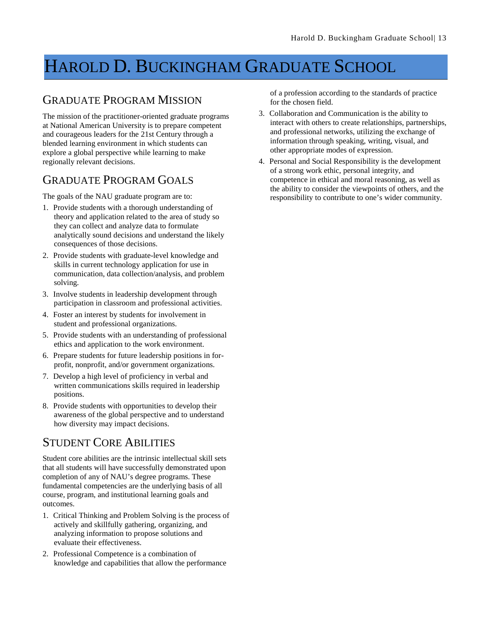## <span id="page-13-0"></span>HAROLD D. BUCKINGHAM GRADUATE SCHOOL

## <span id="page-13-1"></span>GRADUATE PROGRAM MISSION

The mission of the practitioner-oriented graduate programs at National American University is to prepare competent and courageous leaders for the 21st Century through a blended learning environment in which students can explore a global perspective while learning to make regionally relevant decisions.

### <span id="page-13-2"></span>GRADUATE PROGRAM GOALS

The goals of the NAU graduate program are to:

- 1. Provide students with a thorough understanding of theory and application related to the area of study so they can collect and analyze data to formulate analytically sound decisions and understand the likely consequences of those decisions.
- 2. Provide students with graduate-level knowledge and skills in current technology application for use in communication, data collection/analysis, and problem solving.
- 3. Involve students in leadership development through participation in classroom and professional activities.
- 4. Foster an interest by students for involvement in student and professional organizations.
- 5. Provide students with an understanding of professional ethics and application to the work environment.
- 6. Prepare students for future leadership positions in forprofit, nonprofit, and/or government organizations.
- 7. Develop a high level of proficiency in verbal and written communications skills required in leadership positions.
- 8. Provide students with opportunities to develop their awareness of the global perspective and to understand how diversity may impact decisions.

### <span id="page-13-3"></span>STUDENT CORE ABILITIES

Student core abilities are the intrinsic intellectual skill sets that all students will have successfully demonstrated upon completion of any of NAU's degree programs. These fundamental competencies are the underlying basis of all course, program, and institutional learning goals and outcomes.

- 1. Critical Thinking and Problem Solving is the process of actively and skillfully gathering, organizing, and analyzing information to propose solutions and evaluate their effectiveness.
- 2. Professional Competence is a combination of knowledge and capabilities that allow the performance

of a profession according to the standards of practice for the chosen field.

- 3. Collaboration and Communication is the ability to interact with others to create relationships, partnerships, and professional networks, utilizing the exchange of information through speaking, writing, visual, and other appropriate modes of expression.
- 4. Personal and Social Responsibility is the development of a strong work ethic, personal integrity, and competence in ethical and moral reasoning, as well as the ability to consider the viewpoints of others, and the responsibility to contribute to one's wider community.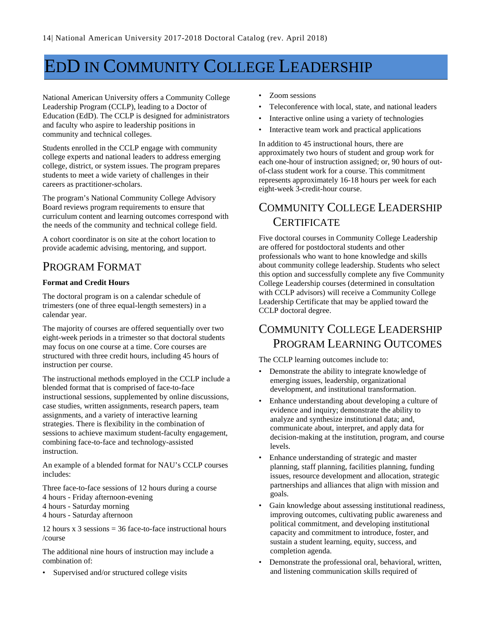## <span id="page-14-0"></span>EDD IN COMMUNITY COLLEGE LEADERSHIP

National American University offers a Community College Leadership Program (CCLP), leading to a Doctor of Education (EdD). The CCLP is designed for administrators and faculty who aspire to leadership positions in community and technical colleges.

Students enrolled in the CCLP engage with community college experts and national leaders to address emerging college, district, or system issues. The program prepares students to meet a wide variety of challenges in their careers as practitioner-scholars.

The program's National Community College Advisory Board reviews program requirements to ensure that curriculum content and learning outcomes correspond with the needs of the community and technical college field.

A cohort coordinator is on site at the cohort location to provide academic advising, mentoring, and support.

## <span id="page-14-1"></span>PROGRAM FORMAT

#### **Format and Credit Hours**

The doctoral program is on a calendar schedule of trimesters (one of three equal-length semesters) in a calendar year.

The majority of courses are offered sequentially over two eight-week periods in a trimester so that doctoral students may focus on one course at a time. Core courses are structured with three credit hours, including 45 hours of instruction per course.

The instructional methods employed in the CCLP include a blended format that is comprised of face-to-face instructional sessions, supplemented by online discussions, case studies, written assignments, research papers, team assignments, and a variety of interactive learning strategies. There is flexibility in the combination of sessions to achieve maximum student-faculty engagement, combining face-to-face and technology-assisted instruction.

An example of a blended format for NAU's CCLP courses includes:

Three face-to-face sessions of 12 hours during a course

- 4 hours Friday afternoon-evening
- 4 hours Saturday morning
- 4 hours Saturday afternoon

12 hours  $x$  3 sessions = 36 face-to-face instructional hours /course

The additional nine hours of instruction may include a combination of:

Supervised and/or structured college visits

- Zoom sessions
- Teleconference with local, state, and national leaders
- Interactive online using a variety of technologies
- Interactive team work and practical applications

In addition to 45 instructional hours, there are approximately two hours of student and group work for each one-hour of instruction assigned; or, 90 hours of outof-class student work for a course. This commitment represents approximately 16-18 hours per week for each eight-week 3-credit-hour course.

## <span id="page-14-2"></span>COMMUNITY COLLEGE LEADERSHIP **CERTIFICATE**

Five doctoral courses in Community College Leadership are offered for postdoctoral students and other professionals who want to hone knowledge and skills about community college leadership. Students who select this option and successfully complete any five Community College Leadership courses (determined in consultation with CCLP advisors) will receive a Community College Leadership Certificate that may be applied toward the CCLP doctoral degree.

### <span id="page-14-3"></span>COMMUNITY COLLEGE LEADERSHIP PROGRAM LEARNING OUTCOMES

The CCLP learning outcomes include to:

- Demonstrate the ability to integrate knowledge of emerging issues, leadership, organizational development, and institutional transformation.
- Enhance understanding about developing a culture of evidence and inquiry; demonstrate the ability to analyze and synthesize institutional data; and, communicate about, interpret, and apply data for decision-making at the institution, program, and course levels.
- Enhance understanding of strategic and master planning, staff planning, facilities planning, funding issues, resource development and allocation, strategic partnerships and alliances that align with mission and goals.
- Gain knowledge about assessing institutional readiness, improving outcomes, cultivating public awareness and political commitment, and developing institutional capacity and commitment to introduce, foster, and sustain a student learning, equity, success, and completion agenda.
- Demonstrate the professional oral, behavioral, written, and listening communication skills required of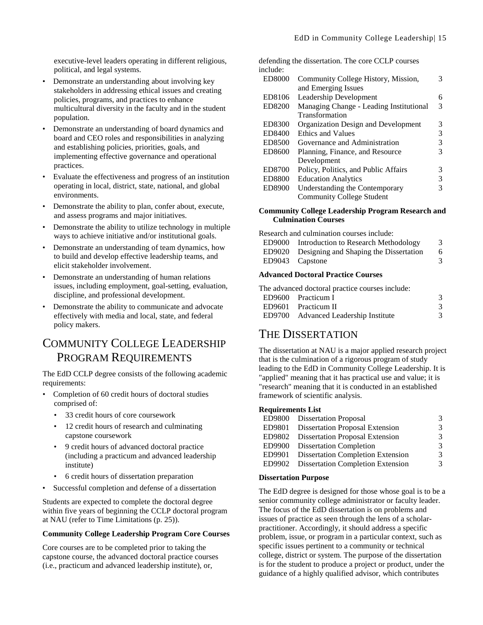executive-level leaders operating in different religious, political, and legal systems.

- Demonstrate an understanding about involving key stakeholders in addressing ethical issues and creating policies, programs, and practices to enhance multicultural diversity in the faculty and in the student population.
- Demonstrate an understanding of board dynamics and board and CEO roles and responsibilities in analyzing and establishing policies, priorities, goals, and implementing effective governance and operational practices.
- Evaluate the effectiveness and progress of an institution operating in local, district, state, national, and global environments.
- Demonstrate the ability to plan, confer about, execute, and assess programs and major initiatives.
- Demonstrate the ability to utilize technology in multiple ways to achieve initiative and/or institutional goals.
- Demonstrate an understanding of team dynamics, how to build and develop effective leadership teams, and elicit stakeholder involvement.
- Demonstrate an understanding of human relations issues, including employment, goal-setting, evaluation, discipline, and professional development.
- Demonstrate the ability to communicate and advocate effectively with media and local, state, and federal policy makers.

#### <span id="page-15-0"></span>COMMUNITY COLLEGE LEADERSHIP PROGRAM REQUIREMENTS

The EdD CCLP degree consists of the following academic requirements:

- Completion of 60 credit hours of doctoral studies comprised of:
	- 33 credit hours of core coursework
	- 12 credit hours of research and culminating capstone coursework
	- 9 credit hours of advanced doctoral practice (including a practicum and advanced leadership institute)
	- 6 credit hours of dissertation preparation
- Successful completion and defense of a dissertation

Students are expected to complete the doctoral degree within five years of beginning the CCLP doctoral program at NAU (refer to Time Limitations (p. [25\)](#page-25-1)).

#### **Community College Leadership Program Core Courses**

Core courses are to be completed prior to taking the capstone course, the advanced doctoral practice courses (i.e., practicum and advanced leadership institute), or,

defending the dissertation. The core CCLP courses include:

| <b>ED8000</b> | Community College History, Mission,     |   |
|---------------|-----------------------------------------|---|
|               | and Emerging Issues                     |   |
| ED8106        | Leadership Development                  | 6 |
| ED8200        | Managing Change - Leading Institutional |   |
|               | Transformation                          |   |
| ED8300        | Organization Design and Development     | 3 |
| ED8400        | Ethics and Values                       | 3 |
| ED8500        | Governance and Administration           | 3 |
| ED8600        | Planning, Finance, and Resource         |   |
|               | Development                             |   |
| ED8700        | Policy, Politics, and Public Affairs    | 3 |
| <b>ED8800</b> | <b>Education Analytics</b>              | 3 |
| ED8900        | Understanding the Contemporary          | 3 |
|               | <b>Community College Student</b>        |   |

#### **Community College Leadership Program Research and Culmination Courses**

Research and culmination courses include:

| ED9000 | Introduction to Research Methodology          | 3 |
|--------|-----------------------------------------------|---|
|        | ED9020 Designing and Shaping the Dissertation | 6 |
|        | ED9043 Capstone                               | 3 |
|        |                                               |   |

#### **Advanced Doctoral Practice Courses**

| The advanced doctoral practice courses include: |               |
|-------------------------------------------------|---------------|
| ED9600 Practicum I                              | 3             |
| ED9601 Practicum II                             | $\mathcal{R}$ |
| ED9700 Advanced Leadership Institute            | 3             |

#### <span id="page-15-1"></span>THE DISSERTATION

The dissertation at NAU is a major applied research project that is the culmination of a rigorous program of study leading to the EdD in Community College Leadership. It is "applied" meaning that it has practical use and value; it is "research" meaning that it is conducted in an established framework of scientific analysis.

#### **Requirements List**

|        | ED9800 Dissertation Proposal             | 3 |
|--------|------------------------------------------|---|
| ED9801 | Dissertation Proposal Extension          | 3 |
|        | ED9802 Dissertation Proposal Extension   | 3 |
|        | ED9900 Dissertation Completion           | 3 |
| ED9901 | <b>Dissertation Completion Extension</b> | 3 |
|        | ED9902 Dissertation Completion Extension | 3 |
|        |                                          |   |

#### **Dissertation Purpose**

The EdD degree is designed for those whose goal is to be a senior community college administrator or faculty leader. The focus of the EdD dissertation is on problems and issues of practice as seen through the lens of a scholarpractitioner. Accordingly, it should address a specific problem, issue, or program in a particular context, such as specific issues pertinent to a community or technical college, district or system. The purpose of the dissertation is for the student to produce a project or product, under the guidance of a highly qualified advisor, which contributes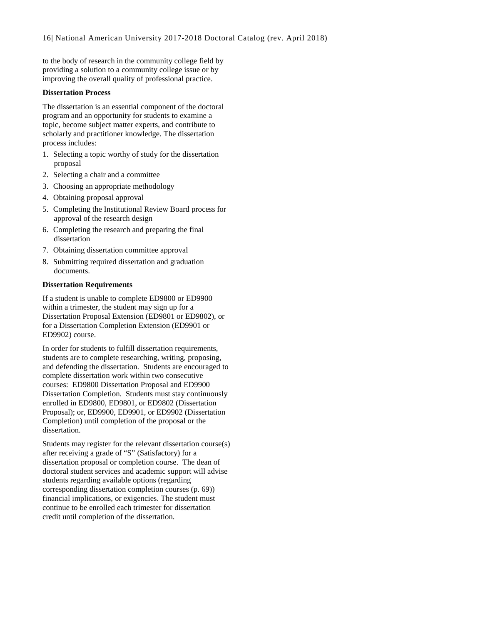to the body of research in the community college field by providing a solution to a community college issue or by improving the overall quality of professional practice.

#### **Dissertation Process**

The dissertation is an essential component of the doctoral program and an opportunity for students to examine a topic, become subject matter experts, and contribute to scholarly and practitioner knowledge. The dissertation process includes:

- 1. Selecting a topic worthy of study for the dissertation proposal
- 2. Selecting a chair and a committee
- 3. Choosing an appropriate methodology
- 4. Obtaining proposal approval
- 5. Completing the Institutional Review Board process for approval of the research design
- 6. Completing the research and preparing the final dissertation
- 7. Obtaining dissertation committee approval
- 8. Submitting required dissertation and graduation documents.

#### **Dissertation Requirements**

If a student is unable to complete ED9800 or ED9900 within a trimester, the student may sign up for a Dissertation Proposal Extension (ED9801 or ED9802), or for a Dissertation Completion Extension (ED9901 or ED9902) course.

In order for students to fulfill dissertation requirements, students are to complete researching, writing, proposing, and defending the dissertation. Students are encouraged to complete dissertation work within two consecutive courses: ED9800 Dissertation Proposal and ED9900 Dissertation Completion. Students must stay continuously enrolled in ED9800, ED9801, or ED9802 (Dissertation Proposal); or, ED9900, ED9901, or ED9902 (Dissertation Completion) until completion of the proposal or the dissertation.

Students may register for the relevant dissertation course(s) after receiving a grade of "S" (Satisfactory) for a dissertation proposal or completion course. The dean of doctoral student services and academic support will advise students regarding available options (regarding corresponding dissertation completion courses (p[. 69\)](#page-69-0)) financial implications, or exigencies. The student must continue to be enrolled each trimester for dissertation credit until completion of the dissertation.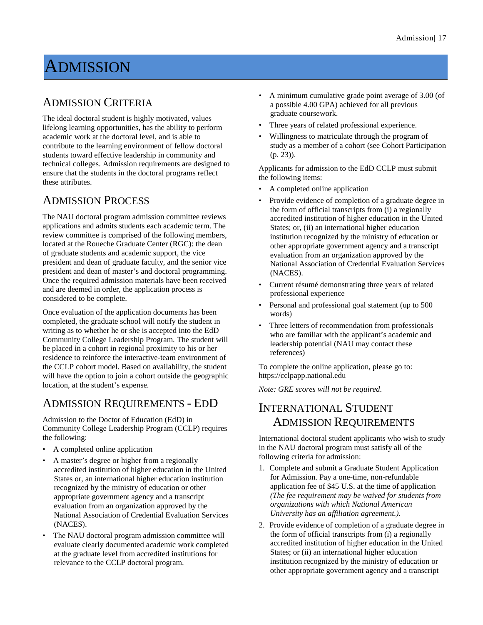## <span id="page-17-0"></span>**ADMISSION**

#### <span id="page-17-1"></span>ADMISSION CRITERIA

The ideal doctoral student is highly motivated, values lifelong learning opportunities, has the ability to perform academic work at the doctoral level, and is able to contribute to the learning environment of fellow doctoral students toward effective leadership in community and technical colleges. Admission requirements are designed to ensure that the students in the doctoral programs reflect these attributes.

#### <span id="page-17-2"></span>ADMISSION PROCESS

The NAU doctoral program admission committee reviews applications and admits students each academic term. The review committee is comprised of the following members, located at the Roueche Graduate Center (RGC): the dean of graduate students and academic support, the vice president and dean of graduate faculty, and the senior vice president and dean of master's and doctoral programming. Once the required admission materials have been received and are deemed in order, the application process is considered to be complete.

Once evaluation of the application documents has been completed, the graduate school will notify the student in writing as to whether he or she is accepted into the EdD Community College Leadership Program. The student will be placed in a cohort in regional proximity to his or her residence to reinforce the interactive-team environment of the CCLP cohort model. Based on availability, the student will have the option to join a cohort outside the geographic location, at the student's expense.

### <span id="page-17-3"></span>ADMISSION REQUIREMENTS - EDD

Admission to the Doctor of Education (EdD) in Community College Leadership Program (CCLP) requires the following:

- A completed online application
- A master's degree or higher from a regionally accredited institution of higher education in the United States or, an international higher education institution recognized by the ministry of education or other appropriate government agency and a transcript evaluation from an organization approved by the National Association of Credential Evaluation Services (NACES).
- The NAU doctoral program admission committee will evaluate clearly documented academic work completed at the graduate level from accredited institutions for relevance to the CCLP doctoral program.
- A minimum cumulative grade point average of 3.00 (of a possible 4.00 GPA) achieved for all previous graduate coursework.
- Three years of related professional experience.
- Willingness to matriculate through the program of study as a member of a cohort (see Cohort Participation (p. [23\)](#page-23-1)).

Applicants for admission to the EdD CCLP must submit the following items:

- A completed online application
- Provide evidence of completion of a graduate degree in the form of official transcripts from (i) a regionally accredited institution of higher education in the United States; or, (ii) an international higher education institution recognized by the ministry of education or other appropriate government agency and a transcript evaluation from an organization approved by the National Association of Credential Evaluation Services (NACES).
- Current résumé demonstrating three years of related professional experience
- Personal and professional goal statement (up to 500) words)
- Three letters of recommendation from professionals who are familiar with the applicant's academic and leadership potential (NAU may contact these references)

To complete the online application, please go to: https://cclpapp.national.edu

<span id="page-17-4"></span>*Note: GRE scores will not be required.*

#### INTERNATIONAL STUDENT ADMISSION REQUIREMENTS

International doctoral student applicants who wish to study in the NAU doctoral program must satisfy all of the following criteria for admission:

- 1. Complete and submit a Graduate Student Application for Admission. Pay a one-time, non-refundable application fee of \$45 U.S. at the time of application *(The fee requirement may be waived for students from organizations with which National American University has an affiliation agreement.).*
- 2. Provide evidence of completion of a graduate degree in the form of official transcripts from (i) a regionally accredited institution of higher education in the United States; or (ii) an international higher education institution recognized by the ministry of education or other appropriate government agency and a transcript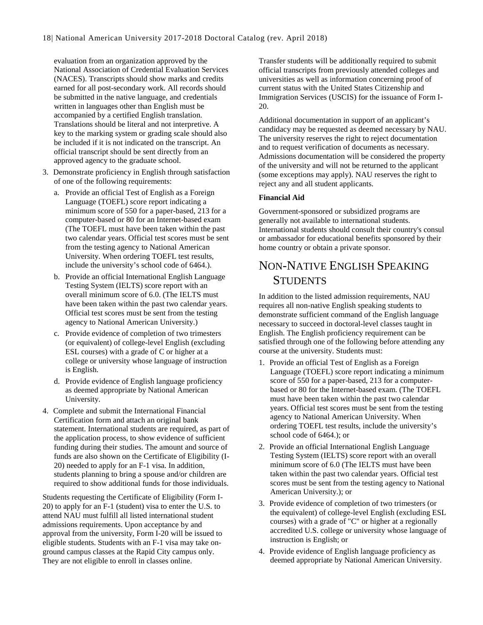evaluation from an organization approved by the National Association of Credential Evaluation Services (NACES). Transcripts should show marks and credits earned for all post-secondary work. All records should be submitted in the native language, and credentials written in languages other than English must be accompanied by a certified English translation. Translations should be literal and not interpretive. A key to the marking system or grading scale should also be included if it is not indicated on the transcript. An official transcript should be sent directly from an approved agency to the graduate school.

- 3. Demonstrate proficiency in English through satisfaction of one of the following requirements:
	- a. Provide an official Test of English as a Foreign Language (TOEFL) score report indicating a minimum score of 550 for a paper-based, 213 for a computer-based or 80 for an Internet-based exam (The TOEFL must have been taken within the past two calendar years. Official test scores must be sent from the testing agency to National American University. When ordering TOEFL test results, include the university's school code of 6464.).
	- b. Provide an official International English Language Testing System (IELTS) score report with an overall minimum score of 6.0. (The IELTS must have been taken within the past two calendar years. Official test scores must be sent from the testing agency to National American University.)
	- c. Provide evidence of completion of two trimesters (or equivalent) of college-level English (excluding ESL courses) with a grade of C or higher at a college or university whose language of instruction is English.
	- d. Provide evidence of English language proficiency as deemed appropriate by National American University.
- 4. Complete and submit the International Financial Certification form and attach an original bank statement. International students are required, as part of the application process, to show evidence of sufficient funding during their studies. The amount and source of funds are also shown on the Certificate of Eligibility (I-20) needed to apply for an F-1 visa. In addition, students planning to bring a spouse and/or children are required to show additional funds for those individuals.

Students requesting the Certificate of Eligibility (Form I-20) to apply for an F-1 (student) visa to enter the U.S. to attend NAU must fulfill all listed international student admissions requirements. Upon acceptance by and approval from the university, Form I-20 will be issued to eligible students. Students with an F-1 visa may take onground campus classes at the Rapid City campus only. They are not eligible to enroll in classes online.

Transfer students will be additionally required to submit official transcripts from previously attended colleges and universities as well as information concerning proof of current status with the United States Citizenship and Immigration Services (USCIS) for the issuance of Form I-20.

Additional documentation in support of an applicant's candidacy may be requested as deemed necessary by NAU. The university reserves the right to reject documentation and to request verification of documents as necessary. Admissions documentation will be considered the property of the university and will not be returned to the applicant (some exceptions may apply). NAU reserves the right to reject any and all student applicants.

#### **Financial Aid**

Government-sponsored or subsidized programs are generally not available to international students. International students should consult their country's consul or ambassador for educational benefits sponsored by their home country or obtain a private sponsor.

#### <span id="page-18-0"></span>NON-NATIVE ENGLISH SPEAKING **STUDENTS**

In addition to the listed admission requirements, NAU requires all non-native English speaking students to demonstrate sufficient command of the English language necessary to succeed in doctoral-level classes taught in English. The English proficiency requirement can be satisfied through one of the following before attending any course at the university. Students must:

- 1. Provide an official Test of English as a Foreign Language (TOEFL) score report indicating a minimum score of 550 for a paper-based, 213 for a computerbased or 80 for the Internet-based exam. (The TOEFL must have been taken within the past two calendar years. Official test scores must be sent from the testing agency to National American University. When ordering TOEFL test results, include the university's school code of 6464.); or
- 2. Provide an official International English Language Testing System (IELTS) score report with an overall minimum score of 6.0 (The IELTS must have been taken within the past two calendar years. Official test scores must be sent from the testing agency to National American University.); or
- 3. Provide evidence of completion of two trimesters (or the equivalent) of college-level English (excluding ESL courses) with a grade of "C" or higher at a regionally accredited U.S. college or university whose language of instruction is English; or
- 4. Provide evidence of English language proficiency as deemed appropriate by National American University.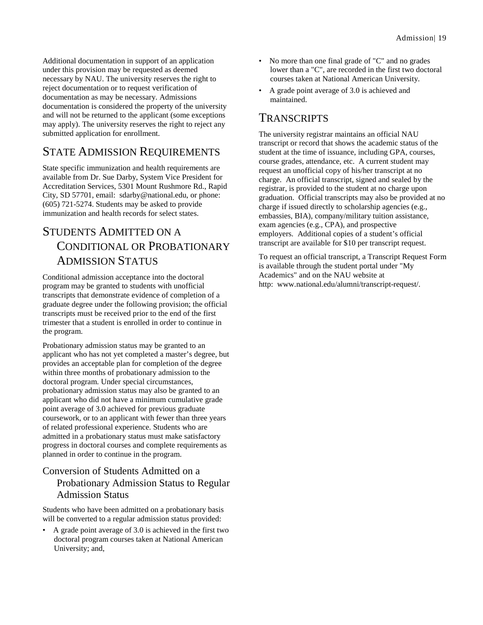Additional documentation in support of an application under this provision may be requested as deemed necessary by NAU. The university reserves the right to reject documentation or to request verification of documentation as may be necessary. Admissions documentation is considered the property of the university and will not be returned to the applicant (some exceptions may apply). The university reserves the right to reject any submitted application for enrollment.

#### <span id="page-19-0"></span>STATE ADMISSION REQUIREMENTS

State specific immunization and health requirements are available from Dr. Sue Darby, System Vice President for Accreditation Services, 5301 Mount Rushmore Rd., Rapid City, SD 57701, email: sdarby@national.edu, or phone: (605) 721-5274. Students may be asked to provide immunization and health records for select states.

## <span id="page-19-1"></span>STUDENTS ADMITTED ON A CONDITIONAL OR PROBATIONARY ADMISSION STATUS

Conditional admission acceptance into the doctoral program may be granted to students with unofficial transcripts that demonstrate evidence of completion of a graduate degree under the following provision; the official transcripts must be received prior to the end of the first trimester that a student is enrolled in order to continue in the program.

Probationary admission status may be granted to an applicant who has not yet completed a master's degree, but provides an acceptable plan for completion of the degree within three months of probationary admission to the doctoral program. Under special circumstances, probationary admission status may also be granted to an applicant who did not have a minimum cumulative grade point average of 3.0 achieved for previous graduate coursework, or to an applicant with fewer than three years of related professional experience. Students who are admitted in a probationary status must make satisfactory progress in doctoral courses and complete requirements as planned in order to continue in the program.

#### <span id="page-19-2"></span>Conversion of Students Admitted on a Probationary Admission Status to Regular Admission Status

Students who have been admitted on a probationary basis will be converted to a regular admission status provided:

• A grade point average of 3.0 is achieved in the first two doctoral program courses taken at National American University; and,

- No more than one final grade of "C" and no grades lower than a "C", are recorded in the first two doctoral courses taken at National American University.
- A grade point average of 3.0 is achieved and maintained.

#### <span id="page-19-3"></span>**TRANSCRIPTS**

The university registrar maintains an official NAU transcript or record that shows the academic status of the student at the time of issuance, including GPA, courses, course grades, attendance, etc. A current student may request an unofficial copy of his/her transcript at no charge. An official transcript, signed and sealed by the registrar, is provided to the student at no charge upon graduation. Official transcripts may also be provided at no charge if issued directly to scholarship agencies (e.g., embassies, BIA), company/military tuition assistance, exam agencies (e.g., CPA), and prospective employers. Additional copies of a student's official transcript are available for \$10 per transcript request.

To request an official transcript, a Transcript Request Form is available through the student portal under "My Academics" and on the NAU website at http: www.national.edu/alumni/transcript-request/.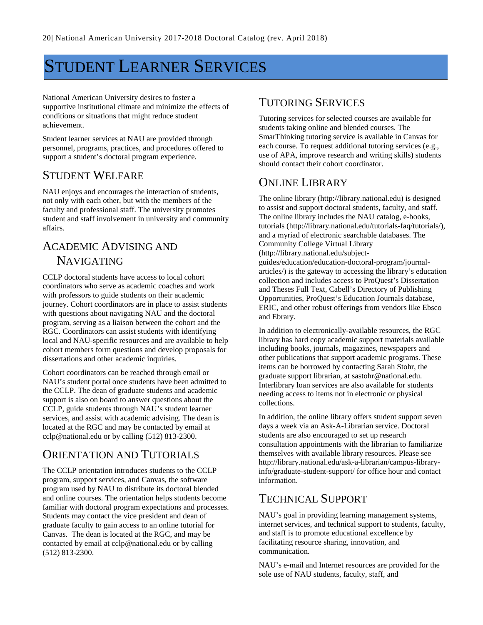## <span id="page-20-0"></span>STUDENT LEARNER SERVICES

National American University desires to foster a supportive institutional climate and minimize the effects of conditions or situations that might reduce student achievement.

Student learner services at NAU are provided through personnel, programs, practices, and procedures offered to support a student's doctoral program experience.

#### <span id="page-20-1"></span>STUDENT WELFARE

NAU enjoys and encourages the interaction of students, not only with each other, but with the members of the faculty and professional staff. The university promotes student and staff involvement in university and community affairs.

### <span id="page-20-2"></span>ACADEMIC ADVISING AND NAVIGATING

CCLP doctoral students have access to local cohort coordinators who serve as academic coaches and work with professors to guide students on their academic journey. Cohort coordinators are in place to assist students with questions about navigating NAU and the doctoral program, serving as a liaison between the cohort and the RGC. Coordinators can assist students with identifying local and NAU-specific resources and are available to help cohort members form questions and develop proposals for dissertations and other academic inquiries.

Cohort coordinators can be reached through email or NAU's student portal once students have been admitted to the CCLP. The dean of graduate students and academic support is also on board to answer questions about the CCLP, guide students through NAU's student learner services, and assist with academic advising. The dean is located at the RGC and may be contacted by email at cclp@national.edu or by calling (512) 813-2300.

## <span id="page-20-3"></span>ORIENTATION AND TUTORIALS

The CCLP orientation introduces students to the CCLP program, support services, and Canvas, the software program used by NAU to distribute its doctoral blended and online courses. The orientation helps students become familiar with doctoral program expectations and processes. Students may contact the vice president and dean of graduate faculty to gain access to an online tutorial for Canvas. The dean is located at the RGC, and may be contacted by email at cclp@national.edu or by calling (512) 813-2300.

#### <span id="page-20-4"></span>TUTORING SERVICES

Tutoring services for selected courses are available for students taking online and blended courses. The SmarThinking tutoring service is available in Canvas for each course. To request additional tutoring services (e.g., use of APA, improve research and writing skills) students should contact their cohort coordinator.

### <span id="page-20-5"></span>ONLINE LIBRARY

The online library (http://library.national.edu) is designed to assist and support doctoral students, faculty, and staff. The online library includes the NAU catalog, e-books, tutorials (http://library.national.edu/tutorials-faq/tutorials/), and a myriad of electronic searchable databases. The Community College Virtual Library (http://library.national.edu/subjectguides/education/education-doctoral-program/journalarticles/) is the gateway to accessing the library's education collection and includes access to ProQuest's Dissertation and Theses Full Text, Cabell's Directory of Publishing Opportunities, ProQuest's Education Journals database, ERIC, and other robust offerings from vendors like Ebsco and Ebrary.

In addition to electronically-available resources, the RGC library has hard copy academic support materials available including books, journals, magazines, newspapers and other publications that support academic programs. These items can be borrowed by contacting Sarah Stohr, the graduate support librarian, at sastohr@national.edu. Interlibrary loan services are also available for students needing access to items not in electronic or physical collections.

In addition, the online library offers student support seven days a week via an Ask-A-Librarian service. Doctoral students are also encouraged to set up research consultation appointments with the librarian to familiarize themselves with available library resources. Please see http://library.national.edu/ask-a-librarian/campus-libraryinfo/graduate-student-support/ for office hour and contact information.

### <span id="page-20-6"></span>TECHNICAL SUPPORT

NAU's goal in providing learning management systems, internet services, and technical support to students, faculty, and staff is to promote educational excellence by facilitating resource sharing, innovation, and communication.

NAU's e-mail and Internet resources are provided for the sole use of NAU students, faculty, staff, and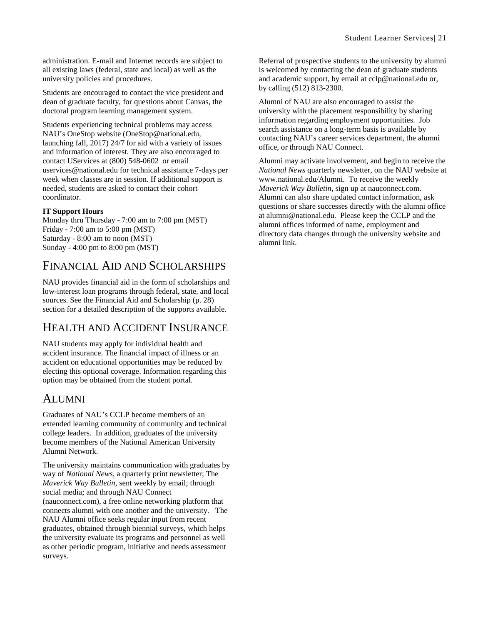administration. E-mail and Internet records are subject to all existing laws (federal, state and local) as well as the university policies and procedures.

Students are encouraged to contact the vice president and dean of graduate faculty, for questions about Canvas, the doctoral program learning management system.

Students experiencing technical problems may access NAU's OneStop website (OneStop@national.edu, launching fall, 2017) 24/7 for aid with a variety of issues and information of interest. They are also encouraged to contact UServices at (800) 548-0602 or email uservices@national.edu for technical assistance 7-days per week when classes are in session. If additional support is needed, students are asked to contact their cohort coordinator.

#### **IT Support Hours**

Monday thru Thursday - 7:00 am to 7:00 pm (MST) Friday - 7:00 am to 5:00 pm (MST) Saturday - 8:00 am to noon (MST) Sunday - 4:00 pm to 8:00 pm (MST)

## <span id="page-21-0"></span>FINANCIAL AID AND SCHOLARSHIPS

NAU provides financial aid in the form of scholarships and low-interest loan programs through federal, state, and local sources. See the Financial Aid and Scholarship (p. [28\)](#page-28-0) section for a detailed description of the supports available.

### <span id="page-21-1"></span>HEALTH AND ACCIDENT INSURANCE

NAU students may apply for individual health and accident insurance. The financial impact of illness or an accident on educational opportunities may be reduced by electing this optional coverage. Information regarding this option may be obtained from the student portal.

#### <span id="page-21-2"></span>ALUMNI

Graduates of NAU's CCLP become members of an extended learning community of community and technical college leaders. In addition, graduates of the university become members of the National American University Alumni Network.

The university maintains communication with graduates by way of *National News*, a quarterly print newsletter; The *Maverick Way Bulletin*, sent weekly by email; through social media; and through NAU Connect (nauconnect.com), a free online networking platform that connects alumni with one another and the university. The NAU Alumni office seeks regular input from recent graduates, obtained through biennial surveys, which helps the university evaluate its programs and personnel as well as other periodic program, initiative and needs assessment surveys.

Referral of prospective students to the university by alumni is welcomed by contacting the dean of graduate students and academic support, by email at cclp@national.edu or, by calling (512) 813-2300.

Alumni of NAU are also encouraged to assist the university with the placement responsibility by sharing information regarding employment opportunities. Job search assistance on a long-term basis is available by contacting NAU's career services department, the alumni office, or through NAU Connect.

Alumni may activate involvement, and begin to receive the *National News* quarterly newsletter, on the NAU website at www.national.edu/Alumni. To receive the weekly *Maverick Way Bulletin*, sign up at nauconnect.com. Alumni can also share updated contact information, ask questions or share successes directly with the alumni office at alumni@national.edu. Please keep the CCLP and the alumni offices informed of name, employment and directory data changes through the university website and alumni link.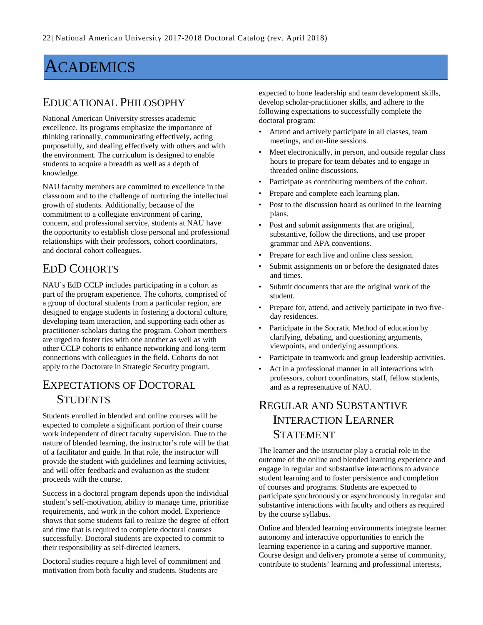## <span id="page-22-0"></span>ACADEMICS

#### <span id="page-22-1"></span>EDUCATIONAL PHILOSOPHY

National American University stresses academic excellence. Its programs emphasize the importance of thinking rationally, communicating effectively, acting purposefully, and dealing effectively with others and with the environment. The curriculum is designed to enable students to acquire a breadth as well as a depth of knowledge.

NAU faculty members are committed to excellence in the classroom and to the challenge of nurturing the intellectual growth of students. Additionally, because of the commitment to a collegiate environment of caring, concern, and professional service, students at NAU have the opportunity to establish close personal and professional relationships with their professors, cohort coordinators, and doctoral cohort colleagues.

## <span id="page-22-2"></span>EDD COHORTS

NAU's EdD CCLP includes participating in a cohort as part of the program experience. The cohorts, comprised of a group of doctoral students from a particular region, are designed to engage students in fostering a doctoral culture, developing team interaction, and supporting each other as practitioner-scholars during the program. Cohort members are urged to foster ties with one another as well as with other CCLP cohorts to enhance networking and long-term connections with colleagues in the field. Cohorts do not apply to the Doctorate in Strategic Security program.

## <span id="page-22-3"></span>EXPECTATIONS OF DOCTORAL **STUDENTS**

Students enrolled in blended and online courses will be expected to complete a significant portion of their course work independent of direct faculty supervision. Due to the nature of blended learning, the instructor's role will be that of a facilitator and guide. In that role, the instructor will provide the student with guidelines and learning activities, and will offer feedback and evaluation as the student proceeds with the course.

Success in a doctoral program depends upon the individual student's self-motivation, ability to manage time, prioritize requirements, and work in the cohort model. Experience shows that some students fail to realize the degree of effort and time that is required to complete doctoral courses successfully. Doctoral students are expected to commit to their responsibility as self-directed learners.

Doctoral studies require a high level of commitment and motivation from both faculty and students. Students are

expected to hone leadership and team development skills, develop scholar-practitioner skills, and adhere to the following expectations to successfully complete the doctoral program:

- Attend and actively participate in all classes, team meetings, and on-line sessions.
- Meet electronically, in person, and outside regular class hours to prepare for team debates and to engage in threaded online discussions.
- Participate as contributing members of the cohort.
- Prepare and complete each learning plan.
- Post to the discussion board as outlined in the learning plans.
- Post and submit assignments that are original, substantive, follow the directions, and use proper grammar and APA conventions.
- Prepare for each live and online class session.
- Submit assignments on or before the designated dates and times.
- Submit documents that are the original work of the student.
- Prepare for, attend, and actively participate in two fiveday residences.
- Participate in the Socratic Method of education by clarifying, debating, and questioning arguments, viewpoints, and underlying assumptions.
- Participate in teamwork and group leadership activities.
- Act in a professional manner in all interactions with professors, cohort coordinators, staff, fellow students, and as a representative of NAU.

## <span id="page-22-4"></span>REGULAR AND SUBSTANTIVE INTERACTION LEARNER STATEMENT

The learner and the instructor play a crucial role in the outcome of the online and blended learning experience and engage in regular and substantive interactions to advance student learning and to foster persistence and completion of courses and programs. Students are expected to participate synchronously or asynchronously in regular and substantive interactions with faculty and others as required by the course syllabus.

Online and blended learning environments integrate learner autonomy and interactive opportunities to enrich the learning experience in a caring and supportive manner. Course design and delivery promote a sense of community, contribute to students' learning and professional interests,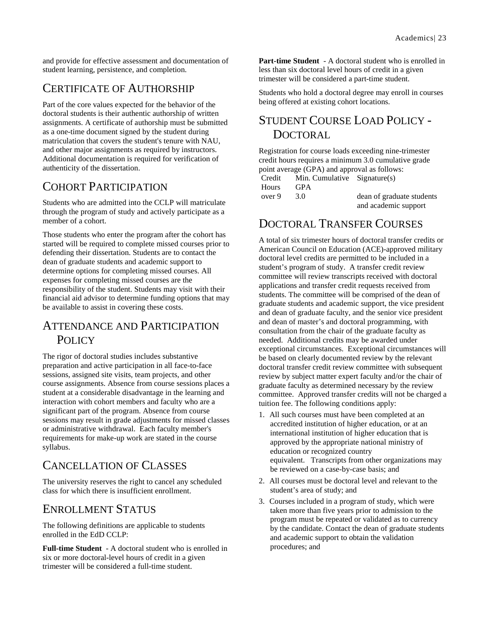and provide for effective assessment and documentation of student learning, persistence, and completion.

## <span id="page-23-0"></span>CERTIFICATE OF AUTHORSHIP

Part of the core values expected for the behavior of the doctoral students is their authentic authorship of written assignments. A certificate of authorship must be submitted as a one-time document signed by the student during matriculation that covers the student's tenure with NAU, and other major assignments as required by instructors. Additional documentation is required for verification of authenticity of the dissertation.

## <span id="page-23-1"></span>COHORT PARTICIPATION

Students who are admitted into the CCLP will matriculate through the program of study and actively participate as a member of a cohort.

Those students who enter the program after the cohort has started will be required to complete missed courses prior to defending their dissertation. Students are to contact the dean of graduate students and academic support to determine options for completing missed courses. All expenses for completing missed courses are the responsibility of the student. Students may visit with their financial aid advisor to determine funding options that may be available to assist in covering these costs.

#### <span id="page-23-2"></span>ATTENDANCE AND PARTICIPATION POLICY

The rigor of doctoral studies includes substantive preparation and active participation in all face-to-face sessions, assigned site visits, team projects, and other course assignments. Absence from course sessions places a student at a considerable disadvantage in the learning and interaction with cohort members and faculty who are a significant part of the program. Absence from course sessions may result in grade adjustments for missed classes or administrative withdrawal. Each faculty member's requirements for make-up work are stated in the course syllabus.

## <span id="page-23-3"></span>CANCELLATION OF CLASSES

The university reserves the right to cancel any scheduled class for which there is insufficient enrollment.

#### <span id="page-23-4"></span>ENROLLMENT STATUS

The following definitions are applicable to students enrolled in the EdD CCLP:

**Full-time Student** - A doctoral student who is enrolled in six or more doctoral-level hours of credit in a given trimester will be considered a full-time student.

**Part-time Student** - A doctoral student who is enrolled in less than six doctoral level hours of credit in a given trimester will be considered a part-time student.

Students who hold a doctoral degree may enroll in courses being offered at existing cohort locations.

## <span id="page-23-5"></span>STUDENT COURSE LOAD POLICY - **DOCTORAL**

Registration for course loads exceeding nine-trimester credit hours requires a minimum 3.0 cumulative grade point average (GPA) and approval as follows: Credit Min. Cumulative Signature(s)

| Hours  | <b>GPA</b> |                           |
|--------|------------|---------------------------|
| over 9 | 3.O        | dean of graduate students |
|        |            | and academic support      |

#### <span id="page-23-6"></span>DOCTORAL TRANSFER COURSES

A total of six trimester hours of doctoral transfer credits or American Council on Education (ACE)-approved military doctoral level credits are permitted to be included in a student's program of study. A transfer credit review committee will review transcripts received with doctoral applications and transfer credit requests received from students. The committee will be comprised of the dean of graduate students and academic support, the vice president and dean of graduate faculty, and the senior vice president and dean of master's and doctoral programming, with consultation from the chair of the graduate faculty as needed. Additional credits may be awarded under exceptional circumstances. Exceptional circumstances will be based on clearly documented review by the relevant doctoral transfer credit review committee with subsequent review by subject matter expert faculty and/or the chair of graduate faculty as determined necessary by the review committee. Approved transfer credits will not be charged a tuition fee. The following conditions apply:

- 1. All such courses must have been completed at an accredited institution of higher education, or at an international institution of higher education that is approved by the appropriate national ministry of education or recognized country equivalent. Transcripts from other organizations may be reviewed on a case-by-case basis; and
- 2. All courses must be doctoral level and relevant to the student's area of study; and
- 3. Courses included in a program of study, which were taken more than five years prior to admission to the program must be repeated or validated as to currency by the candidate. Contact the dean of graduate students and academic support to obtain the validation procedures; and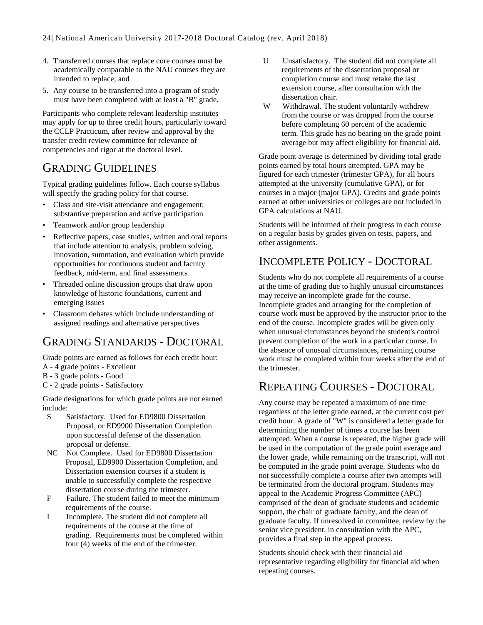- 4. Transferred courses that replace core courses must be academically comparable to the NAU courses they are intended to replace; and
- 5. Any course to be transferred into a program of study must have been completed with at least a "B" grade.

Participants who complete relevant leadership institutes may apply for up to three credit hours, particularly toward the CCLP Practicum, after review and approval by the transfer credit review committee for relevance of competencies and rigor at the doctoral level.

#### <span id="page-24-0"></span>GRADING GUIDELINES

Typical grading guidelines follow. Each course syllabus will specify the grading policy for that course.

- Class and site-visit attendance and engagement; substantive preparation and active participation
- Teamwork and/or group leadership
- Reflective papers, case studies, written and oral reports that include attention to analysis, problem solving, innovation, summation, and evaluation which provide opportunities for continuous student and faculty feedback, mid-term, and final assessments
- Threaded online discussion groups that draw upon knowledge of historic foundations, current and emerging issues
- Classroom debates which include understanding of assigned readings and alternative perspectives

## <span id="page-24-1"></span>GRADING STANDARDS - DOCTORAL

Grade points are earned as follows for each credit hour:

- A 4 grade points Excellent
- B 3 grade points Good
- C 2 grade points Satisfactory

Grade designations for which grade points are not earned include:

- S Satisfactory. Used for ED9800 Dissertation Proposal, or ED9900 Dissertation Completion upon successful defense of the dissertation proposal or defense.
- NC Not Complete. Used for ED9800 Dissertation Proposal, ED9900 Dissertation Completion, and Dissertation extension courses if a student is unable to successfully complete the respective dissertation course during the trimester.
- F Failure. The student failed to meet the minimum requirements of the course.
- I Incomplete. The student did not complete all requirements of the course at the time of grading. Requirements must be completed within four (4) weeks of the end of the trimester.
- U Unsatisfactory. The student did not complete all requirements of the dissertation proposal or completion course and must retake the last extension course, after consultation with the dissertation chair.
- W Withdrawal. The student voluntarily withdrew from the course or was dropped from the course before completing 60 percent of the academic term. This grade has no bearing on the grade point average but may affect eligibility for financial aid.

Grade point average is determined by dividing total grade points earned by total hours attempted. GPA may be figured for each trimester (trimester GPA), for all hours attempted at the university (cumulative GPA), or for courses in a major (major GPA). Credits and grade points earned at other universities or colleges are not included in GPA calculations at NAU.

Students will be informed of their progress in each course on a regular basis by grades given on tests, papers, and other assignments.

### <span id="page-24-2"></span>INCOMPLETE POLICY - DOCTORAL

Students who do not complete all requirements of a course at the time of grading due to highly unusual circumstances may receive an incomplete grade for the course. Incomplete grades and arranging for the completion of course work must be approved by the instructor prior to the end of the course. Incomplete grades will be given only when unusual circumstances beyond the student's control prevent completion of the work in a particular course. In the absence of unusual circumstances, remaining course work must be completed within four weeks after the end of the trimester.

#### <span id="page-24-3"></span>REPEATING COURSES - DOCTORAL

Any course may be repeated a maximum of one time regardless of the letter grade earned, at the current cost per credit hour. A grade of "W" is considered a letter grade for determining the number of times a course has been attempted. When a course is repeated, the higher grade will be used in the computation of the grade point average and the lower grade, while remaining on the transcript, will not be computed in the grade point average. Students who do not successfully complete a course after two attempts will be terminated from the doctoral program. Students may appeal to the Academic Progress Committee (APC) comprised of the dean of graduate students and academic support, the chair of graduate faculty, and the dean of graduate faculty. If unresolved in committee, review by the senior vice president, in consultation with the APC, provides a final step in the appeal process.

Students should check with their financial aid representative regarding eligibility for financial aid when repeating courses.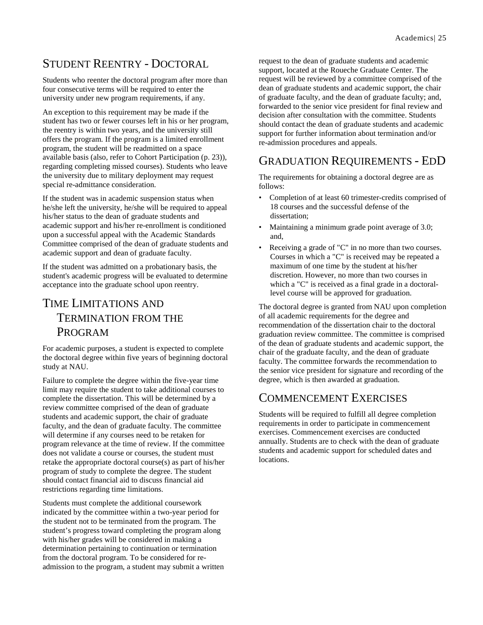## <span id="page-25-0"></span>STUDENT REENTRY - DOCTORAL

Students who reenter the doctoral program after more than four consecutive terms will be required to enter the university under new program requirements, if any.

An exception to this requirement may be made if the student has two or fewer courses left in his or her program, the reentry is within two years, and the university still offers the program. If the program is a limited enrollment program, the student will be readmitted on a space available basis (also, refer to Cohort Participation (p. [23\)](#page-23-1)), regarding completing missed courses). Students who leave the university due to military deployment may request special re-admittance consideration.

If the student was in academic suspension status when he/she left the university, he/she will be required to appeal his/her status to the dean of graduate students and academic support and his/her re-enrollment is conditioned upon a successful appeal with the Academic Standards Committee comprised of the dean of graduate students and academic support and dean of graduate faculty.

If the student was admitted on a probationary basis, the student's academic progress will be evaluated to determine acceptance into the graduate school upon reentry.

### <span id="page-25-1"></span>TIME LIMITATIONS AND TERMINATION FROM THE PROGRAM

For academic purposes, a student is expected to complete the doctoral degree within five years of beginning doctoral study at NAU.

Failure to complete the degree within the five-year time limit may require the student to take additional courses to complete the dissertation. This will be determined by a review committee comprised of the dean of graduate students and academic support, the chair of graduate faculty, and the dean of graduate faculty. The committee will determine if any courses need to be retaken for program relevance at the time of review. If the committee does not validate a course or courses, the student must retake the appropriate doctoral course(s) as part of his/her program of study to complete the degree. The student should contact financial aid to discuss financial aid restrictions regarding time limitations.

Students must complete the additional coursework indicated by the committee within a two-year period for the student not to be terminated from the program. The student's progress toward completing the program along with his/her grades will be considered in making a determination pertaining to continuation or termination from the doctoral program. To be considered for readmission to the program, a student may submit a written request to the dean of graduate students and academic support, located at the Roueche Graduate Center. The request will be reviewed by a committee comprised of the dean of graduate students and academic support, the chair of graduate faculty, and the dean of graduate faculty; and, forwarded to the senior vice president for final review and decision after consultation with the committee. Students should contact the dean of graduate students and academic support for further information about termination and/or re-admission procedures and appeals.

#### <span id="page-25-2"></span>GRADUATION REQUIREMENTS - EDD

The requirements for obtaining a doctoral degree are as follows:

- Completion of at least 60 trimester-credits comprised of 18 courses and the successful defense of the dissertation;
- Maintaining a minimum grade point average of 3.0; and,
- Receiving a grade of "C" in no more than two courses. Courses in which a "C" is received may be repeated a maximum of one time by the student at his/her discretion. However, no more than two courses in which a "C" is received as a final grade in a doctorallevel course will be approved for graduation.

The doctoral degree is granted from NAU upon completion of all academic requirements for the degree and recommendation of the dissertation chair to the doctoral graduation review committee. The committee is comprised of the dean of graduate students and academic support, the chair of the graduate faculty, and the dean of graduate faculty. The committee forwards the recommendation to the senior vice president for signature and recording of the degree, which is then awarded at graduation.

#### <span id="page-25-3"></span>COMMENCEMENT EXERCISES

Students will be required to fulfill all degree completion requirements in order to participate in commencement exercises. Commencement exercises are conducted annually. Students are to check with the dean of graduate students and academic support for scheduled dates and locations.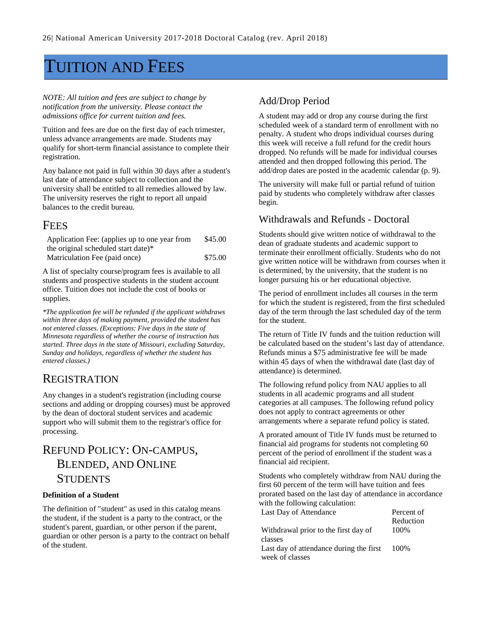## <span id="page-26-0"></span>TUITION AND FEES

*NOTE: All tuition and fees are subject to change by notification from the university. Please contact the admissions office for current tuition and fees.*

Tuition and fees are due on the first day of each trimester, unless advance arrangements are made. Students may qualify for short-term financial assistance to complete their registration.

Any balance not paid in full within 30 days after a student's last date of attendance subject to collection and the university shall be entitled to all remedies allowed by law. The university reserves the right to report all unpaid balances to the credit bureau.

#### <span id="page-26-1"></span>**FEES**

| Application Fee: (applies up to one year from | \$45.00 |
|-----------------------------------------------|---------|
| the original scheduled start date)*           |         |
| Matriculation Fee (paid once)                 | \$75.00 |

A list of specialty course/program fees is available to all students and prospective students in the student account office. Tuition does not include the cost of books or supplies.

*\*The application fee will be refunded if the applicant withdraws within three days of making payment, provided the student has not entered classes. (Exceptions: Five days in the state of Minnesota regardless of whether the course of instruction has started. Three days in the state of Missouri, excluding Saturday, Sunday and holidays, regardless of whether the student has entered classes.)*

#### <span id="page-26-2"></span>**REGISTRATION**

Any changes in a student's registration (including course sections and adding or dropping courses) must be approved by the dean of doctoral student services and academic support who will submit them to the registrar's office for processing.

### <span id="page-26-3"></span>REFUND POLICY: ON-CAMPUS, BLENDED, AND ONLINE **STUDENTS**

#### **Definition of a Student**

The definition of "student" as used in this catalog means the student, if the student is a party to the contract, or the student's parent, guardian, or other person if the parent, guardian or other person is a party to the contract on behalf of the student.

#### <span id="page-26-4"></span>Add/Drop Period

A student may add or drop any course during the first scheduled week of a standard term of enrollment with no penalty. A student who drops individual courses during this week will receive a full refund for the credit hours dropped. No refunds will be made for individual courses attended and then dropped following this period. The add/drop dates are posted in the academic calendar (p[. 9\)](#page-9-4).

The university will make full or partial refund of tuition paid by students who completely withdraw after classes begin.

#### <span id="page-26-5"></span>Withdrawals and Refunds - Doctoral

Students should give written notice of withdrawal to the dean of graduate students and academic support to terminate their enrollment officially. Students who do not give written notice will be withdrawn from courses when it is determined, by the university, that the student is no longer pursuing his or her educational objective.

The period of enrollment includes all courses in the term for which the student is registered, from the first scheduled day of the term through the last scheduled day of the term for the student.

The return of Title IV funds and the tuition reduction will be calculated based on the student's last day of attendance. Refunds minus a \$75 administrative fee will be made within 45 days of when the withdrawal date (last day of attendance) is determined.

The following refund policy from NAU applies to all students in all academic programs and all student categories at all campuses. The following refund policy does not apply to contract agreements or other arrangements where a separate refund policy is stated.

A prorated amount of Title IV funds must be returned to financial aid programs for students not completing 60 percent of the period of enrollment if the student was a financial aid recipient.

Students who completely withdraw from NAU during the first 60 percent of the term will have tuition and fees prorated based on the last day of attendance in accordance with the following calculation:

| Last Day of Attendance                  | Percent of |
|-----------------------------------------|------------|
|                                         | Reduction  |
| Withdrawal prior to the first day of    | 100%       |
| classes                                 |            |
| Last day of attendance during the first | 100%       |
| week of classes                         |            |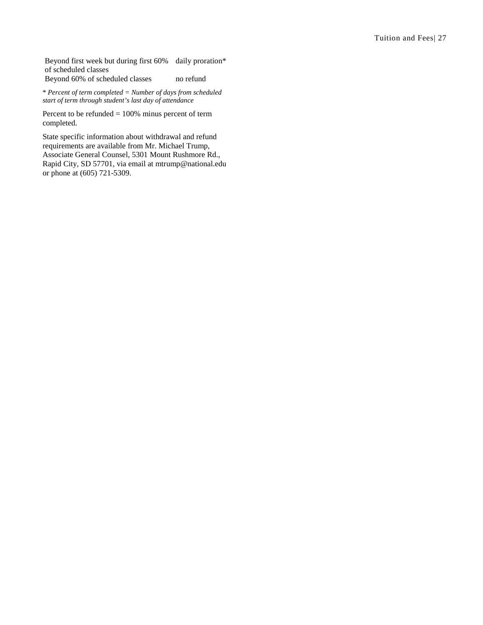Beyond first week but during first 60% daily proration\* of scheduled classes

Beyond 60% of scheduled classes no refund

\* *Percent of term completed = Number of days from scheduled start of term through student's last day of attendance*

Percent to be refunded = 100% minus percent of term completed.

State specific information about withdrawal and refund requirements are available from Mr. Michael Trump, Associate General Counsel, 5301 Mount Rushmore Rd., Rapid City, SD 57701, via email at mtrump@national.edu or phone at (605) 721-5309.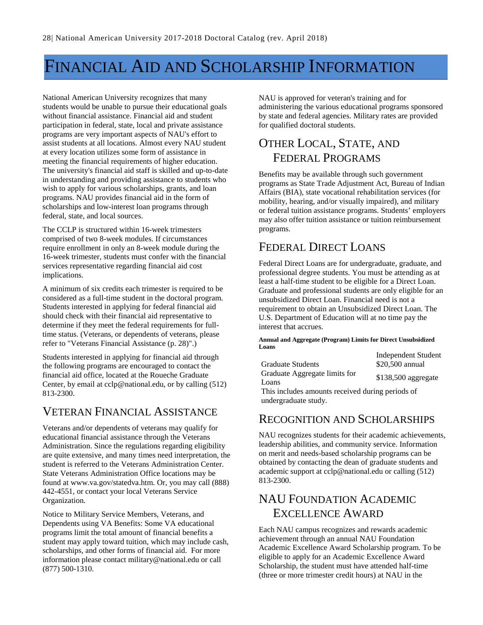## <span id="page-28-0"></span>FINANCIAL AID AND SCHOLARSHIP INFORMATION

National American University recognizes that many students would be unable to pursue their educational goals without financial assistance. Financial aid and student participation in federal, state, local and private assistance programs are very important aspects of NAU's effort to assist students at all locations. Almost every NAU student at every location utilizes some form of assistance in meeting the financial requirements of higher education. The university's financial aid staff is skilled and up-to-date in understanding and providing assistance to students who wish to apply for various scholarships, grants, and loan programs. NAU provides financial aid in the form of scholarships and low-interest loan programs through federal, state, and local sources.

The CCLP is structured within 16-week trimesters comprised of two 8-week modules. If circumstances require enrollment in only an 8-week module during the 16-week trimester, students must confer with the financial services representative regarding financial aid cost implications.

A minimum of six credits each trimester is required to be considered as a full-time student in the doctoral program. Students interested in applying for federal financial aid should check with their financial aid representative to determine if they meet the federal requirements for fulltime status. (Veterans, or dependents of veterans, please refer to "Veterans Financial Assistance (p. [28\)](#page-28-1)".)

Students interested in applying for financial aid through the following programs are encouraged to contact the financial aid office, located at the Roueche Graduate Center, by email at cclp@national.edu, or by calling (512) 813-2300.

### <span id="page-28-1"></span>VETERAN FINANCIAL ASSISTANCE

Veterans and/or dependents of veterans may qualify for educational financial assistance through the Veterans Administration. Since the regulations regarding eligibility are quite extensive, and many times need interpretation, the student is referred to the Veterans Administration Center. State Veterans Administration Office locations may be found at www.va.gov/statedva.htm. Or, you may call (888) 442-4551, or contact your local Veterans Service Organization.

Notice to Military Service Members, Veterans, and Dependents using VA Benefits: Some VA educational programs limit the total amount of financial benefits a student may apply toward tuition, which may include cash, scholarships, and other forms of financial aid. For more information please contact military@national.edu or call (877) 500-1310.

NAU is approved for veteran's training and for administering the various educational programs sponsored by state and federal agencies. Military rates are provided for qualified doctoral students.

## <span id="page-28-2"></span>OTHER LOCAL, STATE, AND FEDERAL PROGRAMS

Benefits may be available through such government programs as State Trade Adjustment Act, Bureau of Indian Affairs (BIA), state vocational rehabilitation services (for mobility, hearing, and/or visually impaired), and military or federal tuition assistance programs. Students' employers may also offer tuition assistance or tuition reimbursement programs.

## <span id="page-28-3"></span>FEDERAL DIRECT LOANS

Federal Direct Loans are for undergraduate, graduate, and professional degree students. You must be attending as at least a half-time student to be eligible for a Direct Loan. Graduate and professional students are only eligible for an unsubsidized Direct Loan. Financial need is not a requirement to obtain an Unsubsidized Direct Loan. The U.S. Department of Education will at no time pay the interest that accrues.

**Annual and Aggregate (Program) Limits for Direct Unsubsidized Loans**

|                                                  | <b>Independent Student</b> |  |
|--------------------------------------------------|----------------------------|--|
| Graduate Students                                | \$20,500 annual            |  |
| Graduate Aggregate limits for                    | $$138,500$ aggregate       |  |
| Loans                                            |                            |  |
| This includes amounts received during periods of |                            |  |

This includes amounts received during periods of undergraduate study.

#### <span id="page-28-4"></span>RECOGNITION AND SCHOLARSHIPS

NAU recognizes students for their academic achievements, leadership abilities, and community service. Information on merit and needs-based scholarship programs can be obtained by contacting the dean of graduate students and academic support at cclp@national.edu or calling (512) 813-2300.

## <span id="page-28-5"></span>NAU FOUNDATION ACADEMIC EXCELLENCE AWARD

Each NAU campus recognizes and rewards academic achievement through an annual NAU Foundation Academic Excellence Award Scholarship program. To be eligible to apply for an Academic Excellence Award Scholarship, the student must have attended half-time (three or more trimester credit hours) at NAU in the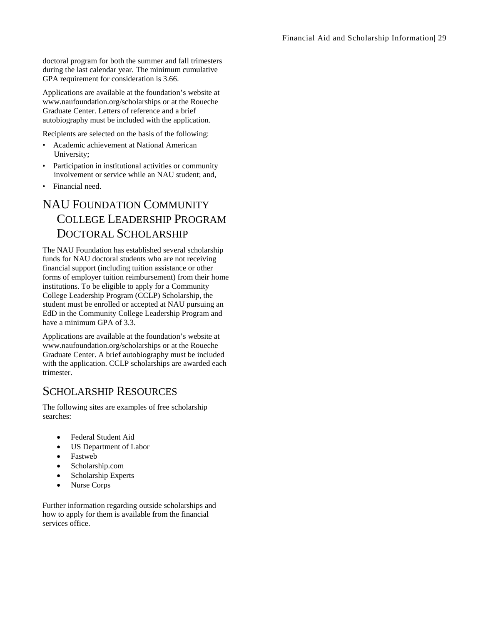doctoral program for both the summer and fall trimesters during the last calendar year. The minimum cumulative GPA requirement for consideration is 3.66.

Applications are available at the foundation's website at www.naufoundation.org/scholarships or at the Roueche Graduate Center. Letters of reference and a brief autobiography must be included with the application.

Recipients are selected on the basis of the following:

- Academic achievement at National American University;
- Participation in institutional activities or community involvement or service while an NAU student; and,
- <span id="page-29-0"></span>• Financial need.

## NAU FOUNDATION COMMUNITY COLLEGE LEADERSHIP PROGRAM DOCTORAL SCHOLARSHIP

The NAU Foundation has established several scholarship funds for NAU doctoral students who are not receiving financial support (including tuition assistance or other forms of employer tuition reimbursement) from their home institutions. To be eligible to apply for a Community College Leadership Program (CCLP) Scholarship, the student must be enrolled or accepted at NAU pursuing an EdD in the Community College Leadership Program and have a minimum GPA of 3.3.

Applications are available at the foundation's website at www.naufoundation.org/scholarships or at the Roueche Graduate Center. A brief autobiography must be included with the application. CCLP scholarships are awarded each trimester.

#### <span id="page-29-1"></span>SCHOLARSHIP RESOURCES

The following sites are examples of free scholarship searches:

- Federal Student Aid
- US Department of Labor
- Fastweb
- Scholarship.com
- Scholarship Experts
- Nurse Corps

Further information regarding outside scholarships and how to apply for them is available from the financial services office.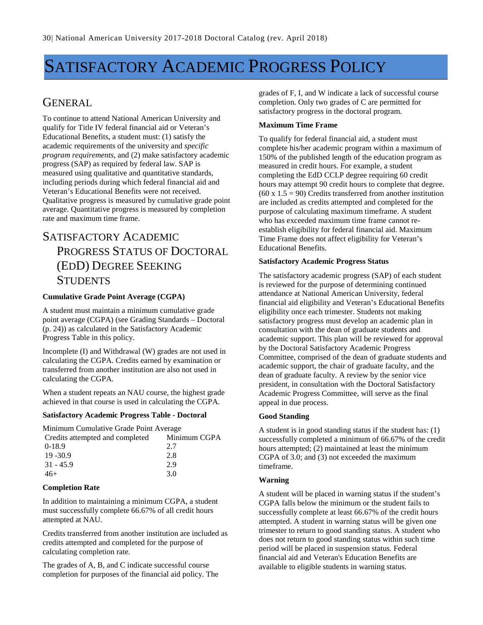## <span id="page-30-0"></span>SATISFACTORY ACADEMIC PROGRESS POLICY

#### <span id="page-30-1"></span>GENERAL

To continue to attend National American University and qualify for Title IV federal financial aid or Veteran's Educational Benefits, a student must: (1) satisfy the academic requirements of the university and *specific program requirements*, and (2) make satisfactory academic progress (SAP) as required by federal law. SAP is measured using qualitative and quantitative standards, including periods during which federal financial aid and Veteran's Educational Benefits were not received. Qualitative progress is measured by cumulative grade point average. Quantitative progress is measured by completion rate and maximum time frame.

## <span id="page-30-2"></span>SATISFACTORY ACADEMIC PROGRESS STATUS OF DOCTORAL (EDD) DEGREE SEEKING **STUDENTS**

#### **Cumulative Grade Point Average (CGPA)**

A student must maintain a minimum cumulative grade point average (CGPA) (see Grading Standards – Doctoral (p. [24\)](#page-24-1)) as calculated in the Satisfactory Academic Progress Table in this policy.

Incomplete (I) and Withdrawal (W) grades are not used in calculating the CGPA. Credits earned by examination or transferred from another institution are also not used in calculating the CGPA.

When a student repeats an NAU course, the highest grade achieved in that course is used in calculating the CGPA.

#### **Satisfactory Academic Progress Table - Doctoral**

Minimum Cumulative Grade Point Average Credits attempted and completed Minimum CGPA 0-18.9 2.7 19 -30.9 2.8 31 - 45.9 2.9  $46+$  3.0

#### **Completion Rate**

In addition to maintaining a minimum CGPA, a student must successfully complete 66.67% of all credit hours attempted at NAU.

Credits transferred from another institution are included as credits attempted and completed for the purpose of calculating completion rate.

The grades of A, B, and C indicate successful course completion for purposes of the financial aid policy. The grades of F, I, and W indicate a lack of successful course completion. Only two grades of C are permitted for satisfactory progress in the doctoral program.

#### **Maximum Time Frame**

To qualify for federal financial aid, a student must complete his/her academic program within a maximum of 150% of the published length of the education program as measured in credit hours. For example, a student completing the EdD CCLP degree requiring 60 credit hours may attempt 90 credit hours to complete that degree.  $(60 \times 1.5 = 90)$  Credits transferred from another institution are included as credits attempted and completed for the purpose of calculating maximum timeframe. A student who has exceeded maximum time frame cannot reestablish eligibility for federal financial aid. Maximum Time Frame does not affect eligibility for Veteran's Educational Benefits.

#### **Satisfactory Academic Progress Status**

The satisfactory academic progress (SAP) of each student is reviewed for the purpose of determining continued attendance at National American University, federal financial aid eligibility and Veteran's Educational Benefits eligibility once each trimester. Students not making satisfactory progress must develop an academic plan in consultation with the dean of graduate students and academic support. This plan will be reviewed for approval by the Doctoral Satisfactory Academic Progress Committee, comprised of the dean of graduate students and academic support, the chair of graduate faculty, and the dean of graduate faculty. A review by the senior vice president, in consultation with the Doctoral Satisfactory Academic Progress Committee, will serve as the final appeal in due process.

#### **Good Standing**

A student is in good standing status if the student has: (1) successfully completed a minimum of 66.67% of the credit hours attempted; (2) maintained at least the minimum CGPA of 3.0; and (3) not exceeded the maximum timeframe.

#### **Warning**

A student will be placed in warning status if the student's CGPA falls below the minimum or the student fails to successfully complete at least 66.67% of the credit hours attempted. A student in warning status will be given one trimester to return to good standing status. A student who does not return to good standing status within such time period will be placed in suspension status. Federal financial aid and Veteran's Education Benefits are available to eligible students in warning status.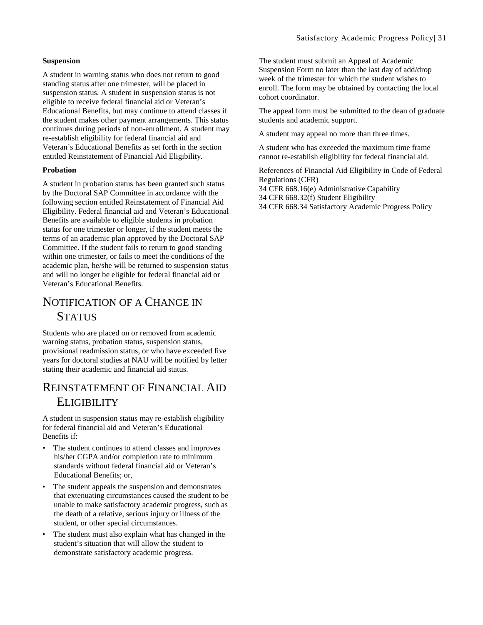#### **Suspension**

A student in warning status who does not return to good standing status after one trimester, will be placed in suspension status. A student in suspension status is not eligible to receive federal financial aid or Veteran's Educational Benefits, but may continue to attend classes if the student makes other payment arrangements. This status continues during periods of non-enrollment. A student may re-establish eligibility for federal financial aid and Veteran's Educational Benefits as set forth in the section entitled Reinstatement of Financial Aid Eligibility.

#### **Probation**

A student in probation status has been granted such status by the Doctoral SAP Committee in accordance with the following section entitled Reinstatement of Financial Aid Eligibility. Federal financial aid and Veteran's Educational Benefits are available to eligible students in probation status for one trimester or longer, if the student meets the terms of an academic plan approved by the Doctoral SAP Committee. If the student fails to return to good standing within one trimester, or fails to meet the conditions of the academic plan, he/she will be returned to suspension status and will no longer be eligible for federal financial aid or Veteran's Educational Benefits.

### <span id="page-31-0"></span>NOTIFICATION OF A CHANGE IN **STATUS**

Students who are placed on or removed from academic warning status, probation status, suspension status, provisional readmission status, or who have exceeded five years for doctoral studies at NAU will be notified by letter stating their academic and financial aid status.

#### <span id="page-31-1"></span>REINSTATEMENT OF FINANCIAL AID **ELIGIBILITY**

A student in suspension status may re-establish eligibility for federal financial aid and Veteran's Educational Benefits if:

- The student continues to attend classes and improves his/her CGPA and/or completion rate to minimum standards without federal financial aid or Veteran's Educational Benefits; or,
- The student appeals the suspension and demonstrates that extenuating circumstances caused the student to be unable to make satisfactory academic progress, such as the death of a relative, serious injury or illness of the student, or other special circumstances.
- The student must also explain what has changed in the student's situation that will allow the student to demonstrate satisfactory academic progress.

The student must submit an Appeal of Academic Suspension Form no later than the last day of add/drop week of the trimester for which the student wishes to enroll. The form may be obtained by contacting the local cohort coordinator.

The appeal form must be submitted to the dean of graduate students and academic support.

A student may appeal no more than three times.

A student who has exceeded the maximum time frame cannot re-establish eligibility for federal financial aid.

References of Financial Aid Eligibility in Code of Federal Regulations (CFR)

34 CFR 668.16(e) Administrative Capability

34 CFR 668.32(f) Student Eligibility

34 CFR 668.34 Satisfactory Academic Progress Policy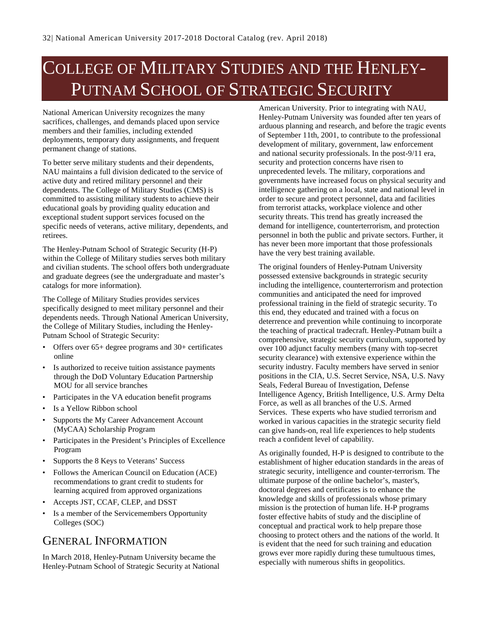## <span id="page-32-0"></span>COLLEGE OF MILITARY STUDIES AND THE HENLEY-PUTNAM SCHOOL OF STRATEGIC SECURITY

National American University recognizes the many sacrifices, challenges, and demands placed upon service members and their families, including extended deployments, temporary duty assignments, and frequent permanent change of stations.

To better serve military students and their dependents, NAU maintains a full division dedicated to the service of active duty and retired military personnel and their dependents. The College of Military Studies (CMS) is committed to assisting military students to achieve their educational goals by providing quality education and exceptional student support services focused on the specific needs of veterans, active military, dependents, and retirees.

The Henley-Putnam School of Strategic Security (H-P) within the College of Military studies serves both military and civilian students. The school offers both undergraduate and graduate degrees (see the undergraduate and master's catalogs for more information).

The College of Military Studies provides services specifically designed to meet military personnel and their dependents needs. Through National American University, the College of Military Studies, including the Henley-Putnam School of Strategic Security:

- Offers over 65+ degree programs and 30+ certificates online
- Is authorized to receive tuition assistance payments through the DoD Voluntary Education Partnership MOU for all service branches
- Participates in the VA education benefit programs
- Is a Yellow Ribbon school
- Supports the My Career Advancement Account (MyCAA) Scholarship Program
- Participates in the President's Principles of Excellence Program
- Supports the 8 Keys to Veterans' Success
- Follows the American Council on Education (ACE) recommendations to grant credit to students for learning acquired from approved organizations
- Accepts JST, CCAF, CLEP, and DSST
- Is a member of the Servicemembers Opportunity Colleges (SOC)

## <span id="page-32-1"></span>GENERAL INFORMATION

In March 2018, Henley-Putnam University became the Henley-Putnam School of Strategic Security at National

American University. Prior to integrating with NAU, Henley-Putnam University was founded after ten years of arduous planning and research, and before the tragic events of September 11th, 2001, to contribute to the professional development of military, government, law enforcement and national security professionals. In the post-9/11 era, security and protection concerns have risen to unprecedented levels. The military, corporations and governments have increased focus on physical security and intelligence gathering on a local, state and national level in order to secure and protect personnel, data and facilities from terrorist attacks, workplace violence and other security threats. This trend has greatly increased the demand for intelligence, counterterrorism, and protection personnel in both the public and private sectors. Further, it has never been more important that those professionals have the very best training available.

The original founders of Henley-Putnam University possessed extensive backgrounds in strategic security including the intelligence, counterterrorism and protection communities and anticipated the need for improved professional training in the field of strategic security. To this end, they educated and trained with a focus on deterrence and prevention while continuing to incorporate the teaching of practical tradecraft. Henley-Putnam built a comprehensive, strategic security curriculum, supported by over 100 adjunct faculty members (many with top-secret security clearance) with extensive experience within the security industry. Faculty members have served in senior positions in the CIA, U.S. Secret Service, NSA, U.S. Navy Seals, Federal Bureau of Investigation, Defense Intelligence Agency, British Intelligence, U.S. Army Delta Force, as well as all branches of the U.S. Armed Services. These experts who have studied terrorism and worked in various capacities in the strategic security field can give hands-on, real life experiences to help students reach a confident level of capability.

As originally founded, H-P is designed to contribute to the establishment of higher education standards in the areas of strategic security, intelligence and counter-terrorism. The ultimate purpose of the online bachelor's, master's, doctoral degrees and certificates is to enhance the knowledge and skills of professionals whose primary mission is the protection of human life. H-P programs foster effective habits of study and the discipline of conceptual and practical work to help prepare those choosing to protect others and the nations of the world. It is evident that the need for such training and education grows ever more rapidly during these tumultuous times, especially with numerous shifts in geopolitics.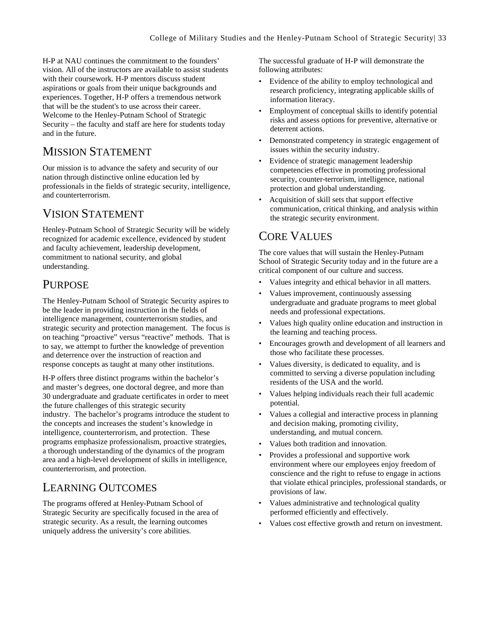H-P at NAU continues the commitment to the founders' vision. All of the instructors are available to assist students with their coursework. H-P mentors discuss student aspirations or goals from their unique backgrounds and experiences. Together, H-P offers a tremendous network that will be the student's to use across their career. Welcome to the Henley-Putnam School of Strategic Security – the faculty and staff are here for students today and in the future.

## <span id="page-33-0"></span>MISSION STATEMENT

Our mission is to advance the safety and security of our nation through distinctive online education led by professionals in the fields of strategic security, intelligence, and counterterrorism.

## <span id="page-33-1"></span>VISION STATEMENT

Henley-Putnam School of Strategic Security will be widely recognized for academic excellence, evidenced by student and faculty achievement, leadership development, commitment to national security, and global understanding.

### <span id="page-33-2"></span>PURPOSE

The Henley-Putnam School of Strategic Security aspires to be the leader in providing instruction in the fields of intelligence management, counterterrorism studies, and strategic security and protection management. The focus is on teaching "proactive" versus "reactive" methods. That is to say, we attempt to further the knowledge of prevention and deterrence over the instruction of reaction and response concepts as taught at many other institutions.

H-P offers three distinct programs within the bachelor's and master's degrees, one doctoral degree, and more than 30 undergraduate and graduate certificates in order to meet the future challenges of this strategic security industry. The bachelor's programs introduce the student to the concepts and increases the student's knowledge in intelligence, counterterrorism, and protection. These programs emphasize professionalism, proactive strategies, a thorough understanding of the dynamics of the program area and a high-level development of skills in intelligence, counterterrorism, and protection.

## <span id="page-33-3"></span>LEARNING OUTCOMES

The programs offered at Henley-Putnam School of Strategic Security are specifically focused in the area of strategic security. As a result, the learning outcomes uniquely address the university's core abilities.

The successful graduate of H-P will demonstrate the following attributes:

- Evidence of the ability to employ technological and research proficiency, integrating applicable skills of information literacy.
- Employment of conceptual skills to identify potential risks and assess options for preventive, alternative or deterrent actions.
- Demonstrated competency in strategic engagement of issues within the security industry.
- Evidence of strategic management leadership competencies effective in promoting professional security, counter-terrorism, intelligence, national protection and global understanding.
- Acquisition of skill sets that support effective communication, critical thinking, and analysis within the strategic security environment.

### <span id="page-33-4"></span>CORE VALUES

The core values that will sustain the Henley-Putnam School of Strategic Security today and in the future are a critical component of our culture and success.

- Values integrity and ethical behavior in all matters.
- Values improvement, continuously assessing undergraduate and graduate programs to meet global needs and professional expectations.
- Values high quality online education and instruction in the learning and teaching process.
- Encourages growth and development of all learners and those who facilitate these processes.
- Values diversity, is dedicated to equality, and is committed to serving a diverse population including residents of the USA and the world.
- Values helping individuals reach their full academic potential.
- Values a collegial and interactive process in planning and decision making, promoting civility, understanding, and mutual concern.
- Values both tradition and innovation.
- Provides a professional and supportive work environment where our employees enjoy freedom of conscience and the right to refuse to engage in actions that violate ethical principles, professional standards, or provisions of law.
- Values administrative and technological quality performed efficiently and effectively.
- Values cost effective growth and return on investment.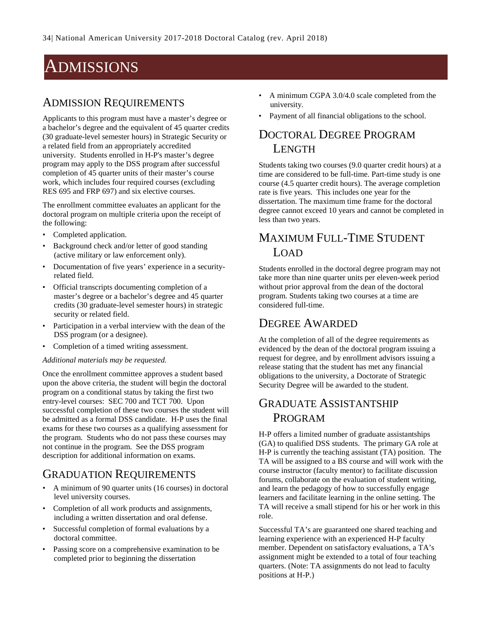## <span id="page-34-0"></span>ADMISSIONS

#### <span id="page-34-1"></span>ADMISSION REQUIREMENTS

Applicants to this program must have a master's degree or a bachelor's degree and the equivalent of 45 quarter credits (30 graduate-level semester hours) in Strategic Security or a related field from an appropriately accredited university. Students enrolled in H-P's master's degree program may apply to the DSS program after successful completion of 45 quarter units of their master's course work, which includes four required courses (excluding RES 695 and FRP 697) and six elective courses.

The enrollment committee evaluates an applicant for the doctoral program on multiple criteria upon the receipt of the following:

- Completed application.
- Background check and/or letter of good standing (active military or law enforcement only).
- Documentation of five years' experience in a securityrelated field.
- Official transcripts documenting completion of a master's degree or a bachelor's degree and 45 quarter credits (30 graduate-level semester hours) in strategic security or related field.
- Participation in a verbal interview with the dean of the DSS program (or a designee).
- Completion of a timed writing assessment.

#### *Additional materials may be requested.*

Once the enrollment committee approves a student based upon the above criteria, the student will begin the doctoral program on a conditional status by taking the first two entry-level courses: SEC 700 and TCT 700. Upon successful completion of these two courses the student will be admitted as a formal DSS candidate. H-P uses the final exams for these two courses as a qualifying assessment for the program. Students who do not pass these courses may not continue in the program. See the DSS program description for additional information on exams.

### <span id="page-34-2"></span>GRADUATION REQUIREMENTS

- A minimum of 90 quarter units (16 courses) in doctoral level university courses.
- Completion of all work products and assignments, including a written dissertation and oral defense.
- Successful completion of formal evaluations by a doctoral committee.
- Passing score on a comprehensive examination to be completed prior to beginning the dissertation
- A minimum CGPA 3.0/4.0 scale completed from the university.
- <span id="page-34-3"></span>Payment of all financial obligations to the school.

### DOCTORAL DEGREE PROGRAM **LENGTH**

Students taking two courses (9.0 quarter credit hours) at a time are considered to be full-time. Part-time study is one course (4.5 quarter credit hours). The average completion rate is five years. This includes one year for the dissertation. The maximum time frame for the doctoral degree cannot exceed 10 years and cannot be completed in less than two years.

## <span id="page-34-4"></span>MAXIMUM FULL-TIME STUDENT LOAD

Students enrolled in the doctoral degree program may not take more than nine quarter units per eleven-week period without prior approval from the dean of the doctoral program. Students taking two courses at a time are considered full-time.

#### <span id="page-34-5"></span>DEGREE AWARDED

At the completion of all of the degree requirements as evidenced by the dean of the doctoral program issuing a request for degree, and by enrollment advisors issuing a release stating that the student has met any financial obligations to the university, a Doctorate of Strategic Security Degree will be awarded to the student.

## <span id="page-34-6"></span>GRADUATE ASSISTANTSHIP PROGRAM

H-P offers a limited number of graduate assistantships (GA) to qualified DSS students. The primary GA role at H-P is currently the teaching assistant (TA) position. The TA will be assigned to a BS course and will work with the course instructor (faculty mentor) to facilitate discussion forums, collaborate on the evaluation of student writing, and learn the pedagogy of how to successfully engage learners and facilitate learning in the online setting. The TA will receive a small stipend for his or her work in this role.

Successful TA's are guaranteed one shared teaching and learning experience with an experienced H-P faculty member. Dependent on satisfactory evaluations, a TA's assignment might be extended to a total of four teaching quarters. (Note: TA assignments do not lead to faculty positions at H-P.)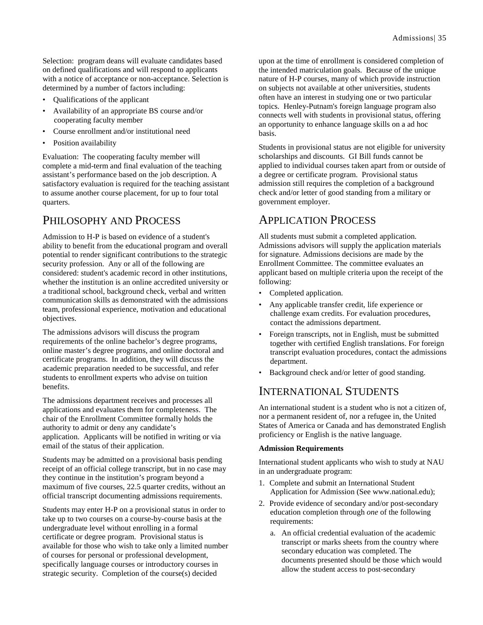Selection: program deans will evaluate candidates based on defined qualifications and will respond to applicants with a notice of acceptance or non-acceptance. Selection is determined by a number of factors including:

- Qualifications of the applicant
- Availability of an appropriate BS course and/or cooperating faculty member
- Course enrollment and/or institutional need
- Position availability

Evaluation: The cooperating faculty member will complete a mid-term and final evaluation of the teaching assistant's performance based on the job description. A satisfactory evaluation is required for the teaching assistant to assume another course placement, for up to four total quarters.

#### <span id="page-35-0"></span>PHILOSOPHY AND PROCESS

Admission to H-P is based on evidence of a student's ability to benefit from the educational program and overall potential to render significant contributions to the strategic security profession. Any or all of the following are considered: student's academic record in other institutions, whether the institution is an online accredited university or a traditional school, background check, verbal and written communication skills as demonstrated with the admissions team, professional experience, motivation and educational objectives.

The admissions advisors will discuss the program requirements of the online bachelor's degree programs, online master's degree programs, and online doctoral and certificate programs. In addition, they will discuss the academic preparation needed to be successful, and refer students to enrollment experts who advise on tuition benefits.

The admissions department receives and processes all applications and evaluates them for completeness. The chair of the Enrollment Committee formally holds the authority to admit or deny any candidate's application. Applicants will be notified in writing or via email of the status of their application.

Students may be admitted on a provisional basis pending receipt of an official college transcript, but in no case may they continue in the institution's program beyond a maximum of five courses, 22.5 quarter credits, without an official transcript documenting admissions requirements.

Students may enter H-P on a provisional status in order to take up to two courses on a course-by-course basis at the undergraduate level without enrolling in a formal certificate or degree program. Provisional status is available for those who wish to take only a limited number of courses for personal or professional development, specifically language courses or introductory courses in strategic security. Completion of the course(s) decided

upon at the time of enrollment is considered completion of the intended matriculation goals. Because of the unique nature of H-P courses, many of which provide instruction on subjects not available at other universities, students often have an interest in studying one or two particular topics. Henley-Putnam's foreign language program also connects well with students in provisional status, offering an opportunity to enhance language skills on a ad hoc basis.

Students in provisional status are not eligible for university scholarships and discounts. GI Bill funds cannot be applied to individual courses taken apart from or outside of a degree or certificate program. Provisional status admission still requires the completion of a background check and/or letter of good standing from a military or government employer.

#### <span id="page-35-1"></span>APPLICATION PROCESS

All students must submit a completed application. Admissions advisors will supply the application materials for signature. Admissions decisions are made by the Enrollment Committee. The committee evaluates an applicant based on multiple criteria upon the receipt of the following:

- Completed application.
- Any applicable transfer credit, life experience or challenge exam credits. For evaluation procedures, contact the admissions department.
- Foreign transcripts, not in English, must be submitted together with certified English translations. For foreign transcript evaluation procedures, contact the admissions department.
- Background check and/or letter of good standing.

#### <span id="page-35-2"></span>INTERNATIONAL STUDENTS

An international student is a student who is not a citizen of, nor a permanent resident of, nor a refugee in, the United States of America or Canada and has demonstrated English proficiency or English is the native language.

#### **Admission Requirements**

International student applicants who wish to study at NAU in an undergraduate program:

- 1. Complete and submit an International Student Application for Admission (See www.national.edu);
- 2. Provide evidence of secondary and/or post-secondary education completion through *one* of the following requirements:
	- a. An official credential evaluation of the academic transcript or marks sheets from the country where secondary education was completed. The documents presented should be those which would allow the student access to post-secondary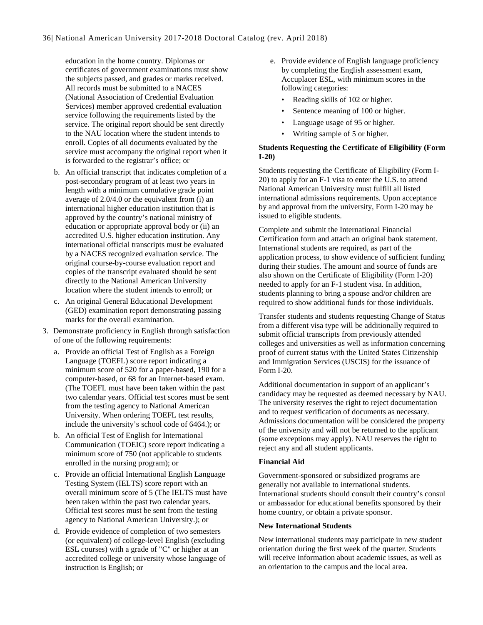education in the home country. Diplomas or certificates of government examinations must show the subjects passed, and grades or marks received. All records must be submitted to a NACES (National Association of Credential Evaluation Services) member approved credential evaluation service following the requirements listed by the service. The original report should be sent directly to the NAU location where the student intends to enroll. Copies of all documents evaluated by the service must accompany the original report when it is forwarded to the registrar's office; or

- b. An official transcript that indicates completion of a post-secondary program of at least two years in length with a minimum cumulative grade point average of 2.0/4.0 or the equivalent from (i) an international higher education institution that is approved by the country's national ministry of education or appropriate approval body or (ii) an accredited U.S. higher education institution. Any international official transcripts must be evaluated by a NACES recognized evaluation service. The original course-by-course evaluation report and copies of the transcript evaluated should be sent directly to the National American University location where the student intends to enroll; or
- c. An original General Educational Development (GED) examination report demonstrating passing marks for the overall examination.
- 3. Demonstrate proficiency in English through satisfaction of one of the following requirements:
	- a. Provide an official Test of English as a Foreign Language (TOEFL) score report indicating a minimum score of 520 for a paper-based, 190 for a computer-based, or 68 for an Internet-based exam. (The TOEFL must have been taken within the past two calendar years. Official test scores must be sent from the testing agency to National American University. When ordering TOEFL test results, include the university's school code of 6464.); or
	- b. An official Test of English for International Communication (TOEIC) score report indicating a minimum score of 750 (not applicable to students enrolled in the nursing program); or
	- c. Provide an official International English Language Testing System (IELTS) score report with an overall minimum score of 5 (The IELTS must have been taken within the past two calendar years. Official test scores must be sent from the testing agency to National American University.); or
	- d. Provide evidence of completion of two semesters (or equivalent) of college-level English (excluding ESL courses) with a grade of "C" or higher at an accredited college or university whose language of instruction is English; or
- e. Provide evidence of English language proficiency by completing the English assessment exam, Accuplacer ESL, with minimum scores in the following categories:
	- Reading skills of 102 or higher.
	- Sentence meaning of 100 or higher.
	- Language usage of 95 or higher.
	- Writing sample of 5 or higher.

#### **Students Requesting the Certificate of Eligibility (Form I-20)**

Students requesting the Certificate of Eligibility (Form I-20) to apply for an F-1 visa to enter the U.S. to attend National American University must fulfill all listed international admissions requirements. Upon acceptance by and approval from the university, Form I-20 may be issued to eligible students.

Complete and submit the International Financial Certification form and attach an original bank statement. International students are required, as part of the application process, to show evidence of sufficient funding during their studies. The amount and source of funds are also shown on the Certificate of Eligibility (Form I-20) needed to apply for an F-1 student visa. In addition, students planning to bring a spouse and/or children are required to show additional funds for those individuals.

Transfer students and students requesting Change of Status from a different visa type will be additionally required to submit official transcripts from previously attended colleges and universities as well as information concerning proof of current status with the United States Citizenship and Immigration Services (USCIS) for the issuance of Form I-20.

Additional documentation in support of an applicant's candidacy may be requested as deemed necessary by NAU. The university reserves the right to reject documentation and to request verification of documents as necessary. Admissions documentation will be considered the property of the university and will not be returned to the applicant (some exceptions may apply). NAU reserves the right to reject any and all student applicants.

#### **Financial Aid**

Government-sponsored or subsidized programs are generally not available to international students. International students should consult their country's consul or ambassador for educational benefits sponsored by their home country, or obtain a private sponsor.

#### **New International Students**

New international students may participate in new student orientation during the first week of the quarter. Students will receive information about academic issues, as well as an orientation to the campus and the local area.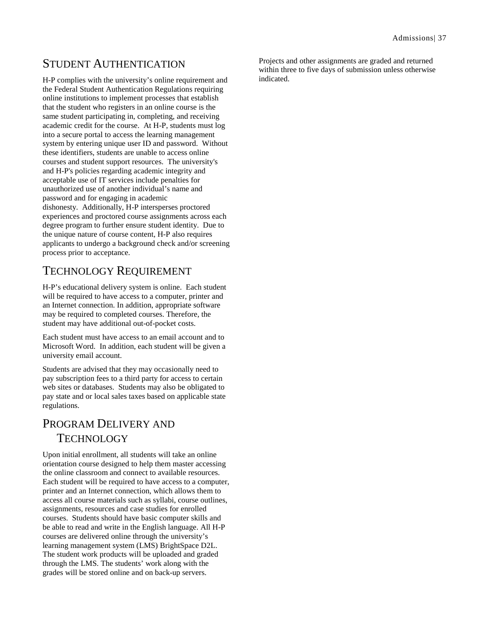## STUDENT AUTHENTICATION

H-P complies with the university's online requirement and the Federal Student Authentication Regulations requiring online institutions to implement processes that establish that the student who registers in an online course is the same student participating in, completing, and receiving academic credit for the course. At H-P, students must log into a secure portal to access the learning management system by entering unique user ID and password. Without these identifiers, students are unable to access online courses and student support resources. The university's and H-P's policies regarding academic integrity and acceptable use of IT services include penalties for unauthorized use of another individual's name and password and for engaging in academic dishonesty. Additionally, H-P intersperses proctored experiences and proctored course assignments across each degree program to further ensure student identity. Due to the unique nature of course content, H-P also requires applicants to undergo a background check and/or screening process prior to acceptance.

# TECHNOLOGY REQUIREMENT

H-P's educational delivery system is online. Each student will be required to have access to a computer, printer and an Internet connection. In addition, appropriate software may be required to completed courses. Therefore, the student may have additional out-of-pocket costs.

Each student must have access to an email account and to Microsoft Word. In addition, each student will be given a university email account.

Students are advised that they may occasionally need to pay subscription fees to a third party for access to certain web sites or databases. Students may also be obligated to pay state and or local sales taxes based on applicable state regulations.

# PROGRAM DELIVERY AND **TECHNOLOGY**

Upon initial enrollment, all students will take an online orientation course designed to help them master accessing the online classroom and connect to available resources. Each student will be required to have access to a computer, printer and an Internet connection, which allows them to access all course materials such as syllabi, course outlines, assignments, resources and case studies for enrolled courses. Students should have basic computer skills and be able to read and write in the English language. All H-P courses are delivered online through the university's learning management system (LMS) BrightSpace D2L. The student work products will be uploaded and graded through the LMS. The students' work along with the grades will be stored online and on back-up servers.

Projects and other assignments are graded and returned within three to five days of submission unless otherwise indicated.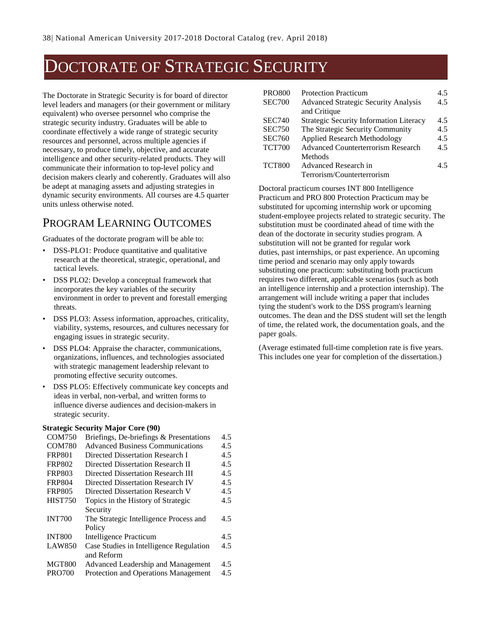# DOCTORATE OF STRATEGIC SECURITY

The Doctorate in Strategic Security is for board of director level leaders and managers (or their government or military equivalent) who oversee personnel who comprise the strategic security industry. Graduates will be able to coordinate effectively a wide range of strategic security resources and personnel, across multiple agencies if necessary, to produce timely, objective, and accurate intelligence and other security-related products. They will communicate their information to top-level policy and decision makers clearly and coherently. Graduates will also be adept at managing assets and adjusting strategies in dynamic security environments. All courses are 4.5 quarter units unless otherwise noted.

### PROGRAM LEARNING OUTCOMES

Graduates of the doctorate program will be able to:

- DSS-PLO1: Produce quantitative and qualitative research at the theoretical, strategic, operational, and tactical levels.
- DSS PLO2: Develop a conceptual framework that incorporates the key variables of the security environment in order to prevent and forestall emerging threats.
- DSS PLO3: Assess information, approaches, criticality, viability, systems, resources, and cultures necessary for engaging issues in strategic security.
- DSS PLO4: Appraise the character, communications, organizations, influences, and technologies associated with strategic management leadership relevant to promoting effective security outcomes.
- DSS PLO5: Effectively communicate key concepts and ideas in verbal, non-verbal, and written forms to influence diverse audiences and decision-makers in strategic security.

#### **Strategic Security Major Core (90)**

| <b>COM750</b>  | Briefings, De-briefings & Presentations     | 4.5 |
|----------------|---------------------------------------------|-----|
| <b>COM780</b>  | <b>Advanced Business Communications</b>     | 4.5 |
| <b>FRP801</b>  | Directed Dissertation Research I            | 4.5 |
| <b>FRP802</b>  | Directed Dissertation Research II           | 4.5 |
| <b>FRP803</b>  | Directed Dissertation Research III          | 4.5 |
| <b>FRP804</b>  | Directed Dissertation Research IV           | 4.5 |
| <b>FRP805</b>  | Directed Dissertation Research V            | 4.5 |
| <b>HIST750</b> | Topics in the History of Strategic          | 4.5 |
|                | Security                                    |     |
| <b>INT700</b>  | The Strategic Intelligence Process and      | 4.5 |
|                | Policy                                      |     |
| <b>INT800</b>  | Intelligence Practicum                      | 4.5 |
| <b>LAW850</b>  | Case Studies in Intelligence Regulation     | 4.5 |
|                | and Reform                                  |     |
| <b>MGT800</b>  | Advanced Leadership and Management          | 4.5 |
| <b>PRO700</b>  | <b>Protection and Operations Management</b> | 4.5 |

| <b>PRO800</b> | <b>Protection Practicum</b>                    | 4.5 |
|---------------|------------------------------------------------|-----|
| <b>SEC700</b> | <b>Advanced Strategic Security Analysis</b>    | 4.5 |
|               | and Critique                                   |     |
| <b>SEC740</b> | <b>Strategic Security Information Literacy</b> | 4.5 |
| <b>SEC750</b> | The Strategic Security Community               | 4.5 |
| <b>SEC760</b> | <b>Applied Research Methodology</b>            | 4.5 |
| <b>TCT700</b> | <b>Advanced Counterterrorism Research</b>      | 4.5 |
|               | Methods                                        |     |
| <b>TCT800</b> | Advanced Research in                           | 45  |
|               | Terrorism/Counterterrorism                     |     |

Doctoral practicum courses INT 800 Intelligence Practicum and PRO 800 Protection Practicum may be substituted for upcoming internship work or upcoming student-employee projects related to strategic security. The substitution must be coordinated ahead of time with the dean of the doctorate in security studies program. A substitution will not be granted for regular work duties, past internships, or past experience. An upcoming time period and scenario may only apply towards substituting one practicum: substituting both practicum requires two different, applicable scenarios (such as both an intelligence internship and a protection internship). The arrangement will include writing a paper that includes tying the student's work to the DSS program's learning outcomes. The dean and the DSS student will set the length of time, the related work, the documentation goals, and the paper goals.

(Average estimated full-time completion rate is five years. This includes one year for completion of the dissertation.)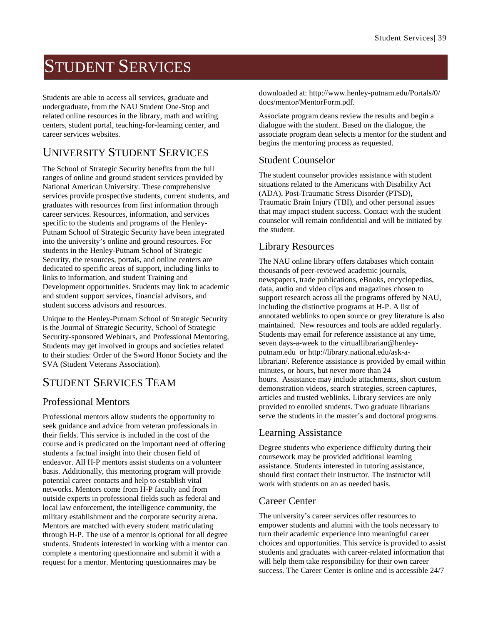# STUDENT SERVICES

Students are able to access all services, graduate and undergraduate, from the NAU Student One-Stop and related online resources in the library, math and writing centers, student portal, teaching-for-learning center, and career services websites.

## UNIVERSITY STUDENT SERVICES

The School of Strategic Security benefits from the full ranges of online and ground student services provided by National American University. These comprehensive services provide prospective students, current students, and graduates with resources from first information through career services. Resources, information, and services specific to the students and programs of the Henley-Putnam School of Strategic Security have been integrated into the university's online and ground resources. For students in the Henley-Putnam School of Strategic Security, the resources, portals, and online centers are dedicated to specific areas of support, including links to links to information, and student Training and Development opportunities. Students may link to academic and student support services, financial advisors, and student success advisors and resources.

Unique to the Henley-Putnam School of Strategic Security is the Journal of Strategic Security, School of Strategic Security-sponsored Webinars, and Professional Mentoring, Students may get involved in groups and societies related to their studies: Order of the Sword Honor Society and the SVA (Student Veterans Association).

### STUDENT SERVICES TEAM

### Professional Mentors

Professional mentors allow students the opportunity to seek guidance and advice from veteran professionals in their fields. This service is included in the cost of the course and is predicated on the important need of offering students a factual insight into their chosen field of endeavor. All H-P mentors assist students on a volunteer basis. Additionally, this mentoring program will provide potential career contacts and help to establish vital networks. Mentors come from H-P faculty and from outside experts in professional fields such as federal and local law enforcement, the intelligence community, the military establishment and the corporate security arena. Mentors are matched with every student matriculating through H-P. The use of a mentor is optional for all degree students. Students interested in working with a mentor can complete a mentoring questionnaire and submit it with a request for a mentor. Mentoring questionnaires may be

downloaded at: http://www.henley-putnam.edu/Portals/0/ docs/mentor/MentorForm.pdf.

Associate program deans review the results and begin a dialogue with the student. Based on the dialogue, the associate program dean selects a mentor for the student and begins the mentoring process as requested.

### Student Counselor

The student counselor provides assistance with student situations related to the Americans with Disability Act (ADA), Post-Traumatic Stress Disorder (PTSD), Traumatic Brain Injury (TBI), and other personal issues that may impact student success. Contact with the student counselor will remain confidential and will be initiated by the student.

### Library Resources

The NAU online library offers databases which contain thousands of peer-reviewed academic journals, newspapers, trade publications, eBooks, encyclopedias, data, audio and video clips and magazines chosen to support research across all the programs offered by NAU, including the distinctive programs at H-P. A list of annotated weblinks to open source or grey literature is also maintained. New resources and tools are added regularly. Students may email for reference assistance at any time, seven days-a-week to the virtuallibrarian@henleyputnam.edu or http://library.national.edu/ask-alibrarian/. Reference assistance is provided by email within minutes, or hours, but never more than 24 hours. Assistance may include attachments, short custom demonstration videos, search strategies, screen captures, articles and trusted weblinks. Library services are only provided to enrolled students. Two graduate librarians serve the students in the master's and doctoral programs.

### Learning Assistance

Degree students who experience difficulty during their coursework may be provided additional learning assistance. Students interested in tutoring assistance, should first contact their instructor. The instructor will work with students on an as needed basis.

### Career Center

The university's career services offer resources to empower students and alumni with the tools necessary to turn their academic experience into meaningful career choices and opportunities. This service is provided to assist students and graduates with career-related information that will help them take responsibility for their own career success. The Career Center is online and is accessible 24/7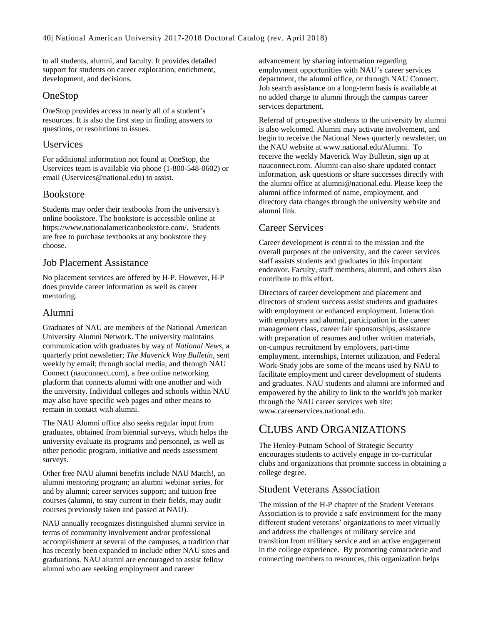to all students, alumni, and faculty. It provides detailed support for students on career exploration, enrichment, development, and decisions.

### OneStop

OneStop provides access to nearly all of a student's resources. It is also the first step in finding answers to questions, or resolutions to issues.

### Uservices

For additional information not found at OneStop, the Uservices team is available via phone (1-800-548-0602) or email [\(Uservices@national.edu\)](mailto:uservices@national.edu) to assist.

### Bookstore

Students may order their textbooks from the university's online bookstore. The bookstore is accessible online at https://www.nationalamericanbookstore.com/. Students are free to purchase textbooks at any bookstore they choose.

### Job Placement Assistance

No placement services are offered by H-P. However, H-P does provide career information as well as career mentoring.

### Alumni

Graduates of NAU are members of the National American University Alumni Network. The university maintains communication with graduates by way of *National News*, a quarterly print newsletter; *The Maverick Way Bulletin*, sent weekly by email; through social media; and through NAU Connect (nauconnect.com), a free online networking platform that connects alumni with one another and with the university. Individual colleges and schools within NAU may also have specific web pages and other means to remain in contact with alumni.

The NAU Alumni office also seeks regular input from graduates, obtained from biennial surveys, which helps the university evaluate its programs and personnel, as well as other periodic program, initiative and needs assessment surveys.

Other free NAU alumni benefits include NAU Match!, an alumni mentoring program; an alumni webinar series, for and by alumni; career services support; and tuition free courses (alumni, to stay current in their fields, may audit courses previously taken and passed at NAU).

NAU annually recognizes distinguished alumni service in terms of community involvement and/or professional accomplishment at several of the campuses, a tradition that has recently been expanded to include other NAU sites and graduations. NAU alumni are encouraged to assist fellow alumni who are seeking employment and career

advancement by sharing information regarding employment opportunities with NAU's career services department, the alumni office, or through NAU Connect. Job search assistance on a long-term basis is available at no added charge to alumni through the campus career services department.

Referral of prospective students to the university by alumni is also welcomed. Alumni may activate involvement, and begin to receive the National News quarterly newsletter, on the NAU website at www.national.edu/Alumni. To receive the weekly Maverick Way Bulletin, sign up at nauconnect.com. Alumni can also share updated contact information, ask questions or share successes directly with the alumni office at alumni@national.edu. Please keep the alumni office informed of name, employment, and directory data changes through the university website and alumni link.

### Career Services

Career development is central to the mission and the overall purposes of the university, and the career services staff assists students and graduates in this important endeavor. Faculty, staff members, alumni, and others also contribute to this effort.

Directors of career development and placement and directors of student success assist students and graduates with employment or enhanced employment. Interaction with employers and alumni, participation in the career management class, career fair sponsorships, assistance with preparation of resumes and other written materials, on-campus recruitment by employers, part-time employment, internships, Internet utilization, and Federal Work-Study jobs are some of the means used by NAU to facilitate employment and career development of students and graduates. NAU students and alumni are informed and empowered by the ability to link to the world's job market through the NAU career services web site: www.careerservices.national.edu.

### CLUBS AND ORGANIZATIONS

The Henley-Putnam School of Strategic Security encourages students to actively engage in co-curricular clubs and organizations that promote success in obtaining a college degree.

### Student Veterans Association

The mission of the H-P chapter of the Student Veterans Association is to provide a safe environment for the many different student veterans' organizations to meet virtually and address the challenges of military service and transition from military service and an active engagement in the college experience. By promoting camaraderie and connecting members to resources, this organization helps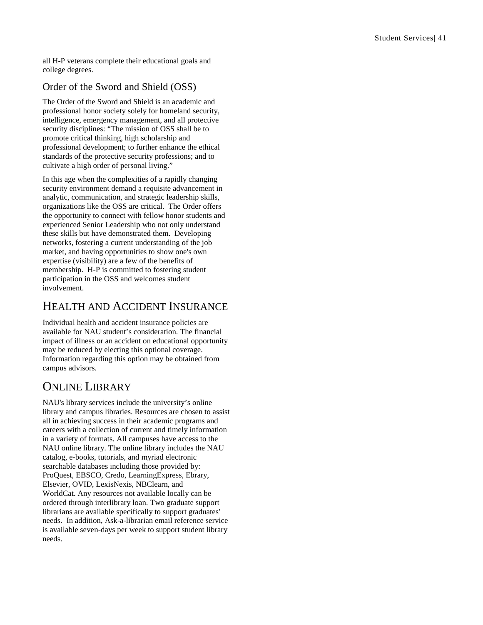all H -P veterans complete their educational goals and college degrees.

### Order of the Sword and Shield (OSS)

The Order of the Sword and Shield is an academic and professional honor society solely for homeland security, intelligence, emergency management, and all protective security disciplines: "The mission of OSS shall be to promote critical thinking, high scholarship and professional development; to further enhance the ethical standards of the protective security professions; and to cultivate a high order of personal living."

In this age when the complexities of a rapidly changing security environment demand a requisite advancement in analytic, communication, and strategic leadership skills, organizations like the OSS are critical. The Order offers the opportunity to connect with fellow honor students and experienced Senior Leadership who not only understand these skills but have demonstrated them. Developing networks, fostering a current understanding of the job market, and having opportunities to show one's own expertise (visibility) are a few of the benefits of membership. H -P is committed to fostering student participation in the OSS and welcomes student involvement.

# HEALTH AND ACCIDENT INSURANCE

Individual health and accident insurance policies are available for NAU student's consideration. The financial impact of illness or an accident on educational opportunity may be reduced by electing this optional coverage. Information regarding this option may be obtained from campus advisors.

# ONLINE LIBRARY

NAU's library services include the university's online library and campus libraries. Resources are chosen to assist all in achieving success in their academic programs and careers with a collection of current and timely information in a variety of formats. All campuses have access to the NAU online library. The online library includes the NAU catalog, e -books, tutorials, and myriad electronic searchable databases including those provided by: ProQuest, EBSCO, Credo, LearningExpress, Ebrary, Elsevier, OVID, LexisNexis, NBClearn, and WorldCat. Any resources not available locally can be ordered through interlibrary loan. Two graduate support librarians are available specifically to support graduates' needs. In addition, Ask - a -librarian email reference service is available seven -days per week to support student library needs.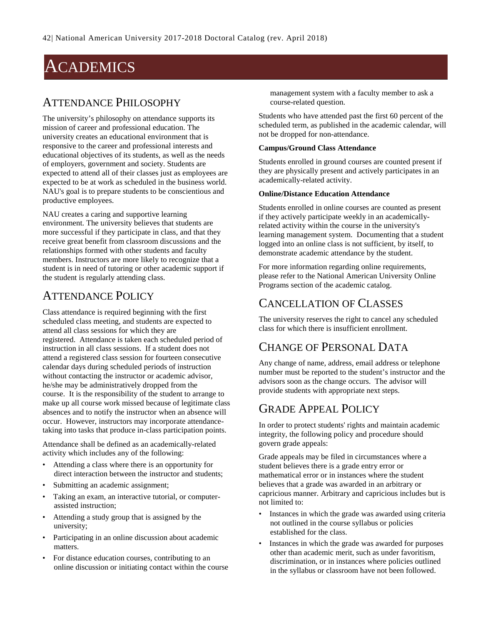# ACADEMICS

### ATTENDANCE PHILOSOPHY

The university's philosophy on attendance supports its mission of career and professional education. The university creates an educational environment that is responsive to the career and professional interests and educational objectives of its students, as well as the needs of employers, government and society. Students are expected to attend all of their classes just as employees are expected to be at work as scheduled in the business world. NAU's goal is to prepare students to be conscientious and productive employees.

NAU creates a caring and supportive learning environment. The university believes that students are more successful if they participate in class, and that they receive great benefit from classroom discussions and the relationships formed with other students and faculty members. Instructors are more likely to recognize that a student is in need of tutoring or other academic support if the student is regularly attending class.

## ATTENDANCE POLICY

Class attendance is required beginning with the first scheduled class meeting, and students are expected to attend all class sessions for which they are registered. Attendance is taken each scheduled period of instruction in all class sessions. If a student does not attend a registered class session for fourteen consecutive calendar days during scheduled periods of instruction without contacting the instructor or academic advisor, he/she may be administratively dropped from the course. It is the responsibility of the student to arrange to make up all course work missed because of legitimate class absences and to notify the instructor when an absence will occur. However, instructors may incorporate attendancetaking into tasks that produce in-class participation points.

Attendance shall be defined as an academically-related activity which includes any of the following:

- Attending a class where there is an opportunity for direct interaction between the instructor and students;
- Submitting an academic assignment;
- Taking an exam, an interactive tutorial, or computerassisted instruction;
- Attending a study group that is assigned by the university;
- Participating in an online discussion about academic matters.
- For distance education courses, contributing to an online discussion or initiating contact within the course

management system with a faculty member to ask a course-related question.

Students who have attended past the first 60 percent of the scheduled term, as published in the academic calendar, will not be dropped for non-attendance.

#### **Campus/Ground Class Attendance**

Students enrolled in ground courses are counted present if they are physically present and actively participates in an academically-related activity.

#### **Online/Distance Education Attendance**

Students enrolled in online courses are counted as present if they actively participate weekly in an academicallyrelated activity within the course in the university's learning management system. Documenting that a student logged into an online class is not sufficient, by itself, to demonstrate academic attendance by the student.

For more information regarding online requirements, please refer to the National American University Online Programs section of the academic catalog.

# CANCELLATION OF CLASSES

The university reserves the right to cancel any scheduled class for which there is insufficient enrollment.

# CHANGE OF PERSONAL DATA

Any change of name, address, email address or telephone number must be reported to the student's instructor and the advisors soon as the change occurs. The advisor will provide students with appropriate next steps.

### GRADE APPEAL POLICY

In order to protect students' rights and maintain academic integrity, the following policy and procedure should govern grade appeals:

Grade appeals may be filed in circumstances where a student believes there is a grade entry error or mathematical error or in instances where the student believes that a grade was awarded in an arbitrary or capricious manner. Arbitrary and capricious includes but is not limited to:

- Instances in which the grade was awarded using criteria not outlined in the course syllabus or policies established for the class.
- Instances in which the grade was awarded for purposes other than academic merit, such as under favoritism, discrimination, or in instances where policies outlined in the syllabus or classroom have not been followed.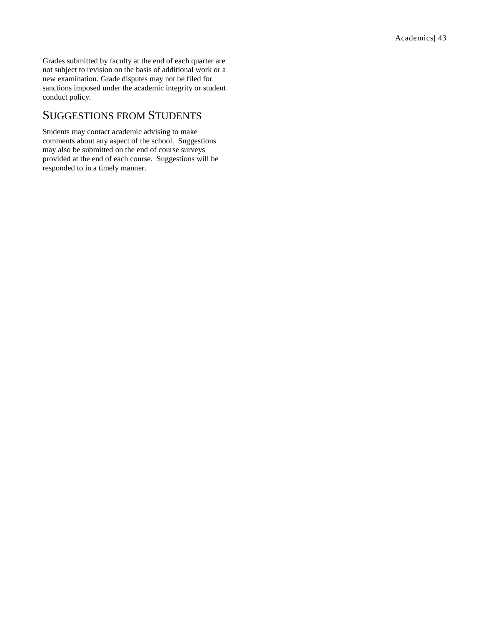Grades submitted by faculty at the end of each quarter are not subject to revision on the basis of additional work or a new examination. Grade disputes may not be filed for sanctions imposed under the academic integrity or student conduct policy.

### SUGGESTIONS FROM STUDENTS

Students may contact academic advising to make comments about any aspect of the school. Suggestions may also be submitted on the end of course surveys provided at the end of each course. Suggestions will be responded to in a timely manner.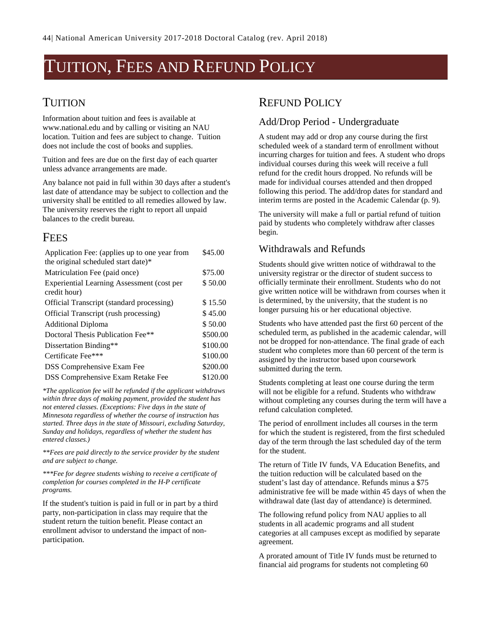# TUITION, FEES AND REFUND POLICY

### TUITION

Information about tuition and fees is available at www.national.edu and by calling or visiting an NAU location. Tuition and fees are subject to change. Tuition does not include the cost of books and supplies.

Tuition and fees are due on the first day of each quarter unless advance arrangements are made.

Any balance not paid in full within 30 days after a student's last date of attendance may be subject to collection and the university shall be entitled to all remedies allowed by law. The university reserves the right to report all unpaid balances to the credit bureau.

### FEES

| Application Fee: (applies up to one year from<br>the original scheduled start date)* | \$45.00  |  |
|--------------------------------------------------------------------------------------|----------|--|
| Matriculation Fee (paid once)                                                        | \$75.00  |  |
| Experiential Learning Assessment (cost per<br>credit hour)                           | \$50.00  |  |
| Official Transcript (standard processing)                                            | \$15.50  |  |
| Official Transcript (rush processing)                                                | \$45.00  |  |
| <b>Additional Diploma</b>                                                            | \$50.00  |  |
| Doctoral Thesis Publication Fee**                                                    | \$500.00 |  |
| Dissertation Binding**                                                               | \$100.00 |  |
| Certificate Fee***                                                                   | \$100.00 |  |
| <b>DSS</b> Comprehensive Exam Fee                                                    | \$200.00 |  |
| <b>DSS Comprehensive Exam Retake Fee</b>                                             | \$120.00 |  |

*\*The application fee will be refunded if the applicant withdraws within three days of making payment, provided the student has not entered classes. (Exceptions: Five days in the state of Minnesota regardless of whether the course of instruction has started. Three days in the state of Missouri, excluding Saturday, Sunday and holidays, regardless of whether the student has entered classes.)*

*\*\*Fees are paid directly to the service provider by the student and are subject to change.*

*\*\*\*Fee for degree students wishing to receive a certificate of completion for courses completed in the H-P certificate programs.*

If the student's tuition is paid in full or in part by a third party, non-participation in class may require that the student return the tuition benefit. Please contact an enrollment advisor to understand the impact of nonparticipation.

### REFUND POLICY

### Add/Drop Period - Undergraduate

A student may add or drop any course during the first scheduled week of a standard term of enrollment without incurring charges for tuition and fees. A student who drops individual courses during this week will receive a full refund for the credit hours dropped. No refunds will be made for individual courses attended and then dropped following this period. The add/drop dates for standard and interim terms are posted in the Academic Calendar (p[. 9\)](#page-9-0).

The university will make a full or partial refund of tuition paid by students who completely withdraw after classes begin.

### Withdrawals and Refunds

Students should give written notice of withdrawal to the university registrar or the director of student success to officially terminate their enrollment. Students who do not give written notice will be withdrawn from courses when it is determined, by the university, that the student is no longer pursuing his or her educational objective.

Students who have attended past the first 60 percent of the scheduled term, as published in the academic calendar, will not be dropped for non-attendance. The final grade of each student who completes more than 60 percent of the term is assigned by the instructor based upon coursework submitted during the term.

Students completing at least one course during the term will not be eligible for a refund. Students who withdraw without completing any courses during the term will have a refund calculation completed.

The period of enrollment includes all courses in the term for which the student is registered, from the first scheduled day of the term through the last scheduled day of the term for the student.

The return of Title IV funds, VA Education Benefits, and the tuition reduction will be calculated based on the student's last day of attendance. Refunds minus a \$75 administrative fee will be made within 45 days of when the withdrawal date (last day of attendance) is determined.

The following refund policy from NAU applies to all students in all academic programs and all student categories at all campuses except as modified by separate agreement.

A prorated amount of Title IV funds must be returned to financial aid programs for students not completing 60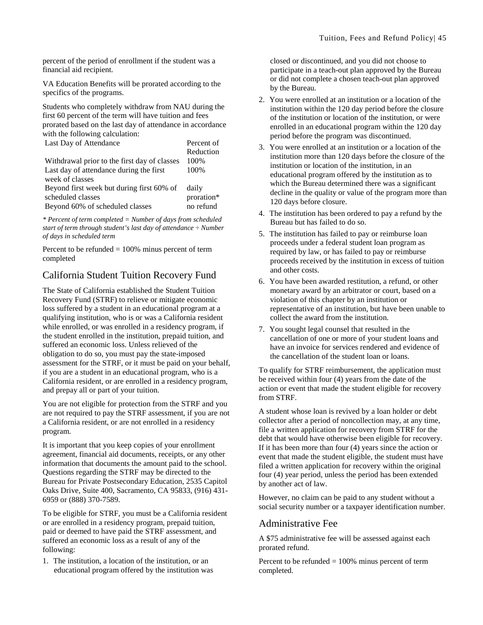percent of the period of enrollment if the student was a financial aid recipient.

VA Education Benefits will be prorated according to the specifics of the programs.

Students who completely withdraw from NAU during the first 60 percent of the term will have tuition and fees prorated based on the last day of attendance in accordance with the following calculation:

| Last Day of Attendance                       | Percent of |
|----------------------------------------------|------------|
|                                              | Reduction  |
| Withdrawal prior to the first day of classes | 100%       |
| Last day of attendance during the first      | 100%       |
| week of classes                              |            |
| Beyond first week but during first 60% of    | daily      |
| scheduled classes                            | proration* |
| Beyond 60% of scheduled classes              | no refund  |

*\* Percent of term completed = Number of days from scheduled start of term through student's last day of attendance ÷ Number of days in scheduled term*

Percent to be refunded  $= 100\%$  minus percent of term completed

### California Student Tuition Recovery Fund

The State of California established the Student Tuition Recovery Fund (STRF) to relieve or mitigate economic loss suffered by a student in an educational program at a qualifying institution, who is or was a California resident while enrolled, or was enrolled in a residency program, if the student enrolled in the institution, prepaid tuition, and suffered an economic loss. Unless relieved of the obligation to do so, you must pay the state-imposed assessment for the STRF, or it must be paid on your behalf, if you are a student in an educational program, who is a California resident, or are enrolled in a residency program, and prepay all or part of your tuition.

You are not eligible for protection from the STRF and you are not required to pay the STRF assessment, if you are not a California resident, or are not enrolled in a residency program.

It is important that you keep copies of your enrollment agreement, financial aid documents, receipts, or any other information that documents the amount paid to the school. Questions regarding the STRF may be directed to the Bureau for Private Postsecondary Education, 2535 Capitol Oaks Drive, Suite 400, Sacramento, CA 95833, (916) 431- 6959 or (888) 370-7589.

To be eligible for STRF, you must be a California resident or are enrolled in a residency program, prepaid tuition, paid or deemed to have paid the STRF assessment, and suffered an economic loss as a result of any of the following:

1. The institution, a location of the institution, or an educational program offered by the institution was closed or discontinued, and you did not choose to participate in a teach-out plan approved by the Bureau or did not complete a chosen teach-out plan approved by the Bureau.

- 2. You were enrolled at an institution or a location of the institution within the 120 day period before the closure of the institution or location of the institution, or were enrolled in an educational program within the 120 day period before the program was discontinued.
- 3. You were enrolled at an institution or a location of the institution more than 120 days before the closure of the institution or location of the institution, in an educational program offered by the institution as to which the Bureau determined there was a significant decline in the quality or value of the program more than 120 days before closure.
- 4. The institution has been ordered to pay a refund by the Bureau but has failed to do so.
- 5. The institution has failed to pay or reimburse loan proceeds under a federal student loan program as required by law, or has failed to pay or reimburse proceeds received by the institution in excess of tuition and other costs.
- 6. You have been awarded restitution, a refund, or other monetary award by an arbitrator or court, based on a violation of this chapter by an institution or representative of an institution, but have been unable to collect the award from the institution.
- 7. You sought legal counsel that resulted in the cancellation of one or more of your student loans and have an invoice for services rendered and evidence of the cancellation of the student loan or loans.

To qualify for STRF reimbursement, the application must be received within four (4) years from the date of the action or event that made the student eligible for recovery from STRF.

A student whose loan is revived by a loan holder or debt collector after a period of noncollection may, at any time, file a written application for recovery from STRF for the debt that would have otherwise been eligible for recovery. If it has been more than four (4) years since the action or event that made the student eligible, the student must have filed a written application for recovery within the original four (4) year period, unless the period has been extended by another act of law.

However, no claim can be paid to any student without a social security number or a taxpayer identification number.

### Administrative Fee

A \$75 administrative fee will be assessed against each prorated refund.

Percent to be refunded  $= 100\%$  minus percent of term completed.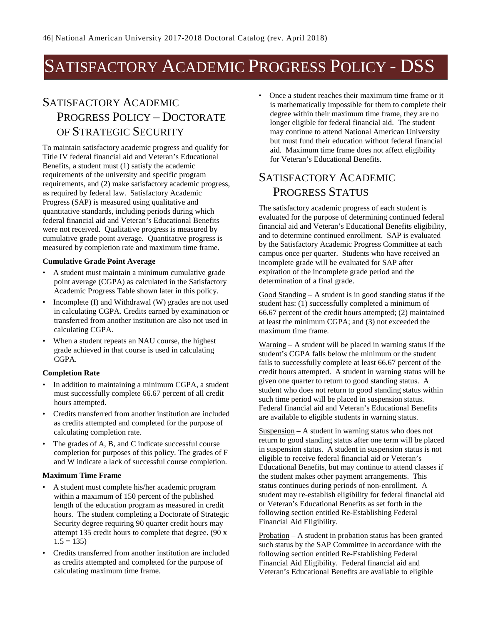# SATISFACTORY ACADEMIC PROGRESS POLICY - DSS

# SATISFACTORY ACADEMIC PROGRESS POLICY – DOCTORATE OF STRATEGIC SECURITY

To maintain satisfactory academic progress and qualify for Title IV federal financial aid and Veteran's Educational Benefits, a student must (1) satisfy the academic requirements of the university and specific program requirements, and (2) make satisfactory academic progress, as required by federal law. Satisfactory Academic Progress (SAP) is measured using qualitative and quantitative standards, including periods during which federal financial aid and Veteran's Educational Benefits were not received. Qualitative progress is measured by cumulative grade point average. Quantitative progress is measured by completion rate and maximum time frame.

#### **Cumulative Grade Point Average**

- A student must maintain a minimum cumulative grade point average (CGPA) as calculated in the Satisfactory Academic Progress Table shown later in this policy.
- Incomplete (I) and Withdrawal (W) grades are not used in calculating CGPA. Credits earned by examination or transferred from another institution are also not used in calculating CGPA.
- When a student repeats an NAU course, the highest grade achieved in that course is used in calculating CGPA.

#### **Completion Rate**

- In addition to maintaining a minimum CGPA, a student must successfully complete 66.67 percent of all credit hours attempted.
- Credits transferred from another institution are included as credits attempted and completed for the purpose of calculating completion rate.
- The grades of A, B, and C indicate successful course completion for purposes of this policy. The grades of F and W indicate a lack of successful course completion.

#### **Maximum Time Frame**

- A student must complete his/her academic program within a maximum of 150 percent of the published length of the education program as measured in credit hours. The student completing a Doctorate of Strategic Security degree requiring 90 quarter credit hours may attempt 135 credit hours to complete that degree. (90 x  $1.5 = 135$
- Credits transferred from another institution are included as credits attempted and completed for the purpose of calculating maximum time frame.

• Once a student reaches their maximum time frame or it is mathematically impossible for them to complete their degree within their maximum time frame, they are no longer eligible for federal financial aid. The student may continue to attend National American University but must fund their education without federal financial aid. Maximum time frame does not affect eligibility for Veteran's Educational Benefits.

## SATISFACTORY ACADEMIC PROGRESS STATUS

The satisfactory academic progress of each student is evaluated for the purpose of determining continued federal financial aid and Veteran's Educational Benefits eligibility, and to determine continued enrollment. SAP is evaluated by the Satisfactory Academic Progress Committee at each campus once per quarter. Students who have received an incomplete grade will be evaluated for SAP after expiration of the incomplete grade period and the determination of a final grade.

Good Standing – A student is in good standing status if the student has: (1) successfully completed a minimum of 66.67 percent of the credit hours attempted; (2) maintained at least the minimum CGPA; and (3) not exceeded the maximum time frame.

Warning  $- A$  student will be placed in warning status if the student's CGPA falls below the minimum or the student fails to successfully complete at least 66.67 percent of the credit hours attempted. A student in warning status will be given one quarter to return to good standing status. A student who does not return to good standing status within such time period will be placed in suspension status. Federal financial aid and Veteran's Educational Benefits are available to eligible students in warning status.

Suspension – A student in warning status who does not return to good standing status after one term will be placed in suspension status. A student in suspension status is not eligible to receive federal financial aid or Veteran's Educational Benefits, but may continue to attend classes if the student makes other payment arrangements. This status continues during periods of non-enrollment. A student may re-establish eligibility for federal financial aid or Veteran's Educational Benefits as set forth in the following section entitled Re-Establishing Federal Financial Aid Eligibility.

Probation – A student in probation status has been granted such status by the SAP Committee in accordance with the following section entitled Re-Establishing Federal Financial Aid Eligibility. Federal financial aid and Veteran's Educational Benefits are available to eligible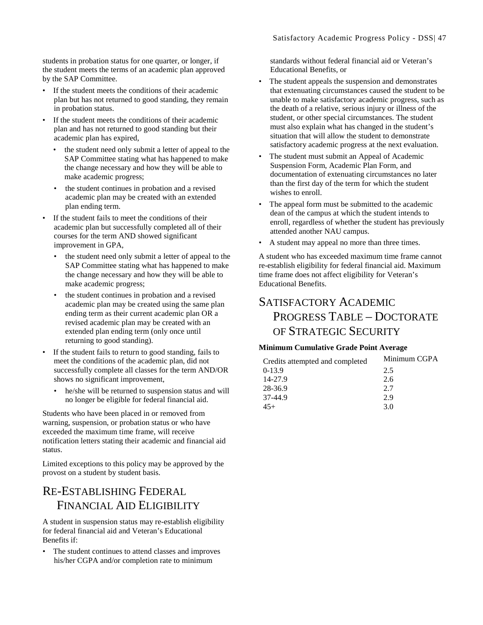students in probation status for one quarter, or longer, if the student meets the terms of an academic plan approved by the SAP Committee.

- If the student meets the conditions of their academic plan but has not returned to good standing, they remain in probation status.
- If the student meets the conditions of their academic plan and has not returned to good standing but their academic plan has expired,
	- the student need only submit a letter of appeal to the SAP Committee stating what has happened to make the change necessary and how they will be able to make academic progress;
	- the student continues in probation and a revised academic plan may be created with an extended plan ending term.
- If the student fails to meet the conditions of their academic plan but successfully completed all of their courses for the term AND showed significant improvement in GPA,
	- the student need only submit a letter of appeal to the SAP Committee stating what has happened to make the change necessary and how they will be able to make academic progress;
	- the student continues in probation and a revised academic plan may be created using the same plan ending term as their current academic plan OR a revised academic plan may be created with an extended plan ending term (only once until returning to good standing).
- If the student fails to return to good standing, fails to meet the conditions of the academic plan, did not successfully complete all classes for the term AND/OR shows no significant improvement,
	- he/she will be returned to suspension status and will no longer be eligible for federal financial aid.

Students who have been placed in or removed from warning, suspension, or probation status or who have exceeded the maximum time frame, will receive notification letters stating their academic and financial aid status.

Limited exceptions to this policy may be approved by the provost on a student by student basis.

# RE-ESTABLISHING FEDERAL FINANCIAL AID ELIGIBILITY

A student in suspension status may re-establish eligibility for federal financial aid and Veteran's Educational Benefits if:

The student continues to attend classes and improves his/her CGPA and/or completion rate to minimum

standards without federal financial aid or Veteran's Educational Benefits, or

- The student appeals the suspension and demonstrates that extenuating circumstances caused the student to be unable to make satisfactory academic progress, such as the death of a relative, serious injury or illness of the student, or other special circumstances. The student must also explain what has changed in the student's situation that will allow the student to demonstrate satisfactory academic progress at the next evaluation.
- The student must submit an Appeal of Academic Suspension Form, Academic Plan Form, and documentation of extenuating circumstances no later than the first day of the term for which the student wishes to enroll.
- The appeal form must be submitted to the academic dean of the campus at which the student intends to enroll, regardless of whether the student has previously attended another NAU campus.
- A student may appeal no more than three times.

A student who has exceeded maximum time frame cannot re-establish eligibility for federal financial aid. Maximum time frame does not affect eligibility for Veteran's Educational Benefits.

# SATISFACTORY ACADEMIC PROGRESS TABLE – DOCTORATE OF STRATEGIC SECURITY

#### **Minimum Cumulative Grade Point Average**

| Credits attempted and completed | Minimum CGPA |  |
|---------------------------------|--------------|--|
| $0-13.9$                        | 2.5          |  |
| 14-27.9                         | 2.6          |  |
| 28-36.9                         | 2.7          |  |
| 37-44.9                         | 2.9          |  |
| $45+$                           | 3.0          |  |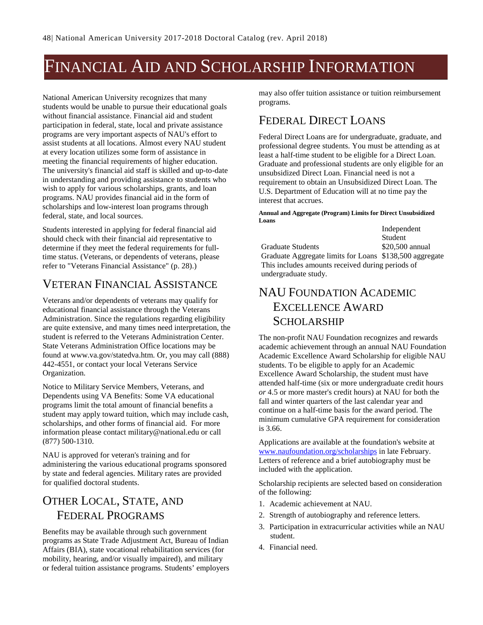# FINANCIAL AID AND SCHOLARSHIP INFORMATION

National American University recognizes that many students would be unable to pursue their educational goals without financial assistance. Financial aid and student participation in federal, state, local and private assistance programs are very important aspects of NAU's effort to assist students at all locations. Almost every NAU student at every location utilizes some form of assistance in meeting the financial requirements of higher education. The university's financial aid staff is skilled and up-to-date in understanding and providing assistance to students who wish to apply for various scholarships, grants, and loan programs. NAU provides financial aid in the form of scholarships and low-interest loan programs through federal, state, and local sources.

Students interested in applying for federal financial aid should check with their financial aid representative to determine if they meet the federal requirements for fulltime status. (Veterans, or dependents of veterans, please refer to "Veterans Financial Assistance" (p. [28\)](#page-28-0).)

### VETERAN FINANCIAL ASSISTANCE

Veterans and/or dependents of veterans may qualify for educational financial assistance through the Veterans Administration. Since the regulations regarding eligibility are quite extensive, and many times need interpretation, the student is referred to the Veterans Administration Center. State Veterans Administration Office locations may be found at www.va.gov/statedva.htm. Or, you may call (888) 442-4551, or contact your local Veterans Service Organization.

Notice to Military Service Members, Veterans, and Dependents using VA Benefits: Some VA educational programs limit the total amount of financial benefits a student may apply toward tuition, which may include cash, scholarships, and other forms of financial aid. For more information please contact military@national.edu or call (877) 500-1310.

NAU is approved for veteran's training and for administering the various educational programs sponsored by state and federal agencies. Military rates are provided for qualified doctoral students.

# OTHER LOCAL, STATE, AND FEDERAL PROGRAMS

Benefits may be available through such government programs as State Trade Adjustment Act, Bureau of Indian Affairs (BIA), state vocational rehabilitation services (for mobility, hearing, and/or visually impaired), and military or federal tuition assistance programs. Students' employers may also offer tuition assistance or tuition reimbursement programs.

# FEDERAL DIRECT LOANS

Federal Direct Loans are for undergraduate, graduate, and professional degree students. You must be attending as at least a half-time student to be eligible for a Direct Loan. Graduate and professional students are only eligible for an unsubsidized Direct Loan. Financial need is not a requirement to obtain an Unsubsidized Direct Loan. The U.S. Department of Education will at no time pay the interest that accrues.

#### **Annual and Aggregate (Program) Limits for Direct Unsubsidized Loans** Independent

|                                                         | mucpendent      |  |  |
|---------------------------------------------------------|-----------------|--|--|
|                                                         | Student         |  |  |
| Graduate Students                                       | \$20,500 annual |  |  |
| Graduate Aggregate limits for Loans \$138,500 aggregate |                 |  |  |
| This includes amounts received during periods of        |                 |  |  |
| undergraduate study.                                    |                 |  |  |

# NAU FOUNDATION ACADEMIC EXCELLENCE AWARD SCHOLARSHIP

The non-profit NAU Foundation recognizes and rewards academic achievement through an annual NAU Foundation Academic Excellence Award Scholarship for eligible NAU students. To be eligible to apply for an Academic Excellence Award Scholarship, the student must have attended half-time (six or more undergraduate credit hours *or* 4.5 or more master's credit hours) at NAU for both the fall and winter quarters of the last calendar year and continue on a half-time basis for the award period. The minimum cumulative GPA requirement for consideration is 3.66.

Applications are available at the foundation's website at [www.naufoundation.org/scholarships](http://www.naufoundation.org/scholarships) in late February. Letters of reference and a brief autobiography must be included with the application.

Scholarship recipients are selected based on consideration of the following:

- 1. Academic achievement at NAU.
- 2. Strength of autobiography and reference letters.
- 3. Participation in extracurricular activities while an NAU student.
- 4. Financial need.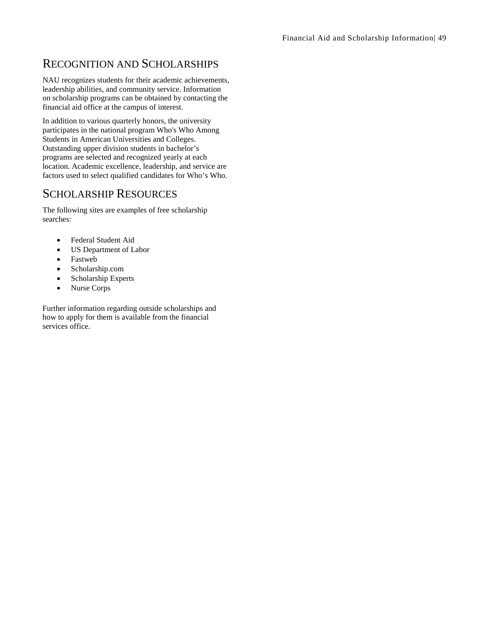# RECOGNITION AND SCHOLARSHIPS

NAU recognizes students for their academic achievements, leadership abilities, and community service. Information on scholarship programs can be obtained by contacting the financial aid office at the campus of interest.

In addition to various quarterly honors, the university participates in the national program Who's Who Among Students in American Universities and Colleges. Outstanding upper division students in bachelor's programs are selected and recognized yearly at each location. Academic excellence, leadership, and service are factors used to select qualified candidates for Who's Who.

### SCHOLARSHIP RESOURCES

The following sites are examples of free scholarship searches:

- Federal Student Aid
- US Department of Labor
- Fastweb
- Scholarship.com
- Scholarship Experts
- Nurse Corps

Further information regarding outside scholarships and how to apply for them is available from the financial services office.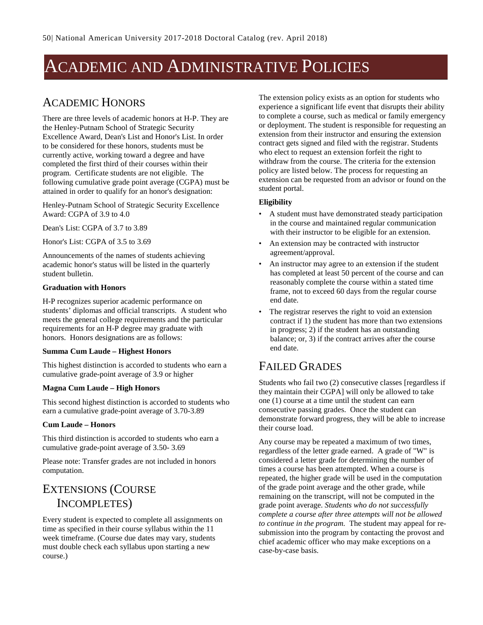# ACADEMIC AND ADMINISTRATIVE POLICIES

### ACADEMIC HONORS

There are three levels of academic honors at H-P. They are the Henley-Putnam School of Strategic Security Excellence Award, Dean's List and Honor's List. In order to be considered for these honors, students must be currently active, working toward a degree and have completed the first third of their courses within their program. Certificate students are not eligible. The following cumulative grade point average (CGPA) must be attained in order to qualify for an honor's designation:

Henley-Putnam School of Strategic Security Excellence Award: CGPA of 3.9 to 4.0

Dean's List: CGPA of 3.7 to 3.89

Honor's List: CGPA of 3.5 to 3.69

Announcements of the names of students achieving academic honor's status will be listed in the quarterly student bulletin.

#### **Graduation with Honors**

H-P recognizes superior academic performance on students' diplomas and official transcripts. A student who meets the general college requirements and the particular requirements for an H-P degree may graduate with honors. Honors designations are as follows:

#### **Summa Cum Laude – Highest Honors**

This highest distinction is accorded to students who earn a cumulative grade-point average of 3.9 or higher

#### **Magna Cum Laude – High Honors**

This second highest distinction is accorded to students who earn a cumulative grade-point average of 3.70-3.89

#### **Cum Laude – Honors**

This third distinction is accorded to students who earn a cumulative grade-point average of 3.50- 3.69

Please note: Transfer grades are not included in honors computation.

# EXTENSIONS (COURSE INCOMPLETES)

Every student is expected to complete all assignments on time as specified in their course syllabus within the 11 week timeframe. (Course due dates may vary, students must double check each syllabus upon starting a new course.)

The extension policy exists as an option for students who experience a significant life event that disrupts their ability to complete a course, such as medical or family emergency or deployment. The student is responsible for requesting an extension from their instructor and ensuring the extension contract gets signed and filed with the registrar. Students who elect to request an extension forfeit the right to withdraw from the course. The criteria for the extension policy are listed below. The process for requesting an extension can be requested from an advisor or found on the student portal.

#### **Eligibility**

- A student must have demonstrated steady participation in the course and maintained regular communication with their instructor to be eligible for an extension.
- An extension may be contracted with instructor agreement/approval.
- An instructor may agree to an extension if the student has completed at least 50 percent of the course and can reasonably complete the course within a stated time frame, not to exceed 60 days from the regular course end date.
- The registrar reserves the right to void an extension contract if 1) the student has more than two extensions in progress; 2) if the student has an outstanding balance; or, 3) if the contract arrives after the course end date.

### FAILED GRADES

Students who fail two (2) consecutive classes [regardless if they maintain their CGPA] will only be allowed to take one (1) course at a time until the student can earn consecutive passing grades. Once the student can demonstrate forward progress, they will be able to increase their course load.

Any course may be repeated a maximum of two times, regardless of the letter grade earned. A grade of "W" is considered a letter grade for determining the number of times a course has been attempted. When a course is repeated, the higher grade will be used in the computation of the grade point average and the other grade, while remaining on the transcript, will not be computed in the grade point average. *Students who do not successfully complete a course after three attempts will not be allowed to continue in the program.* The student may appeal for resubmission into the program by contacting the provost and chief academic officer who may make exceptions on a case-by-case basis.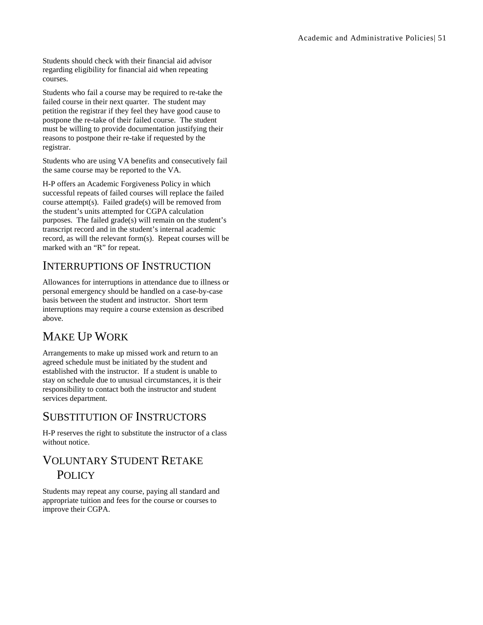Students should check with their financial aid advisor regarding eligibility for financial aid when repeating courses.

Students who fail a course may be required to re-take the failed course in their next quarter. The student may petition the registrar if they feel they have good cause to postpone the re-take of their failed course. The student must be willing to provide documentation justifying their reasons to postpone their re-take if requested by the registrar.

Students who are using VA benefits and consecutively fail the same course may be reported to the VA.

H-P offers an Academic Forgiveness Policy in which successful repeats of failed courses will replace the failed course attempt(s). Failed grade(s) will be removed from the student's units attempted for CGPA calculation purposes. The failed grade(s) will remain on the student's transcript record and in the student's internal academic record, as will the relevant form(s). Repeat courses will be marked with an "R" for repeat.

### INTERRUPTIONS OF INSTRUCTION

Allowances for interruptions in attendance due to illness or personal emergency should be handled on a case-by-case basis between the student and instructor. Short term interruptions may require a course extension as described above.

# MAKE UP WORK

Arrangements to make up missed work and return to an agreed schedule must be initiated by the student and established with the instructor. If a student is unable to stay on schedule due to unusual circumstances, it is their responsibility to contact both the instructor and student services department.

### SUBSTITUTION OF INSTRUCTORS

H-P reserves the right to substitute the instructor of a class without notice.

# VOLUNTARY STUDENT RETAKE **POLICY**

Students may repeat any course, paying all standard and appropriate tuition and fees for the course or courses to improve their CGPA.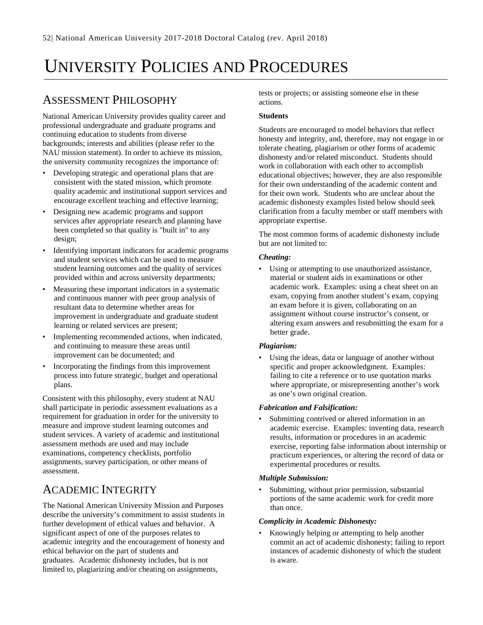# UNIVERSITY POLICIES AND PROCEDURES

# ASSESSMENT PHILOSOPHY

National American University provides quality career and professional undergraduate and graduate programs and continuing education to students from diverse backgrounds; interests and abilities (please refer to the NAU mission statement). In order to achieve its mission, the university community recognizes the importance of:

- Developing strategic and operational plans that are consistent with the stated mission, which promote quality academic and institutional support services and encourage excellent teaching and effective learning;
- Designing new academic programs and support services after appropriate research and planning have been completed so that quality is "built in" to any design;
- Identifying important indicators for academic programs and student services which can be used to measure student learning outcomes and the quality of services provided within and across university departments;
- Measuring these important indicators in a systematic and continuous manner with peer group analysis of resultant data to determine whether areas for improvement in undergraduate and graduate student learning or related services are present;
- Implementing recommended actions, when indicated, and continuing to measure these areas until improvement can be documented; and
- Incorporating the findings from this improvement process into future strategic, budget and operational plans.

Consistent with this philosophy, every student at NAU shall participate in periodic assessment evaluations as a requirement for graduation in order for the university to measure and improve student learning outcomes and student services. A variety of academic and institutional assessment methods are used and may include examinations, competency checklists, portfolio assignments, survey participation, or other means of assessment.

# ACADEMIC INTEGRITY

The National American University Mission and Purposes describe the university's commitment to assist students in further development of ethical values and behavior. A significant aspect of one of the purposes relates to academic integrity and the encouragement of honesty and ethical behavior on the part of students and graduates. Academic dishonesty includes, but is not limited to, plagiarizing and/or cheating on assignments,

tests or projects; or assisting someone else in these actions.

### **Students**

Students are encouraged to model behaviors that reflect honesty and integrity, and, therefore, may not engage in or tolerate cheating, plagiarism or other forms of academic dishonesty and/or related misconduct. Students should work in collaboration with each other to accomplish educational objectives; however, they are also responsible for their own understanding of the academic content and for their own work. Students who are unclear about the academic dishonesty examples listed below should seek clarification from a faculty member or staff members with appropriate expertise.

The most common forms of academic dishonesty include but are not limited to:

### *Cheating:*

• Using or attempting to use unauthorized assistance, material or student aids in examinations or other academic work. Examples: using a cheat sheet on an exam, copying from another student's exam, copying an exam before it is given, collaborating on an assignment without course instructor's consent, or altering exam answers and resubmitting the exam for a better grade.

#### *Plagiarism:*

Using the ideas, data or language of another without specific and proper acknowledgment. Examples: failing to cite a reference or to use quotation marks where appropriate, or misrepresenting another's work as one's own original creation.

#### *Fabrication and Falsification:*

Submitting contrived or altered information in an academic exercise. Examples: inventing data, research results, information or procedures in an academic exercise, reporting false information about internship or practicum experiences, or altering the record of data or experimental procedures or results.

#### *Multiple Submission:*

Submitting, without prior permission, substantial portions of the same academic work for credit more than once.

#### *Complicity in Academic Dishonesty:*

• Knowingly helping or attempting to help another commit an act of academic dishonesty; failing to report instances of academic dishonesty of which the student is aware.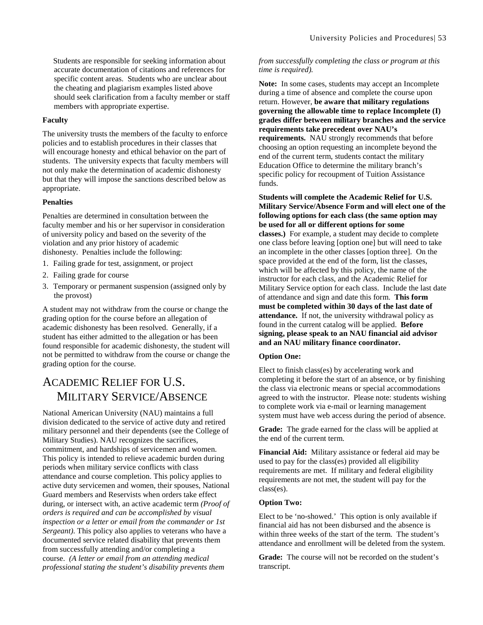Students are responsible for seeking information about accurate documentation of citations and references for specific content areas. Students who are unclear about the cheating and plagiarism examples listed above should seek clarification from a faculty member or staff members with appropriate expertise.

#### **Faculty**

The university trusts the members of the faculty to enforce policies and to establish procedures in their classes that will encourage honesty and ethical behavior on the part of students. The university expects that faculty members will not only make the determination of academic dishonesty but that they will impose the sanctions described below as appropriate.

#### **Penalties**

Penalties are determined in consultation between the faculty member and his or her supervisor in consideration of university policy and based on the severity of the violation and any prior history of academic dishonesty. Penalties include the following:

- 1. Failing grade for test, assignment, or project
- 2. Failing grade for course
- 3. Temporary or permanent suspension (assigned only by the provost)

A student may not withdraw from the course or change the grading option for the course before an allegation of academic dishonesty has been resolved. Generally, if a student has either admitted to the allegation or has been found responsible for academic dishonesty, the student will not be permitted to withdraw from the course or change the grading option for the course.

# ACADEMIC RELIEF FOR U.S. MILITARY SERVICE/ABSENCE

National American University (NAU) maintains a full division dedicated to the service of active duty and retired military personnel and their dependents (see the College of Military Studies). NAU recognizes the sacrifices, commitment, and hardships of servicemen and women. This policy is intended to relieve academic burden during periods when military service conflicts with class attendance and course completion. This policy applies to active duty servicemen and women, their spouses, National Guard members and Reservists when orders take effect during, or intersect with, an active academic term *(Proof of orders is required and can be accomplished by visual inspection or a letter or email from the commander or 1st Sergeant)*. This policy also applies to veterans who have a documented service related disability that prevents them from successfully attending and/or completing a course. *(A letter or email from an attending medical professional stating the student's disability prevents them* 

#### *from successfully completing the class or program at this time is required).*

**Note:** In some cases, students may accept an Incomplete during a time of absence and complete the course upon return. However, **be aware that military regulations governing the allowable time to replace Incomplete (I) grades differ between military branches and the service requirements take precedent over NAU's requirements.** NAU strongly recommends that before choosing an option requesting an incomplete beyond the end of the current term, students contact the military Education Office to determine the military branch's specific policy for recoupment of Tuition Assistance funds.

#### **Students will complete the Academic Relief for U.S. Military Service/Absence Form and will elect one of the following options for each class (the same option may be used for all or different options for some classes.)** For example, a student may decide to complete one class before leaving [option one] but will need to take an incomplete in the other classes [option three]. On the space provided at the end of the form, list the classes, which will be affected by this policy, the name of the instructor for each class, and the Academic Relief for Military Service option for each class. Include the last date of attendance and sign and date this form. **This form must be completed within 30 days of the last date of attendance.** If not, the university withdrawal policy as found in the current catalog will be applied. **Before signing, please speak to an NAU financial aid advisor and an NAU military finance coordinator.**

#### **Option One:**

Elect to finish class(es) by accelerating work and completing it before the start of an absence, or by finishing the class via electronic means or special accommodations agreed to with the instructor. Please note: students wishing to complete work via e-mail or learning management system must have web access during the period of absence.

**Grade:** The grade earned for the class will be applied at the end of the current term.

**Financial Aid:** Military assistance or federal aid may be used to pay for the class(es) provided all eligibility requirements are met. If military and federal eligibility requirements are not met, the student will pay for the class(es).

#### **Option Two:**

Elect to be 'no-showed.' This option is only available if financial aid has not been disbursed and the absence is within three weeks of the start of the term. The student's attendance and enrollment will be deleted from the system.

**Grade:** The course will not be recorded on the student's transcript.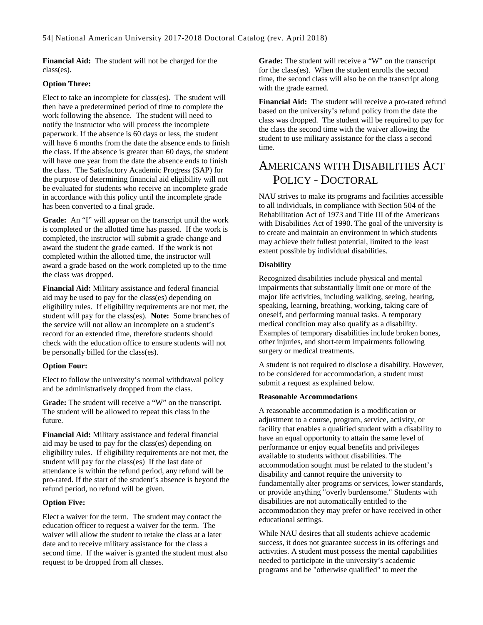**Financial Aid:** The student will not be charged for the class(es).

#### **Option Three:**

Elect to take an incomplete for class(es). The student will then have a predetermined period of time to complete the work following the absence. The student will need to notify the instructor who will process the incomplete paperwork. If the absence is 60 days or less, the student will have 6 months from the date the absence ends to finish the class. If the absence is greater than 60 days, the student will have one year from the date the absence ends to finish the class. The Satisfactory Academic Progress (SAP) for the purpose of determining financial aid eligibility will not be evaluated for students who receive an incomplete grade in accordance with this policy until the incomplete grade has been converted to a final grade.

**Grade:** An "I" will appear on the transcript until the work is completed or the allotted time has passed. If the work is completed, the instructor will submit a grade change and award the student the grade earned. If the work is not completed within the allotted time, the instructor will award a grade based on the work completed up to the time the class was dropped.

**Financial Aid:** Military assistance and federal financial aid may be used to pay for the class(es) depending on eligibility rules. If eligibility requirements are not met, the student will pay for the class(es). **Note:** Some branches of the service will not allow an incomplete on a student's record for an extended time, therefore students should check with the education office to ensure students will not be personally billed for the class(es).

#### **Option Four:**

Elect to follow the university's normal withdrawal policy and be administratively dropped from the class.

**Grade:** The student will receive a "W" on the transcript. The student will be allowed to repeat this class in the future.

**Financial Aid:** Military assistance and federal financial aid may be used to pay for the class(es) depending on eligibility rules. If eligibility requirements are not met, the student will pay for the class(es) If the last date of attendance is within the refund period, any refund will be pro-rated. If the start of the student's absence is beyond the refund period, no refund will be given.

#### **Option Five:**

Elect a waiver for the term. The student may contact the education officer to request a waiver for the term. The waiver will allow the student to retake the class at a later date and to receive military assistance for the class a second time. If the waiver is granted the student must also request to be dropped from all classes.

**Grade:** The student will receive a "W" on the transcript for the class(es). When the student enrolls the second time, the second class will also be on the transcript along with the grade earned.

**Financial Aid:** The student will receive a pro-rated refund based on the university's refund policy from the date the class was dropped. The student will be required to pay for the class the second time with the waiver allowing the student to use military assistance for the class a second time.

## AMERICANS WITH DISABILITIES ACT POLICY - DOCTORAL

NAU strives to make its programs and facilities accessible to all individuals, in compliance with Section 504 of the Rehabilitation Act of 1973 and Title III of the Americans with Disabilities Act of 1990. The goal of the university is to create and maintain an environment in which students may achieve their fullest potential, limited to the least extent possible by individual disabilities.

#### **Disability**

Recognized disabilities include physical and mental impairments that substantially limit one or more of the major life activities, including walking, seeing, hearing, speaking, learning, breathing, working, taking care of oneself, and performing manual tasks. A temporary medical condition may also qualify as a disability. Examples of temporary disabilities include broken bones, other injuries, and short-term impairments following surgery or medical treatments.

A student is not required to disclose a disability. However, to be considered for accommodation, a student must submit a request as explained below.

#### **Reasonable Accommodations**

A reasonable accommodation is a modification or adjustment to a course, program, service, activity, or facility that enables a qualified student with a disability to have an equal opportunity to attain the same level of performance or enjoy equal benefits and privileges available to students without disabilities. The accommodation sought must be related to the student's disability and cannot require the university to fundamentally alter programs or services, lower standards, or provide anything "overly burdensome." Students with disabilities are not automatically entitled to the accommodation they may prefer or have received in other educational settings.

While NAU desires that all students achieve academic success, it does not guarantee success in its offerings and activities. A student must possess the mental capabilities needed to participate in the university's academic programs and be "otherwise qualified" to meet the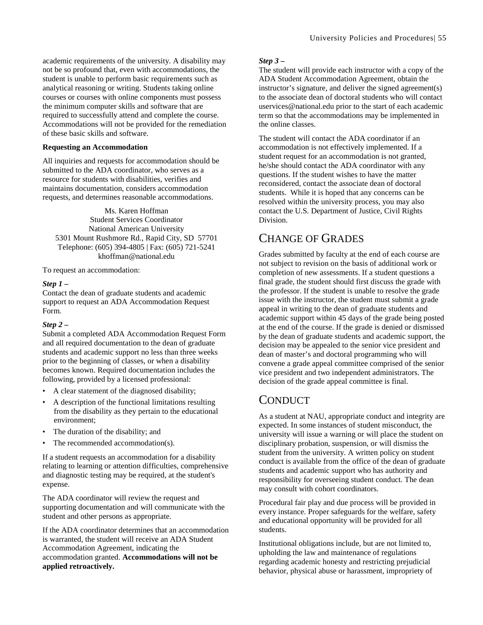academic requirements of the university. A disability may not be so profound that, even with accommodations, the student is unable to perform basic requirements such as analytical reasoning or writing. Students taking online courses or courses with online components must possess the minimum computer skills and software that are required to successfully attend and complete the course. Accommodations will not be provided for the remediation of these basic skills and software.

#### **Requesting an Accommodation**

All inquiries and requests for accommodation should be submitted to the ADA coordinator, who serves as a resource for students with disabilities, verifies and maintains documentation, considers accommodation requests, and determines reasonable accommodations.

Ms. Karen Hoffman Student Services Coordinator National American University 5301 Mount Rushmore Rd., Rapid City, SD 57701 Telephone: (605) 394-4805 | Fax: (605) 721-5241 khoffman@national.edu

To request an accommodation:

#### *Step 1 –*

Contact the dean of graduate students and academic support to request an ADA Accommodation Request Form.

#### *Step 2 –*

Submit a completed ADA Accommodation Request Form and all required documentation to the dean of graduate students and academic support no less than three weeks prior to the beginning of classes, or when a disability becomes known. Required documentation includes the following, provided by a licensed professional:

- A clear statement of the diagnosed disability;
- A description of the functional limitations resulting from the disability as they pertain to the educational environment;
- The duration of the disability; and
- The recommended accommodation(s).

If a student requests an accommodation for a disability relating to learning or attention difficulties, comprehensive and diagnostic testing may be required, at the student's expense.

The ADA coordinator will review the request and supporting documentation and will communicate with the student and other persons as appropriate.

If the ADA coordinator determines that an accommodation is warranted, the student will receive an ADA Student Accommodation Agreement, indicating the accommodation granted. **Accommodations will not be applied retroactively.**

#### *Step 3 –*

The student will provide each instructor with a copy of the ADA Student Accommodation Agreement, obtain the instructor's signature, and deliver the signed agreement(s) to the associate dean of doctoral students who will contact uservices@national.edu prior to the start of each academic term so that the accommodations may be implemented in the online classes.

The student will contact the ADA coordinator if an accommodation is not effectively implemented. If a student request for an accommodation is not granted, he/she should contact the ADA coordinator with any questions. If the student wishes to have the matter reconsidered, contact the associate dean of doctoral students. While it is hoped that any concerns can be resolved within the university process, you may also contact the U.S. Department of Justice, Civil Rights Division.

### CHANGE OF GRADES

Grades submitted by faculty at the end of each course are not subject to revision on the basis of additional work or completion of new assessments. If a student questions a final grade, the student should first discuss the grade with the professor. If the student is unable to resolve the grade issue with the instructor, the student must submit a grade appeal in writing to the dean of graduate students and academic support within 45 days of the grade being posted at the end of the course. If the grade is denied or dismissed by the dean of graduate students and academic support, the decision may be appealed to the senior vice president and dean of master's and doctoral programming who will convene a grade appeal committee comprised of the senior vice president and two independent administrators. The decision of the grade appeal committee is final.

### **CONDUCT**

As a student at NAU, appropriate conduct and integrity are expected. In some instances of student misconduct, the university will issue a warning or will place the student on disciplinary probation, suspension, or will dismiss the student from the university. A written policy on student conduct is available from the office of the dean of graduate students and academic support who has authority and responsibility for overseeing student conduct. The dean may consult with cohort coordinators.

Procedural fair play and due process will be provided in every instance. Proper safeguards for the welfare, safety and educational opportunity will be provided for all students.

Institutional obligations include, but are not limited to, upholding the law and maintenance of regulations regarding academic honesty and restricting prejudicial behavior, physical abuse or harassment, impropriety of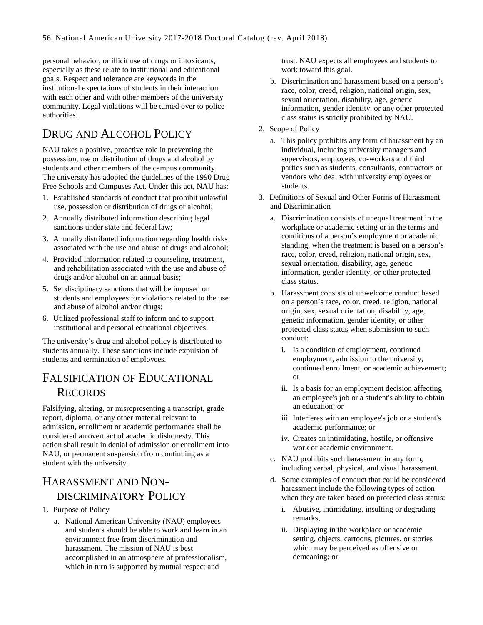personal behavior, or illicit use of drugs or intoxicants, especially as these relate to institutional and educational goals. Respect and tolerance are keywords in the institutional expectations of students in their interaction with each other and with other members of the university community. Legal violations will be turned over to police authorities.

# DRUG AND ALCOHOL POLICY

NAU takes a positive, proactive role in preventing the possession, use or distribution of drugs and alcohol by students and other members of the campus community. The university has adopted the guidelines of the 1990 Drug Free Schools and Campuses Act. Under this act, NAU has:

- 1. Established standards of conduct that prohibit unlawful use, possession or distribution of drugs or alcohol;
- 2. Annually distributed information describing legal sanctions under state and federal law;
- 3. Annually distributed information regarding health risks associated with the use and abuse of drugs and alcohol;
- 4. Provided information related to counseling, treatment, and rehabilitation associated with the use and abuse of drugs and/or alcohol on an annual basis;
- 5. Set disciplinary sanctions that will be imposed on students and employees for violations related to the use and abuse of alcohol and/or drugs;
- 6. Utilized professional staff to inform and to support institutional and personal educational objectives.

The university's drug and alcohol policy is distributed to students annually. These sanctions include expulsion of students and termination of employees.

## FALSIFICATION OF EDUCATIONAL RECORDS

Falsifying, altering, or misrepresenting a transcript, grade report, diploma, or any other material relevant to admission, enrollment or academic performance shall be considered an overt act of academic dishonesty. This action shall result in denial of admission or enrollment into NAU, or permanent suspension from continuing as a student with the university.

## HARASSMENT AND NON-DISCRIMINATORY POLICY

- 1. Purpose of Policy
	- a. National American University (NAU) employees and students should be able to work and learn in an environment free from discrimination and harassment. The mission of NAU is best accomplished in an atmosphere of professionalism, which in turn is supported by mutual respect and

trust. NAU expects all employees and students to work toward this goal.

- b. Discrimination and harassment based on a person's race, color, creed, religion, national origin, sex, sexual orientation, disability, age, genetic information, gender identity, or any other protected class status is strictly prohibited by NAU.
- 2. Scope of Policy
	- a. This policy prohibits any form of harassment by an individual, including university managers and supervisors, employees, co-workers and third parties such as students, consultants, contractors or vendors who deal with university employees or students.
- 3. Definitions of Sexual and Other Forms of Harassment and Discrimination
	- a. Discrimination consists of unequal treatment in the workplace or academic setting or in the terms and conditions of a person's employment or academic standing, when the treatment is based on a person's race, color, creed, religion, national origin, sex, sexual orientation, disability, age, genetic information, gender identity, or other protected class status.
	- b. Harassment consists of unwelcome conduct based on a person's race, color, creed, religion, national origin, sex, sexual orientation, disability, age, genetic information, gender identity, or other protected class status when submission to such conduct:
		- i. Is a condition of employment, continued employment, admission to the university, continued enrollment, or academic achievement; or
		- ii. Is a basis for an employment decision affecting an employee's job or a student's ability to obtain an education; or
		- iii. Interferes with an employee's job or a student's academic performance; or
		- iv. Creates an intimidating, hostile, or offensive work or academic environment.
	- c. NAU prohibits such harassment in any form, including verbal, physical, and visual harassment.
	- d. Some examples of conduct that could be considered harassment include the following types of action when they are taken based on protected class status:
		- i. Abusive, intimidating, insulting or degrading remarks;
		- ii. Displaying in the workplace or academic setting, objects, cartoons, pictures, or stories which may be perceived as offensive or demeaning; or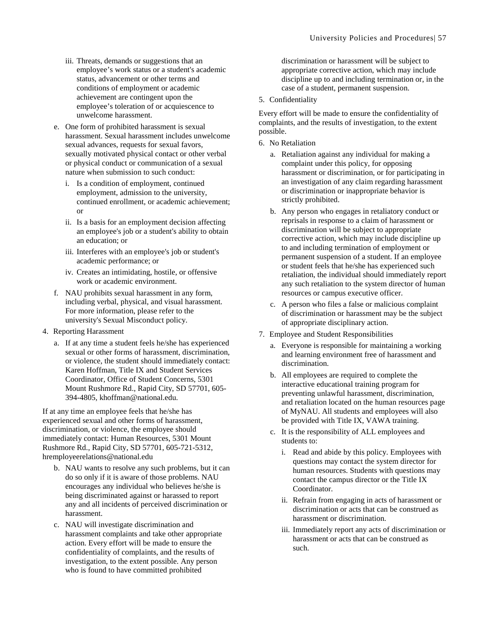- iii. Threats, demands or suggestions that an employee's work status or a student's academic status, advancement or other terms and conditions of employment or academic achievement are contingent upon the employee's toleration of or acquiescence to unwelcome harassment.
- e. One form of prohibited harassment is sexual harassment. Sexual harassment includes unwelcome sexual advances, requests for sexual favors, sexually motivated physical contact or other verbal or physical conduct or communication of a sexual nature when submission to such conduct:
	- i. Is a condition of employment, continued employment, admission to the university, continued enrollment, or academic achievement; or
	- ii. Is a basis for an employment decision affecting an employee's job or a student's ability to obtain an education; or
	- iii. Interferes with an employee's job or student's academic performance; or
	- iv. Creates an intimidating, hostile, or offensive work or academic environment.
- f. NAU prohibits sexual harassment in any form, including verbal, physical, and visual harassment. For more information, please refer to the university's Sexual Misconduct policy.
- 4. Reporting Harassment
	- a. If at any time a student feels he/she has experienced sexual or other forms of harassment, discrimination, or violence, the student should immediately contact: Karen Hoffman, Title IX and Student Services Coordinator, Office of Student Concerns, 5301 Mount Rushmore Rd., Rapid City, SD 57701, 605- 394-4805, khoffman@national.edu.

If at any time an employee feels that he/she has experienced sexual and other forms of harassment, discrimination, or violence, the employee should immediately contact: Human Resources, 5301 Mount Rushmore Rd., Rapid City, SD 57701, 605-721-5312, hremployeerelations@national.edu

- b. NAU wants to resolve any such problems, but it can do so only if it is aware of those problems. NAU encourages any individual who believes he/she is being discriminated against or harassed to report any and all incidents of perceived discrimination or harassment.
- c. NAU will investigate discrimination and harassment complaints and take other appropriate action. Every effort will be made to ensure the confidentiality of complaints, and the results of investigation, to the extent possible. Any person who is found to have committed prohibited

discrimination or harassment will be subject to appropriate corrective action, which may include discipline up to and including termination or, in the case of a student, permanent suspension.

5. Confidentiality

Every effort will be made to ensure the confidentiality of complaints, and the results of investigation, to the extent possible.

- 6. No Retaliation
	- a. Retaliation against any individual for making a complaint under this policy, for opposing harassment or discrimination, or for participating in an investigation of any claim regarding harassment or discrimination or inappropriate behavior is strictly prohibited.
	- b. Any person who engages in retaliatory conduct or reprisals in response to a claim of harassment or discrimination will be subject to appropriate corrective action, which may include discipline up to and including termination of employment or permanent suspension of a student. If an employee or student feels that he/she has experienced such retaliation, the individual should immediately report any such retaliation to the system director of human resources or campus executive officer.
	- c. A person who files a false or malicious complaint of discrimination or harassment may be the subject of appropriate disciplinary action.
- 7. Employee and Student Responsibilities
	- a. Everyone is responsible for maintaining a working and learning environment free of harassment and discrimination.
	- b. All employees are required to complete the interactive educational training program for preventing unlawful harassment, discrimination, and retaliation located on the human resources page of MyNAU. All students and employees will also be provided with Title IX, VAWA training.
	- c. It is the responsibility of ALL employees and students to:
		- i. Read and abide by this policy. Employees with questions may contact the system director for human resources. Students with questions may contact the campus director or the Title IX Coordinator.
		- ii. Refrain from engaging in acts of harassment or discrimination or acts that can be construed as harassment or discrimination.
		- iii. Immediately report any acts of discrimination or harassment or acts that can be construed as such.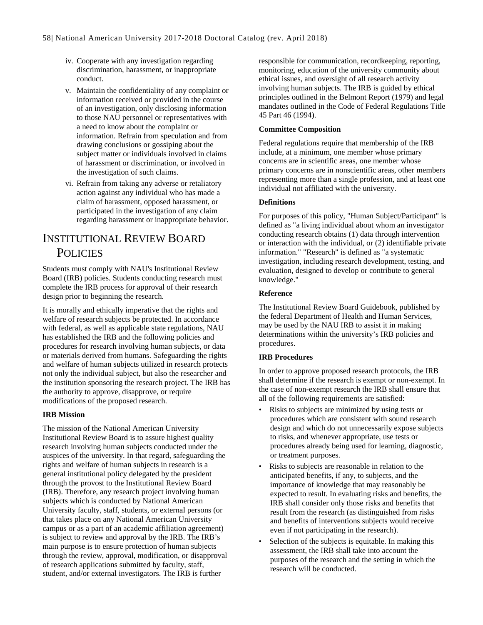- iv. Cooperate with any investigation regarding discrimination, harassment, or inappropriate conduct.
- v. Maintain the confidentiality of any complaint or information received or provided in the course of an investigation, only disclosing information to those NAU personnel or representatives with a need to know about the complaint or information. Refrain from speculation and from drawing conclusions or gossiping about the subject matter or individuals involved in claims of harassment or discrimination, or involved in the investigation of such claims.
- vi. Refrain from taking any adverse or retaliatory action against any individual who has made a claim of harassment, opposed harassment, or participated in the investigation of any claim regarding harassment or inappropriate behavior.

## INSTITUTIONAL REVIEW BOARD **POLICIES**

Students must comply with NAU's Institutional Review Board (IRB) policies. Students conducting research must complete the IRB process for approval of their research design prior to beginning the research.

It is morally and ethically imperative that the rights and welfare of research subjects be protected. In accordance with federal, as well as applicable state regulations, NAU has established the IRB and the following policies and procedures for research involving human subjects, or data or materials derived from humans. Safeguarding the rights and welfare of human subjects utilized in research protects not only the individual subject, but also the researcher and the institution sponsoring the research project. The IRB has the authority to approve, disapprove, or require modifications of the proposed research.

#### **IRB Mission**

The mission of the National American University Institutional Review Board is to assure highest quality research involving human subjects conducted under the auspices of the university. In that regard, safeguarding the rights and welfare of human subjects in research is a general institutional policy delegated by the president through the provost to the Institutional Review Board (IRB). Therefore, any research project involving human subjects which is conducted by National American University faculty, staff, students, or external persons (or that takes place on any National American University campus or as a part of an academic affiliation agreement) is subject to review and approval by the IRB. The IRB's main purpose is to ensure protection of human subjects through the review, approval, modification, or disapproval of research applications submitted by faculty, staff, student, and/or external investigators. The IRB is further

responsible for communication, recordkeeping, reporting, monitoring, education of the university community about ethical issues, and oversight of all research activity involving human subjects. The IRB is guided by ethical principles outlined in the Belmont Report (1979) and legal mandates outlined in the Code of Federal Regulations Title 45 Part 46 (1994).

#### **Committee Composition**

Federal regulations require that membership of the IRB include, at a minimum, one member whose primary concerns are in scientific areas, one member whose primary concerns are in nonscientific areas, other members representing more than a single profession, and at least one individual not affiliated with the university.

#### **Definitions**

For purposes of this policy, "Human Subject/Participant" is defined as "a living individual about whom an investigator conducting research obtains (1) data through intervention or interaction with the individual, or (2) identifiable private information." "Research" is defined as "a systematic investigation, including research development, testing, and evaluation, designed to develop or contribute to general knowledge."

#### **Reference**

The Institutional Review Board Guidebook, published by the federal Department of Health and Human Services, may be used by the NAU IRB to assist it in making determinations within the university's IRB policies and procedures.

#### **IRB Procedures**

In order to approve proposed research protocols, the IRB shall determine if the research is exempt or non-exempt. In the case of non-exempt research the IRB shall ensure that all of the following requirements are satisfied:

- Risks to subjects are minimized by using tests or procedures which are consistent with sound research design and which do not unnecessarily expose subjects to risks, and whenever appropriate, use tests or procedures already being used for learning, diagnostic, or treatment purposes.
- Risks to subjects are reasonable in relation to the anticipated benefits, if any, to subjects, and the importance of knowledge that may reasonably be expected to result. In evaluating risks and benefits, the IRB shall consider only those risks and benefits that result from the research (as distinguished from risks and benefits of interventions subjects would receive even if not participating in the research).
- Selection of the subjects is equitable. In making this assessment, the IRB shall take into account the purposes of the research and the setting in which the research will be conducted.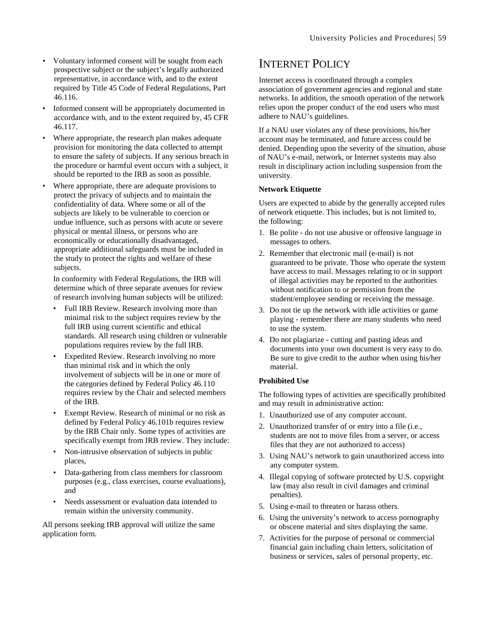- Voluntary informed consent will be sought from each prospective subject or the subject's legally authorized representative, in accordance with, and to the extent required by Title 45 Code of Federal Regulations, Part 46.116.
- Informed consent will be appropriately documented in accordance with, and to the extent required by, 45 CFR 46.117.
- Where appropriate, the research plan makes adequate provision for monitoring the data collected to attempt to ensure the safety of subjects. If any serious breach in the procedure or harmful event occurs with a subject, it should be reported to the IRB as soon as possible.
- Where appropriate, there are adequate provisions to protect the privacy of subjects and to maintain the confidentiality of data. Where some or all of the subjects are likely to be vulnerable to coercion or undue influence, such as persons with acute or severe physical or mental illness, or persons who are economically or educationally disadvantaged, appropriate additional safeguards must be included in the study to protect the rights and welfare of these subjects.

In conformity with Federal Regulations, the IRB will determine which of three separate avenues for review of research involving human subjects will be utilized:

- Full IRB Review. Research involving more than minimal risk to the subject requires review by the full IRB using current scientific and ethical standards. All research using children or vulnerable populations requires review by the full IRB.
- Expedited Review. Research involving no more than minimal risk and in which the only involvement of subjects will be in one or more of the categories defined by Federal Policy 46.110 requires review by the Chair and selected members of the IRB.
- Exempt Review. Research of minimal or no risk as defined by Federal Policy 46.101b requires review by the IRB Chair only. Some types of activities are specifically exempt from IRB review. They include:
- Non-intrusive observation of subjects in public places,
- Data-gathering from class members for classroom purposes (e.g., class exercises, course evaluations), and
- Needs assessment or evaluation data intended to remain within the university community.

All persons seeking IRB approval will utilize the same application form.

### INTERNET POLICY

Internet access is coordinated through a complex association of government agencies and regional and state networks. In addition, the smooth operation of the network relies upon the proper conduct of the end users who must adhere to NAU's guidelines.

If a NAU user violates any of these provisions, his/her account may be terminated, and future access could be denied. Depending upon the severity of the situation, abuse of NAU's e-mail, network, or Internet systems may also result in disciplinary action including suspension from the university.

#### **Network Etiquette**

Users are expected to abide by the generally accepted rules of network etiquette. This includes, but is not limited to, the following:

- 1. Be polite do not use abusive or offensive language in messages to others.
- 2. Remember that electronic mail (e-mail) is not guaranteed to be private. Those who operate the system have access to mail. Messages relating to or in support of illegal activities may be reported to the authorities without notification to or permission from the student/employee sending or receiving the message.
- 3. Do not tie up the network with idle activities or game playing - remember there are many students who need to use the system.
- 4. Do not plagiarize cutting and pasting ideas and documents into your own document is very easy to do. Be sure to give credit to the author when using his/her material.

#### **Prohibited Use**

The following types of activities are specifically prohibited and may result in administrative action:

- 1. Unauthorized use of any computer account.
- 2. Unauthorized transfer of or entry into a file (i.e., students are not to move files from a server, or access files that they are not authorized to access)
- 3. Using NAU's network to gain unauthorized access into any computer system.
- 4. Illegal copying of software protected by U.S. copyright law (may also result in civil damages and criminal penalties).
- 5. Using e-mail to threaten or harass others.
- 6. Using the university's network to access pornography or obscene material and sites displaying the same.
- 7. Activities for the purpose of personal or commercial financial gain including chain letters, solicitation of business or services, sales of personal property, etc.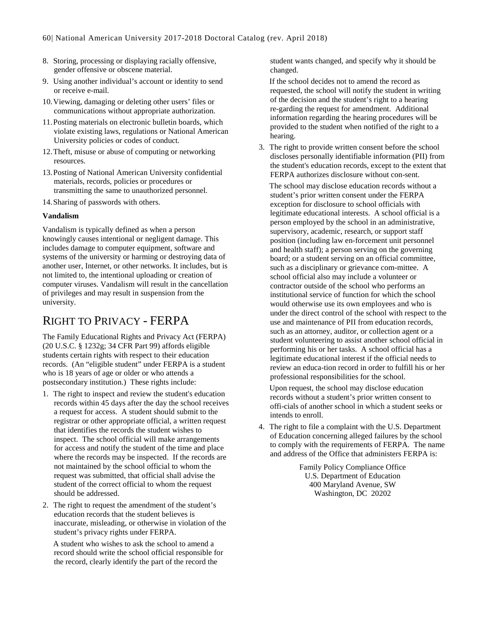- 8. Storing, processing or displaying racially offensive, gender offensive or obscene material.
- 9. Using another individual's account or identity to send or receive e-mail.
- 10.Viewing, damaging or deleting other users' files or communications without appropriate authorization.
- 11.Posting materials on electronic bulletin boards, which violate existing laws, regulations or National American University policies or codes of conduct.
- 12.Theft, misuse or abuse of computing or networking resources.
- 13.Posting of National American University confidential materials, records, policies or procedures or transmitting the same to unauthorized personnel.
- 14.Sharing of passwords with others.

#### **Vandalism**

Vandalism is typically defined as when a person knowingly causes intentional or negligent damage. This includes damage to computer equipment, software and systems of the university or harming or destroying data of another user, Internet, or other networks. It includes, but is not limited to, the intentional uploading or creation of computer viruses. Vandalism will result in the cancellation of privileges and may result in suspension from the university.

# RIGHT TO PRIVACY - FERPA

The Family Educational Rights and Privacy Act (FERPA) (20 U.S.C. § 1232g; 34 CFR Part 99) affords eligible students certain rights with respect to their education records. (An "eligible student" under FERPA is a student who is 18 years of age or older or who attends a postsecondary institution.) These rights include:

- 1. The right to inspect and review the student's education records within 45 days after the day the school receives a request for access. A student should submit to the registrar or other appropriate official, a written request that identifies the records the student wishes to inspect. The school official will make arrangements for access and notify the student of the time and place where the records may be inspected. If the records are not maintained by the school official to whom the request was submitted, that official shall advise the student of the correct official to whom the request should be addressed.
- 2. The right to request the amendment of the student's education records that the student believes is inaccurate, misleading, or otherwise in violation of the student's privacy rights under FERPA.

A student who wishes to ask the school to amend a record should write the school official responsible for the record, clearly identify the part of the record the

student wants changed, and specify why it should be changed.

If the school decides not to amend the record as requested, the school will notify the student in writing of the decision and the student's right to a hearing re-garding the request for amendment. Additional information regarding the hearing procedures will be provided to the student when notified of the right to a hearing.

3. The right to provide written consent before the school discloses personally identifiable information (PII) from the student's education records, except to the extent that FERPA authorizes disclosure without con-sent.

The school may disclose education records without a student's prior written consent under the FERPA exception for disclosure to school officials with legitimate educational interests. A school official is a person employed by the school in an administrative, supervisory, academic, research, or support staff position (including law en-forcement unit personnel and health staff); a person serving on the governing board; or a student serving on an official committee, such as a disciplinary or grievance com-mittee. A school official also may include a volunteer or contractor outside of the school who performs an institutional service of function for which the school would otherwise use its own employees and who is under the direct control of the school with respect to the use and maintenance of PII from education records, such as an attorney, auditor, or collection agent or a student volunteering to assist another school official in performing his or her tasks. A school official has a legitimate educational interest if the official needs to review an educa-tion record in order to fulfill his or her professional responsibilities for the school.

Upon request, the school may disclose education records without a student's prior written consent to offi-cials of another school in which a student seeks or intends to enroll.

4. The right to file a complaint with the U.S. Department of Education concerning alleged failures by the school to comply with the requirements of FERPA. The name and address of the Office that administers FERPA is:

> Family Policy Compliance Office U.S. Department of Education 400 Maryland Avenue, SW Washington, DC 20202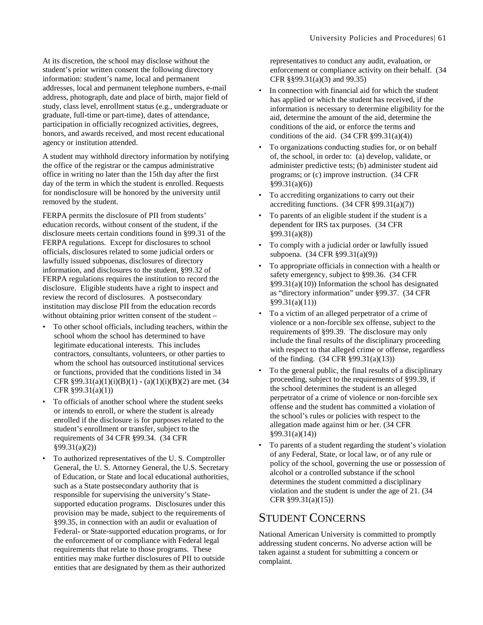At its discretion, the school may disclose without the student's prior written consent the following directory information: student's name, local and permanent addresses, local and permanent telephone numbers, e-mail address, photograph, date and place of birth, major field of study, class level, enrollment status (e.g., undergraduate or graduate, full-time or part-time), dates of attendance, participation in officially recognized activities, degrees, honors, and awards received, and most recent educational agency or institution attended.

A student may withhold directory information by notifying the office of the registrar or the campus administrative office in writing no later than the 15th day after the first day of the term in which the student is enrolled. Requests for nondisclosure will be honored by the university until removed by the student.

FERPA permits the disclosure of PII from students' education records, without consent of the student, if the disclosure meets certain conditions found in §99.31 of the FERPA regulations. Except for disclosures to school officials, disclosures related to some judicial orders or lawfully issued subpoenas, disclosures of directory information, and disclosures to the student, §99.32 of FERPA regulations requires the institution to record the disclosure. Eligible students have a right to inspect and review the record of disclosures. A postsecondary institution may disclose PII from the education records without obtaining prior written consent of the student –

- To other school officials, including teachers, within the school whom the school has determined to have legitimate educational interests. This includes contractors, consultants, volunteers, or other parties to whom the school has outsourced institutional services or functions, provided that the conditions listed in 34 CFR  $§99.31(a)(1)(i)(B)(1) - (a)(1)(i)(B)(2)$  are met. (34 CFR §99.31(a)(1))
- To officials of another school where the student seeks or intends to enroll, or where the student is already enrolled if the disclosure is for purposes related to the student's enrollment or transfer, subject to the requirements of 34 CFR §99.34. (34 CFR §99.31(a)(2))
- To authorized representatives of the U. S. Comptroller General, the U. S. Attorney General, the U.S. Secretary of Education, or State and local educational authorities, such as a State postsecondary authority that is responsible for supervising the university's Statesupported education programs. Disclosures under this provision may be made, subject to the requirements of §99.35, in connection with an audit or evaluation of Federal- or State-supported education programs, or for the enforcement of or compliance with Federal legal requirements that relate to those programs. These entities may make further disclosures of PII to outside entities that are designated by them as their authorized

representatives to conduct any audit, evaluation, or enforcement or compliance activity on their behalf. (34 CFR §§99.31(a)(3) and 99.35)

- In connection with financial aid for which the student has applied or which the student has received, if the information is necessary to determine eligibility for the aid, determine the amount of the aid, determine the conditions of the aid, or enforce the terms and conditions of the aid.  $(34 \text{ CFR } $99.31(a)(4))$
- To organizations conducting studies for, or on behalf of, the school, in order to: (a) develop, validate, or administer predictive tests; (b) administer student aid programs; or (c) improve instruction. (34 CFR §99.31(a)(6))
- To accrediting organizations to carry out their accrediting functions.  $(34 \text{ CFR } \text{\$99.31(a)(7)})$
- To parents of an eligible student if the student is a dependent for IRS tax purposes. (34 CFR §99.31(a)(8))
- To comply with a judicial order or lawfully issued subpoena. (34 CFR §99.31(a)(9))
- To appropriate officials in connection with a health or safety emergency, subject to §99.36. (34 CFR §99.31(a)(10)) Information the school has designated as "directory information" under §99.37. (34 CFR §99.31(a)(11))
- To a victim of an alleged perpetrator of a crime of violence or a non-forcible sex offense, subject to the requirements of §99.39. The disclosure may only include the final results of the disciplinary proceeding with respect to that alleged crime or offense, regardless of the finding. (34 CFR §99.31(a)(13))
- To the general public, the final results of a disciplinary proceeding, subject to the requirements of §99.39, if the school determines the student is an alleged perpetrator of a crime of violence or non-forcible sex offense and the student has committed a violation of the school's rules or policies with respect to the allegation made against him or her. (34 CFR §99.31(a)(14))
- To parents of a student regarding the student's violation of any Federal, State, or local law, or of any rule or policy of the school, governing the use or possession of alcohol or a controlled substance if the school determines the student committed a disciplinary violation and the student is under the age of 21. (34 CFR §99.31(a)(15))

### STUDENT CONCERNS

National American University is committed to promptly addressing student concerns. No adverse action will be taken against a student for submitting a concern or complaint.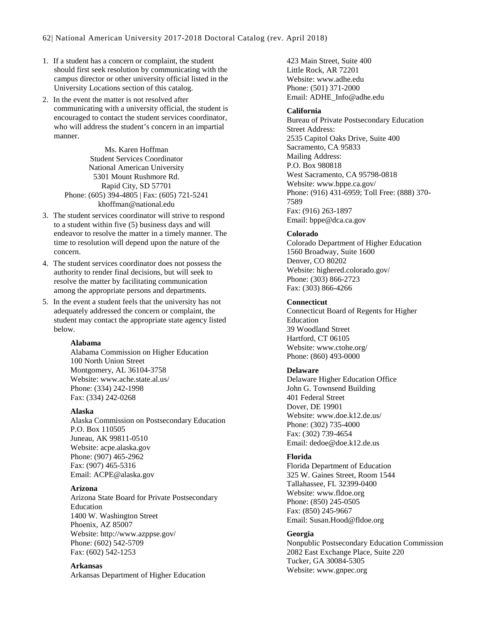- 1. If a student has a concern or complaint, the student should first seek resolution by communicating with the campus director or other university official listed in the University Locations section of this catalog.
- 2. In the event the matter is not resolved after communicating with a university official, the student is encouraged to contact the student services coordinator, who will address the student's concern in an impartial manner.

Ms. Karen Hoffman Student Services Coordinator National American University 5301 Mount Rushmore Rd. Rapid City, SD 57701 Phone: (605) 394-4805 | Fax: (605) 721-5241 khoffman@national.edu

- 3. The student services coordinator will strive to respond to a student within five (5) business days and will endeavor to resolve the matter in a timely manner. The time to resolution will depend upon the nature of the concern.
- 4. The student services coordinator does not possess the authority to render final decisions, but will seek to resolve the matter by facilitating communication among the appropriate persons and departments.
- 5. In the event a student feels that the university has not adequately addressed the concern or complaint, the student may contact the appropriate state agency listed below.

#### **Alabama**

Alabama Commission on Higher Education 100 North Union Street Montgomery, AL 36104-3758 Website: www.ache.state.al.us/ Phone: (334) 242-1998 Fax: (334) 242-0268

#### **Alaska**

Alaska Commission on Postsecondary Education P.O. Box 110505 Juneau, AK 99811-0510 Website: acpe.alaska.gov Phone: (907) 465-2962 Fax: (907) 465-5316 Email: ACPE@alaska.gov

#### **Arizona**

Arizona State Board for Private Postsecondary Education 1400 W. Washington Street Phoenix, AZ 85007 Website: http://www.azppse.gov/ Phone: (602) 542-5709 Fax: (602) 542-1253

#### **Arkansas**

Arkansas Department of Higher Education

423 Main Street, Suite 400 Little Rock, AR 72201 Website: www.adhe.edu Phone: (501) 371-2000 Email: ADHE\_Info@adhe.edu

#### **California**

Bureau of Private Postsecondary Education Street Address: 2535 Capitol Oaks Drive, Suite 400 Sacramento, CA 95833 Mailing Address: P.O. Box 980818 West Sacramento, CA 95798-0818 Website: www.bppe.ca.gov/ Phone: (916) 431-6959; Toll Free: (888) 370- 7589 Fax: (916) 263-1897 Email: bppe@dca.ca.gov

#### **Colorado**

Colorado Department of Higher Education 1560 Broadway, Suite 1600 Denver, CO 80202 Website: highered.colorado.gov/ Phone: (303) 866-2723 Fax: (303) 866-4266

#### **Connecticut**

Connecticut Board of Regents for Higher Education 39 Woodland Street Hartford, CT 06105 Website: www.ctohe.org/ Phone: (860) 493-0000

#### **Delaware**

Delaware Higher Education Office John G. Townsend Building 401 Federal Street Dover, DE 19901 Website: www.doe.k12.de.us/ Phone: (302) 735-4000 Fax: (302) 739-4654 Email: dedoe@doe.k12.de.us

#### **Florida**

Florida Department of Education 325 W. Gaines Street, Room 1544 Tallahassee, FL 32399-0400 Website: www.fldoe.org Phone: (850) 245-0505 Fax: (850) 245-9667 Email: Susan.Hood@fldoe.org

#### **Georgia**

Nonpublic Postsecondary Education Commission 2082 East Exchange Place, Suite 220 Tucker, GA 30084-5305 Website: www.gnpec.org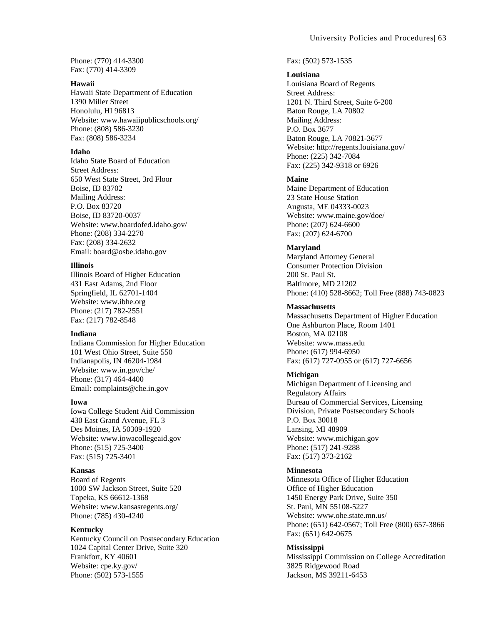Phone: (770) 414-3300 Fax: (770) 414-3309

#### **Hawaii**

Hawaii State Department of Education 1390 Miller Street Honolulu, HI 96813 Website: www.hawaiipublicschools.org/ Phone: (808) 586-3230 Fax: (808) 586-3234

#### **Idaho**

Idaho State Board of Education Street Address: 650 West State Street, 3rd Floor Boise, ID 83702 Mailing Address: P.O. Box 83720 Boise, ID 83720-0037 Website: www.boardofed.idaho.gov/ Phone: (208) 334-2270 Fax: (208) 334-2632 Email: board@osbe.idaho.gov

#### **Illinois**

Illinois Board of Higher Education 431 East Adams, 2nd Floor Springfield, IL 62701-1404 Website: www.ibhe.org Phone: (217) 782-2551 Fax: (217) 782-8548

#### **Indiana**

Indiana Commission for Higher Education 101 West Ohio Street, Suite 550 Indianapolis, IN 46204-1984 Website: www.in.gov/che/ Phone: (317) 464-4400 Email: complaints@che.in.gov

#### **Iowa**

Iowa College Student Aid Commission 430 East Grand Avenue, FL 3 Des Moines, IA 50309-1920 Website: www.iowacollegeaid.gov Phone: (515) 725-3400 Fax: (515) 725-3401

#### **Kansas**

Board of Regents 1000 SW Jackson Street, Suite 520 Topeka, KS 66612-1368 Website: www.kansasregents.org/ Phone: (785) 430-4240

#### **Kentucky**

Kentucky Council on Postsecondary Education 1024 Capital Center Drive, Suite 320 Frankfort, KY 40601 Website: cpe.ky.gov/ Phone: (502) 573-1555

#### Fax: (502) 573-1535

#### **Louisiana**

Louisiana Board of Regents Street Address: 1201 N. Third Street, Suite 6-200 Baton Rouge, LA 70802 Mailing Address: P.O. Box 3677 Baton Rouge, LA 70821-3677 Website: http://regents.louisiana.gov/ Phone: (225) 342-7084 Fax: (225) 342-9318 or 6926

#### **Maine**

Maine Department of Education 23 State House Station Augusta, ME 04333-0023 Website: www.maine.gov/doe/ Phone: (207) 624-6600 Fax: (207) 624-6700

#### **Maryland**

Maryland Attorney General Consumer Protection Division 200 St. Paul St. Baltimore, MD 21202 Phone: (410) 528-8662; Toll Free (888) 743-0823

#### **Massachusetts**

Massachusetts Department of Higher Education One Ashburton Place, Room 1401 Boston, MA 02108 Website: www.mass.edu Phone: (617) 994-6950 Fax: (617) 727-0955 or (617) 727-6656

#### **Michigan**

Michigan Department of Licensing and Regulatory Affairs Bureau of Commercial Services, Licensing Division, Private Postsecondary Schools P.O. Box 30018 Lansing, MI 48909 Website: www.michigan.gov Phone: (517) 241-9288 Fax: (517) 373-2162

#### **Minnesota**

Minnesota Office of Higher Education Office of Higher Education 1450 Energy Park Drive, Suite 350 St. Paul, MN 55108-5227 Website: www.ohe.state.mn.us/ Phone: (651) 642-0567; Toll Free (800) 657-3866 Fax: (651) 642-0675

#### **Mississippi**

Mississippi Commission on College Accreditation 3825 Ridgewood Road Jackson, MS 39211-6453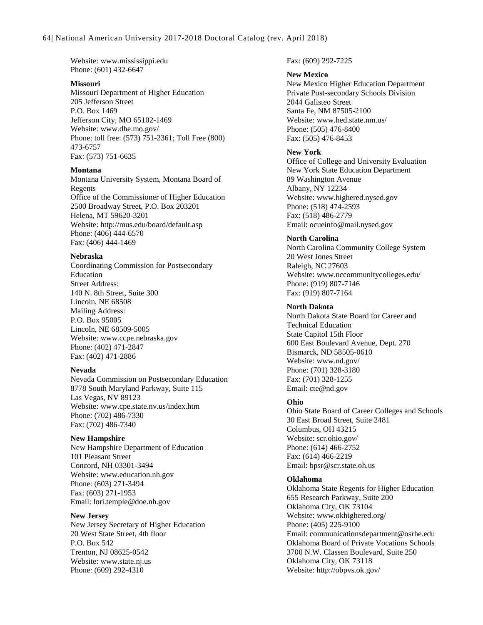Website: www.mississippi.edu Phone: (601) 432-6647

#### **Missouri**

Missouri Department of Higher Education 205 Jefferson Street P.O. Box 1469 Jefferson City, MO 65102-1469 Website: www.dhe.mo.gov/ Phone: toll free: (573) 751-2361; Toll Free (800) 473-6757 Fax: (573) 751-6635

#### **Montana**

Montana University System, Montana Board of Regents Office of the Commissioner of Higher Education 2500 Broadway Street, P.O. Box 203201 Helena, MT 59620-3201 Website: http://mus.edu/board/default.asp Phone: (406) 444-6570 Fax: (406) 444-1469

#### **Nebraska**

Coordinating Commission for Postsecondary Education Street Address: 140 N. 8th Street, Suite 300 Lincoln, NE 68508 Mailing Address: P.O. Box 95005 Lincoln, NE 68509-5005 Website: www.ccpe.nebraska.gov Phone: (402) 471-2847 Fax: (402) 471-2886

#### **Nevada**

Nevada Commission on Postsecondary Education 8778 South Maryland Parkway, Suite 115 Las Vegas, NV 89123 Website: www.cpe.state.nv.us/index.htm Phone: (702) 486-7330 Fax: (702) 486-7340

#### **New Hampshire**

New Hampshire Department of Education 101 Pleasant Street Concord, NH 03301-3494 Website: www.education.nh.gov Phone: (603) 271-3494 Fax: (603) 271-1953 Email: lori.temple@doe.nh.gov

#### **New Jersey**

New Jersey Secretary of Higher Education 20 West State Street, 4th floor P.O. Box 542 Trenton, NJ 08625-0542 Website: www.state.nj.us Phone: (609) 292-4310

Fax: (609) 292-7225

#### **New Mexico**

New Mexico Higher Education Department Private Post-secondary Schools Division 2044 Galisteo Street Santa Fe, NM 87505-2100 Website: www.hed.state.nm.us/ Phone: (505) 476-8400 Fax: (505) 476-8453

#### **New York**

Office of College and University Evaluation New York State Education Department 89 Washington Avenue Albany, NY 12234 Website: www.highered.nysed.gov Phone: (518) 474-2593 Fax: (518) 486-2779 Email: ocueinfo@mail.nysed.gov

#### **North Carolina**

North Carolina Community College System 20 West Jones Street Raleigh, NC 27603 Website: www.nccommunitycolleges.edu/ Phone: (919) 807-7146 Fax: (919) 807-7164

#### **North Dakota**

North Dakota State Board for Career and Technical Education State Capitol 15th Floor 600 East Boulevard Avenue, Dept. 270 Bismarck, ND 58505-0610 Website: www.nd.gov/ Phone: (701) 328-3180 Fax: (701) 328-1255 Email: cte@nd.gov

#### **Ohio**

Ohio State Board of Career Colleges and Schools 30 East Broad Street, Suite 2481 Columbus, OH 43215 Website: scr.ohio.gov/ Phone: (614) 466-2752 Fax: (614) 466-2219 Email: bpsr@scr.state.oh.us

#### **Oklahoma**

Oklahoma State Regents for Higher Education 655 Research Parkway, Suite 200 Oklahoma City, OK 73104 Website: www.okhighered.org/ Phone: (405) 225-9100 Email: communicationsdepartment@osrhe.edu Oklahoma Board of Private Vocations Schools 3700 N.W. Classen Boulevard, Suite 250 Oklahoma City, OK 73118 Website: http://obpvs.ok.gov/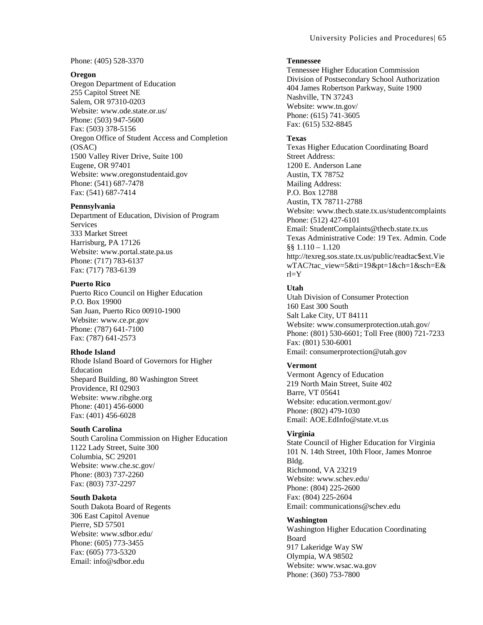Phone: (405) 528-3370

#### **Oregon**

Oregon Department of Education 255 Capitol Street NE Salem, OR 97310-0203 Website: www.ode.state.or.us/ Phone: (503) 947-5600 Fax: (503) 378-5156 Oregon Office of Student Access and Completion (OSAC) 1500 Valley River Drive, Suite 100 Eugene, OR 97401 Website: www.oregonstudentaid.gov Phone: (541) 687-7478 Fax: (541) 687-7414

#### **Pennsylvania**

Department of Education, Division of Program Services 333 Market Street Harrisburg, PA 17126 Website: www.portal.state.pa.us Phone: (717) 783-6137 Fax: (717) 783-6139

#### **Puerto Rico**

Puerto Rico Council on Higher Education P.O. Box 19900 San Juan, Puerto Rico 00910-1900 Website: www.ce.pr.gov Phone: (787) 641-7100 Fax: (787) 641-2573

#### **Rhode Island**

Rhode Island Board of Governors for Higher Education Shepard Building, 80 Washington Street Providence, RI 02903 Website: www.ribghe.org Phone: (401) 456-6000 Fax: (401) 456-6028

#### **South Carolina**

South Carolina Commission on Higher Education 1122 Lady Street, Suite 300 Columbia, SC 29201 Website: www.che.sc.gov/ Phone: (803) 737-2260 Fax: (803) 737-2297

#### **South Dakota**

South Dakota Board of Regents 306 East Capitol Avenue Pierre, SD 57501 Website: www.sdbor.edu/ Phone: (605) 773-3455 Fax: (605) 773-5320 Email: info@sdbor.edu

#### **Tennessee**

Tennessee Higher Education Commission Division of Postsecondary School Authorization 404 James Robertson Parkway, Suite 1900 Nashville, TN 37243 Website: www.tn.gov/ Phone: (615) 741-3605 Fax: (615) 532-8845

#### **Texas**

Texas Higher Education Coordinating Board Street Address: 1200 E. Anderson Lane Austin, TX 78752 Mailing Address: P.O. Box 12788 Austin, TX 78711-2788 Website: www.thecb.state.tx.us/studentcomplaints Phone: (512) 427-6101 Email: StudentComplaints@thecb.state.tx.us Texas Administrative Code: 19 Tex. Admin. Code  $§$ § 1.110 – 1.120 http://texreg.sos.state.tx.us/public/readtac\$ext.Vie wTAC?tac\_view=5&ti=19&pt=1&ch=1&sch=E& rl=Y

#### **Utah**

Utah Division of Consumer Protection 160 East 300 South Salt Lake City, UT 84111 Website: www.consumerprotection.utah.gov/ Phone: (801) 530-6601; Toll Free (800) 721-7233 Fax: (801) 530-6001 Email: consumerprotection@utah.gov

#### **Vermont**

Vermont Agency of Education 219 North Main Street, Suite 402 Barre, VT 05641 Website: education.vermont.gov/ Phone: (802) 479-1030 Email: AOE.EdInfo@state.vt.us

#### **Virginia**

State Council of Higher Education for Virginia 101 N. 14th Street, 10th Floor, James Monroe Bldg. Richmond, VA 23219 Website: www.schev.edu/ Phone: (804) 225-2600 Fax: (804) 225-2604 Email: communications@schev.edu

#### **Washington**

Washington Higher Education Coordinating Board 917 Lakeridge Way SW Olympia, WA 98502 Website: www.wsac.wa.gov Phone: (360) 753-7800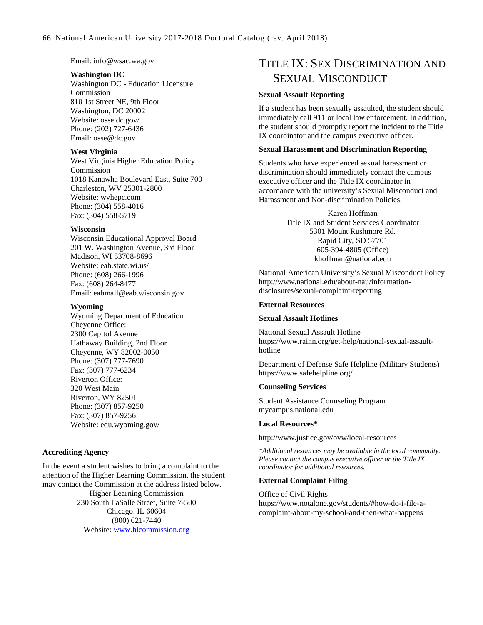Email: info@wsac.wa.gov

#### **Washington DC**

Washington DC - Education Licensure Commission 810 1st Street NE, 9th Floor Washington, DC 20002 Website: osse.dc.gov/ Phone: (202) 727-6436 Email: osse@dc.gov

#### **West Virginia**

West Virginia Higher Education Policy Commission 1018 Kanawha Boulevard East, Suite 700 Charleston, WV 25301-2800 Website: wvhepc.com Phone: (304) 558-4016 Fax: (304) 558-5719

#### **Wisconsin**

Wisconsin Educational Approval Board 201 W. Washington Avenue, 3rd Floor Madison, WI 53708-8696 Website: eab.state.wi.us/ Phone: (608) 266-1996 Fax: (608) 264-8477 Email: eabmail@eab.wisconsin.gov

#### **Wyoming**

Wyoming Department of Education Cheyenne Office: 2300 Capitol Avenue Hathaway Building, 2nd Floor Cheyenne, WY 82002-0050 Phone: (307) 777-7690 Fax: (307) 777-6234 Riverton Office: 320 West Main Riverton, WY 82501 Phone: (307) 857-9250 Fax: (307) 857-9256 Website: edu.wyoming.gov/

#### **Accrediting Agency**

In the event a student wishes to bring a complaint to the attention of the Higher Learning Commission, the student may contact the Commission at the address listed below. Higher Learning Commission 230 South LaSalle Street, Suite 7-500 Chicago, IL 60604 (800) 621-7440 Website: [www.hlcommission.org](http://www.hlcommission.org/)

## TITLE IX: SEX DISCRIMINATION AND SEXUAL MISCONDUCT

#### **Sexual Assault Reporting**

If a student has been sexually assaulted, the student should immediately call 911 or local law enforcement. In addition, the student should promptly report the incident to the Title IX coordinator and the campus executive officer.

#### **Sexual Harassment and Discrimination Reporting**

Students who have experienced sexual harassment or discrimination should immediately contact the campus executive officer and the Title IX coordinator in accordance with the university's Sexual Misconduct and Harassment and Non-discrimination Policies.

> Karen Hoffman Title IX and Student Services Coordinator 5301 Mount Rushmore Rd. Rapid City, SD 57701 605-394-4805 (Office) khoffman@national.edu

National American University's Sexual Misconduct Policy http://www.national.edu/about-nau/informationdisclosures/sexual-complaint-reporting

#### **External Resources**

#### **Sexual Assault Hotlines**

National Sexual Assault Hotline https://www.rainn.org/get-help/national-sexual-assaulthotline

Department of Defense Safe Helpline (Military Students) https://www.safehelpline.org/

#### **Counseling Services**

Student Assistance Counseling Program mycampus.national.edu

#### **Local Resources\***

http://www.justice.gov/ovw/local-resources

*\*Additional resources may be available in the local community. Please contact the campus executive officer or the Title IX coordinator for additional resources.*

#### **External Complaint Filing**

Office of Civil Rights https://www.notalone.gov/students/#how-do-i-file-acomplaint-about-my-school-and-then-what-happens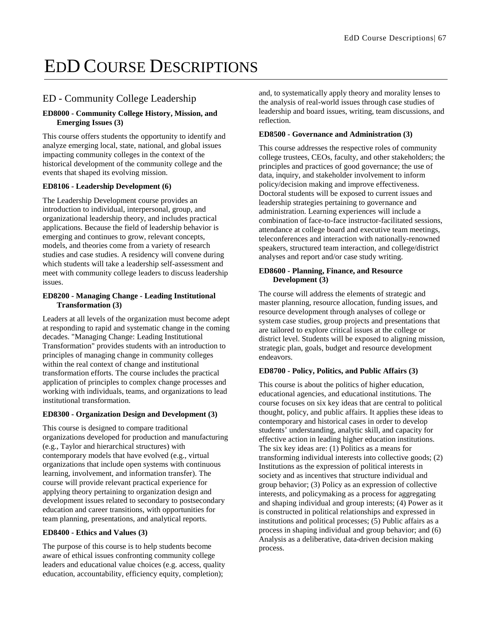# EDD COURSE DESCRIPTIONS

### ED - Community College Leadership

#### **ED8000 - Community College History, Mission, and Emerging Issues (3)**

This course offers students the opportunity to identify and analyze emerging local, state, national, and global issues impacting community colleges in the context of the historical development of the community college and the events that shaped its evolving mission.

#### **ED8106 - Leadership Development (6)**

The Leadership Development course provides an introduction to individual, interpersonal, group, and organizational leadership theory, and includes practical applications. Because the field of leadership behavior is emerging and continues to grow, relevant concepts, models, and theories come from a variety of research studies and case studies. A residency will convene during which students will take a leadership self-assessment and meet with community college leaders to discuss leadership issues.

#### **ED8200 - Managing Change - Leading Institutional Transformation (3)**

Leaders at all levels of the organization must become adept at responding to rapid and systematic change in the coming decades. "Managing Change: Leading Institutional Transformation" provides students with an introduction to principles of managing change in community colleges within the real context of change and institutional transformation efforts. The course includes the practical application of principles to complex change processes and working with individuals, teams, and organizations to lead institutional transformation.

#### **ED8300 - Organization Design and Development (3)**

This course is designed to compare traditional organizations developed for production and manufacturing (e.g., Taylor and hierarchical structures) with contemporary models that have evolved (e.g., virtual organizations that include open systems with continuous learning, involvement, and information transfer). The course will provide relevant practical experience for applying theory pertaining to organization design and development issues related to secondary to postsecondary education and career transitions, with opportunities for team planning, presentations, and analytical reports.

#### **ED8400 - Ethics and Values (3)**

The purpose of this course is to help students become aware of ethical issues confronting community college leaders and educational value choices (e.g. access, quality education, accountability, efficiency equity, completion);

and, to systematically apply theory and morality lenses to the analysis of real-world issues through case studies of leadership and board issues, writing, team discussions, and reflection.

#### **ED8500 - Governance and Administration (3)**

This course addresses the respective roles of community college trustees, CEOs, faculty, and other stakeholders; the principles and practices of good governance; the use of data, inquiry, and stakeholder involvement to inform policy/decision making and improve effectiveness. Doctoral students will be exposed to current issues and leadership strategies pertaining to governance and administration. Learning experiences will include a combination of face-to-face instructor-facilitated sessions, attendance at college board and executive team meetings, teleconferences and interaction with nationally-renowned speakers, structured team interaction, and college/district analyses and report and/or case study writing.

#### **ED8600 - Planning, Finance, and Resource Development (3)**

The course will address the elements of strategic and master planning, resource allocation, funding issues, and resource development through analyses of college or system case studies, group projects and presentations that are tailored to explore critical issues at the college or district level. Students will be exposed to aligning mission, strategic plan, goals, budget and resource development endeavors.

#### **ED8700 - Policy, Politics, and Public Affairs (3)**

This course is about the politics of higher education, educational agencies, and educational institutions. The course focuses on six key ideas that are central to political thought, policy, and public affairs. It applies these ideas to contemporary and historical cases in order to develop students' understanding, analytic skill, and capacity for effective action in leading higher education institutions. The six key ideas are: (1) Politics as a means for transforming individual interests into collective goods; (2) Institutions as the expression of political interests in society and as incentives that structure individual and group behavior; (3) Policy as an expression of collective interests, and policymaking as a process for aggregating and shaping individual and group interests; (4) Power as it is constructed in political relationships and expressed in institutions and political processes; (5) Public affairs as a process in shaping individual and group behavior; and (6) Analysis as a deliberative, data-driven decision making process.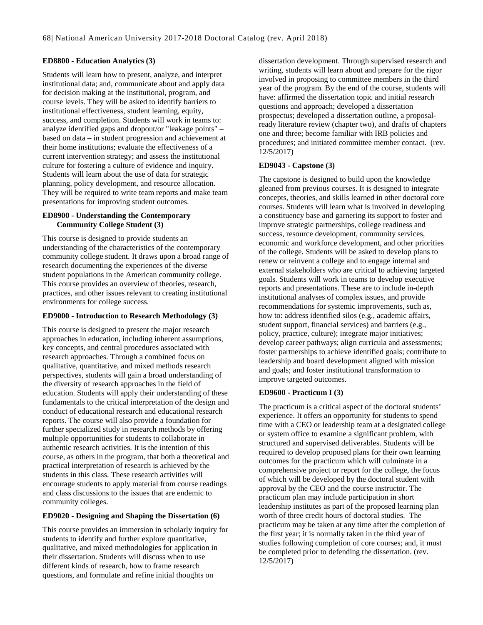#### **ED8800 - Education Analytics (3)**

Students will learn how to present, analyze, and interpret institutional data; and, communicate about and apply data for decision making at the institutional, program, and course levels. They will be asked to identify barriers to institutional effectiveness, student learning, equity, success, and completion. Students will work in teams to: analyze identified gaps and dropout/or "leakage points" – based on data – in student progression and achievement at their home institutions; evaluate the effectiveness of a current intervention strategy; and assess the institutional culture for fostering a culture of evidence and inquiry. Students will learn about the use of data for strategic planning, policy development, and resource allocation. They will be required to write team reports and make team presentations for improving student outcomes.

#### **ED8900 - Understanding the Contemporary Community College Student (3)**

This course is designed to provide students an understanding of the characteristics of the contemporary community college student. It draws upon a broad range of research documenting the experiences of the diverse student populations in the American community college. This course provides an overview of theories, research, practices, and other issues relevant to creating institutional environments for college success.

#### **ED9000 - Introduction to Research Methodology (3)**

This course is designed to present the major research approaches in education, including inherent assumptions, key concepts, and central procedures associated with research approaches. Through a combined focus on qualitative, quantitative, and mixed methods research perspectives, students will gain a broad understanding of the diversity of research approaches in the field of education. Students will apply their understanding of these fundamentals to the critical interpretation of the design and conduct of educational research and educational research reports. The course will also provide a foundation for further specialized study in research methods by offering multiple opportunities for students to collaborate in authentic research activities. It is the intention of this course, as others in the program, that both a theoretical and practical interpretation of research is achieved by the students in this class. These research activities will encourage students to apply material from course readings and class discussions to the issues that are endemic to community colleges.

#### **ED9020 - Designing and Shaping the Dissertation (6)**

This course provides an immersion in scholarly inquiry for students to identify and further explore quantitative, qualitative, and mixed methodologies for application in their dissertation. Students will discuss when to use different kinds of research, how to frame research questions, and formulate and refine initial thoughts on

dissertation development. Through supervised research and writing, students will learn about and prepare for the rigor involved in proposing to committee members in the third year of the program. By the end of the course, students will have: affirmed the dissertation topic and initial research questions and approach; developed a dissertation prospectus; developed a dissertation outline, a proposalready literature review (chapter two), and drafts of chapters one and three; become familiar with IRB policies and procedures; and initiated committee member contact. (rev. 12/5/2017)

#### **ED9043 - Capstone (3)**

The capstone is designed to build upon the knowledge gleaned from previous courses. It is designed to integrate concepts, theories, and skills learned in other doctoral core courses. Students will learn what is involved in developing a constituency base and garnering its support to foster and improve strategic partnerships, college readiness and success, resource development, community services, economic and workforce development, and other priorities of the college. Students will be asked to develop plans to renew or reinvent a college and to engage internal and external stakeholders who are critical to achieving targeted goals. Students will work in teams to develop executive reports and presentations. These are to include in-depth institutional analyses of complex issues, and provide recommendations for systemic improvements, such as, how to: address identified silos (e.g., academic affairs, student support, financial services) and barriers (e.g., policy, practice, culture); integrate major initiatives; develop career pathways; align curricula and assessments; foster partnerships to achieve identified goals; contribute to leadership and board development aligned with mission and goals; and foster institutional transformation to improve targeted outcomes.

### **ED9600 - Practicum I (3)**

The practicum is a critical aspect of the doctoral students' experience. It offers an opportunity for students to spend time with a CEO or leadership team at a designated college or system office to examine a significant problem, with structured and supervised deliverables. Students will be required to develop proposed plans for their own learning outcomes for the practicum which will culminate in a comprehensive project or report for the college, the focus of which will be developed by the doctoral student with approval by the CEO and the course instructor. The practicum plan may include participation in short leadership institutes as part of the proposed learning plan worth of three credit hours of doctoral studies. The practicum may be taken at any time after the completion of the first year; it is normally taken in the third year of studies following completion of core courses; and, it must be completed prior to defending the dissertation. (rev. 12/5/2017)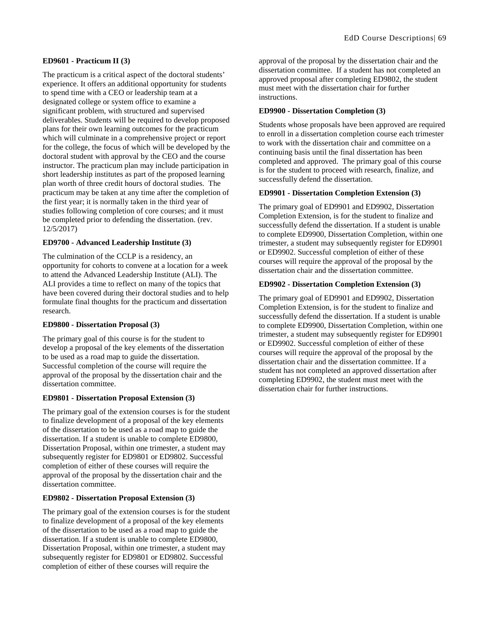#### **ED9601 - Practicum II (3)**

The practicum is a critical aspect of the doctoral students' experience. It offers an additional opportunity for students to spend time with a CEO or leadership team at a designated college or system office to examine a significant problem, with structured and supervised deliverables. Students will be required to develop proposed plans for their own learning outcomes for the practicum which will culminate in a comprehensive project or report for the college, the focus of which will be developed by the doctoral student with approval by the CEO and the course instructor. The practicum plan may include participation in short leadership institutes as part of the proposed learning plan worth of three credit hours of doctoral studies. The practicum may be taken at any time after the completion of the first year; it is normally taken in the third year of studies following completion of core courses; and it must be completed prior to defending the dissertation. (rev. 12/5/2017)

#### **ED9700 - Advanced Leadership Institute (3)**

The culmination of the CCLP is a residency, an opportunity for cohorts to convene at a location for a week to attend the Advanced Leadership Institute (ALI). The ALI provides a time to reflect on many of the topics that have been covered during their doctoral studies and to help formulate final thoughts for the practicum and dissertation research.

#### **ED9800 - Dissertation Proposal (3)**

The primary goal of this course is for the student to develop a proposal of the key elements of the dissertation to be used as a road map to guide the dissertation. Successful completion of the course will require the approval of the proposal by the dissertation chair and the dissertation committee.

#### **ED9801 - Dissertation Proposal Extension (3)**

The primary goal of the extension courses is for the student to finalize development of a proposal of the key elements of the dissertation to be used as a road map to guide the dissertation. If a student is unable to complete ED9800, Dissertation Proposal, within one trimester, a student may subsequently register for ED9801 or ED9802. Successful completion of either of these courses will require the approval of the proposal by the dissertation chair and the dissertation committee.

#### **ED9802 - Dissertation Proposal Extension (3)**

The primary goal of the extension courses is for the student to finalize development of a proposal of the key elements of the dissertation to be used as a road map to guide the dissertation. If a student is unable to complete ED9800, Dissertation Proposal, within one trimester, a student may subsequently register for ED9801 or ED9802. Successful completion of either of these courses will require the

approval of the proposal by the dissertation chair and the dissertation committee. If a student has not completed an approved proposal after completing ED9802, the student must meet with the dissertation chair for further instructions.

#### **ED9900 - Dissertation Completion (3)**

Students whose proposals have been approved are required to enroll in a dissertation completion course each trimester to work with the dissertation chair and committee on a continuing basis until the final dissertation has been completed and approved. The primary goal of this course is for the student to proceed with research, finalize, and successfully defend the dissertation.

#### **ED9901 - Dissertation Completion Extension (3)**

The primary goal of ED9901 and ED9902, Dissertation Completion Extension, is for the student to finalize and successfully defend the dissertation. If a student is unable to complete ED9900, Dissertation Completion, within one trimester, a student may subsequently register for ED9901 or ED9902. Successful completion of either of these courses will require the approval of the proposal by the dissertation chair and the dissertation committee.

#### **ED9902 - Dissertation Completion Extension (3)**

The primary goal of ED9901 and ED9902, Dissertation Completion Extension, is for the student to finalize and successfully defend the dissertation. If a student is unable to complete ED9900, Dissertation Completion, within one trimester, a student may subsequently register for ED9901 or ED9902. Successful completion of either of these courses will require the approval of the proposal by the dissertation chair and the dissertation committee. If a student has not completed an approved dissertation after completing ED9902, the student must meet with the dissertation chair for further instructions.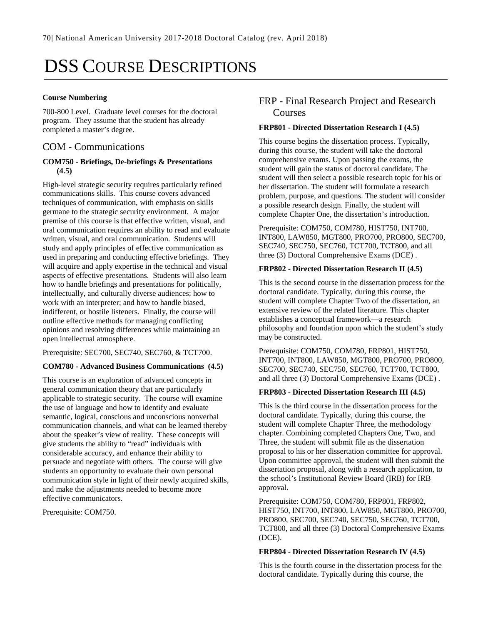# DSS COURSE DESCRIPTIONS

#### **Course Numbering**

700-800 Level. Graduate level courses for the doctoral program. They assume that the student has already completed a master's degree.

### COM - Communications

#### **COM750 - Briefings, De-briefings & Presentations (4.5)**

High-level strategic security requires particularly refined communications skills. This course covers advanced techniques of communication, with emphasis on skills germane to the strategic security environment. A major premise of this course is that effective written, visual, and oral communication requires an ability to read and evaluate written, visual, and oral communication. Students will study and apply principles of effective communication as used in preparing and conducting effective briefings. They will acquire and apply expertise in the technical and visual aspects of effective presentations. Students will also learn how to handle briefings and presentations for politically, intellectually, and culturally diverse audiences; how to work with an interpreter; and how to handle biased, indifferent, or hostile listeners. Finally, the course will outline effective methods for managing conflicting opinions and resolving differences while maintaining an open intellectual atmosphere.

Prerequisite: SEC700, SEC740, SEC760, & TCT700.

#### **COM780 - Advanced Business Communications (4.5)**

This course is an exploration of advanced concepts in general communication theory that are particularly applicable to strategic security. The course will examine the use of language and how to identify and evaluate semantic, logical, conscious and unconscious nonverbal communication channels, and what can be learned thereby about the speaker's view of reality. These concepts will give students the ability to "read" individuals with considerable accuracy, and enhance their ability to persuade and negotiate with others. The course will give students an opportunity to evaluate their own personal communication style in light of their newly acquired skills, and make the adjustments needed to become more effective communicators.

Prerequisite: COM750.

### FRP - Final Research Project and Research Courses

#### **FRP801 - Directed Dissertation Research I (4.5)**

This course begins the dissertation process. Typically, during this course, the student will take the doctoral comprehensive exams. Upon passing the exams, the student will gain the status of doctoral candidate. The student will then select a possible research topic for his or her dissertation. The student will formulate a research problem, purpose, and questions. The student will consider a possible research design. Finally, the student will complete Chapter One, the dissertation's introduction.

Prerequisite: COM750, COM780, HIST750, INT700, INT800, LAW850, MGT800, PRO700, PRO800, SEC700, SEC740, SEC750, SEC760, TCT700, TCT800, and all three (3) Doctoral Comprehensive Exams (DCE) .

#### **FRP802 - Directed Dissertation Research II (4.5)**

This is the second course in the dissertation process for the doctoral candidate. Typically, during this course, the student will complete Chapter Two of the dissertation, an extensive review of the related literature. This chapter establishes a conceptual framework—a research philosophy and foundation upon which the student's study may be constructed.

Prerequisite: COM750, COM780, FRP801, HIST750, INT700, INT800, LAW850, MGT800, PRO700, PRO800, SEC700, SEC740, SEC750, SEC760, TCT700, TCT800, and all three (3) Doctoral Comprehensive Exams (DCE) .

#### **FRP803 - Directed Dissertation Research III (4.5)**

This is the third course in the dissertation process for the doctoral candidate. Typically, during this course, the student will complete Chapter Three, the methodology chapter. Combining completed Chapters One, Two, and Three, the student will submit file as the dissertation proposal to his or her dissertation committee for approval. Upon committee approval, the student will then submit the dissertation proposal, along with a research application, to the school's Institutional Review Board (IRB) for IRB approval.

Prerequisite: COM750, COM780, FRP801, FRP802, HIST750, INT700, INT800, LAW850, MGT800, PRO700, PRO800, SEC700, SEC740, SEC750, SEC760, TCT700, TCT800, and all three (3) Doctoral Comprehensive Exams (DCE).

#### **FRP804 - Directed Dissertation Research IV (4.5)**

This is the fourth course in the dissertation process for the doctoral candidate. Typically during this course, the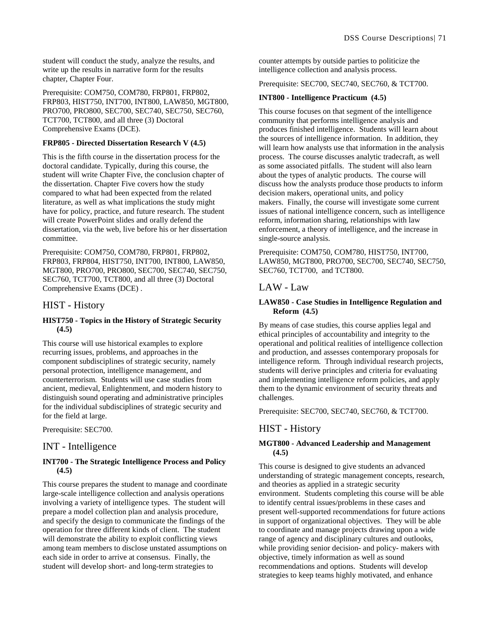student will conduct the study, analyze the results, and write up the results in narrative form for the results chapter, Chapter Four.

Prerequisite: COM750, COM780, FRP801, FRP802, FRP803, HIST750, INT700, INT800, LAW850, MGT800, PRO700, PRO800, SEC700, SEC740, SEC750, SEC760, TCT700, TCT800, and all three (3) Doctoral Comprehensive Exams (DCE).

#### **FRP805 - Directed Dissertation Research V (4.5)**

This is the fifth course in the dissertation process for the doctoral candidate. Typically, during this course, the student will write Chapter Five, the conclusion chapter of the dissertation. Chapter Five covers how the study compared to what had been expected from the related literature, as well as what implications the study might have for policy, practice, and future research. The student will create PowerPoint slides and orally defend the dissertation, via the web, live before his or her dissertation committee.

Prerequisite: COM750, COM780, FRP801, FRP802, FRP803, FRP804, HIST750, INT700, INT800, LAW850, MGT800, PRO700, PRO800, SEC700, SEC740, SEC750, SEC760, TCT700, TCT800, and all three (3) Doctoral Comprehensive Exams (DCE) .

### HIST - History

#### **HIST750 - Topics in the History of Strategic Security (4.5)**

This course will use historical examples to explore recurring issues, problems, and approaches in the component subdisciplines of strategic security, namely personal protection, intelligence management, and counterterrorism. Students will use case studies from ancient, medieval, Enlightenment, and modern history to distinguish sound operating and administrative principles for the individual subdisciplines of strategic security and for the field at large.

Prerequisite: SEC700.

### INT - Intelligence

#### **INT700 - The Strategic Intelligence Process and Policy (4.5)**

This course prepares the student to manage and coordinate large-scale intelligence collection and analysis operations involving a variety of intelligence types. The student will prepare a model collection plan and analysis procedure, and specify the design to communicate the findings of the operation for three different kinds of client. The student will demonstrate the ability to exploit conflicting views among team members to disclose unstated assumptions on each side in order to arrive at consensus. Finally, the student will develop short- and long-term strategies to

counter attempts by outside parties to politicize the intelligence collection and analysis process.

Prerequisite: SEC700, SEC740, SEC760, & TCT700.

#### **INT800 - Intelligence Practicum (4.5)**

This course focuses on that segment of the intelligence community that performs intelligence analysis and produces finished intelligence. Students will learn about the sources of intelligence information. In addition, they will learn how analysts use that information in the analysis process. The course discusses analytic tradecraft, as well as some associated pitfalls. The student will also learn about the types of analytic products. The course will discuss how the analysts produce those products to inform decision makers, operational units, and policy makers. Finally, the course will investigate some current issues of national intelligence concern, such as intelligence reform, information sharing, relationships with law enforcement, a theory of intelligence, and the increase in single-source analysis.

Prerequisite: COM750, COM780, HIST750, INT700, LAW850, MGT800, PRO700, SEC700, SEC740, SEC750, SEC760, TCT700, and TCT800.

### LAW - Law

#### **LAW850 - Case Studies in Intelligence Regulation and Reform (4.5)**

By means of case studies, this course applies legal and ethical principles of accountability and integrity to the operational and political realities of intelligence collection and production, and assesses contemporary proposals for intelligence reform. Through individual research projects, students will derive principles and criteria for evaluating and implementing intelligence reform policies, and apply them to the dynamic environment of security threats and challenges.

Prerequisite: SEC700, SEC740, SEC760, & TCT700.

### HIST - History

#### **MGT800 - Advanced Leadership and Management (4.5)**

This course is designed to give students an advanced understanding of strategic management concepts, research, and theories as applied in a strategic security environment. Students completing this course will be able to identify central issues/problems in these cases and present well-supported recommendations for future actions in support of organizational objectives. They will be able to coordinate and manage projects drawing upon a wide range of agency and disciplinary cultures and outlooks, while providing senior decision- and policy- makers with objective, timely information as well as sound recommendations and options. Students will develop strategies to keep teams highly motivated, and enhance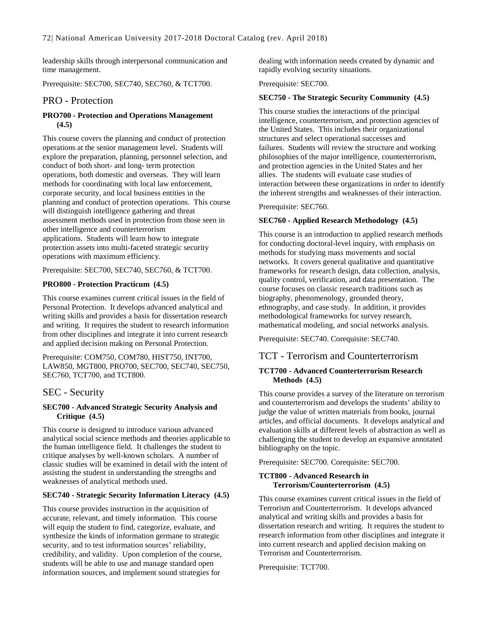leadership skills through interpersonal communication and time management.

Prerequisite: SEC700, SEC740, SEC760, & TCT700.

### PRO - Protection

#### **PRO700 - Protection and Operations Management (4.5)**

This course covers the planning and conduct of protection operations at the senior management level. Students will explore the preparation, planning, personnel selection, and conduct of both short- and long- term protection operations, both domestic and overseas. They will learn methods for coordinating with local law enforcement, corporate security, and local business entities in the planning and conduct of protection operations. This course will distinguish intelligence gathering and threat assessment methods used in protection from those seen in other intelligence and counterterrorism applications. Students will learn how to integrate protection assets into multi-faceted strategic security operations with maximum efficiency.

Prerequisite: SEC700, SEC740, SEC760, & TCT700.

#### **PRO800 - Protection Practicum (4.5)**

This course examines current critical issues in the field of Personal Protection. It develops advanced analytical and writing skills and provides a basis for dissertation research and writing. It requires the student to research information from other disciplines and integrate it into current research and applied decision making on Personal Protection.

Prerequisite: COM750, COM780, HIST750, INT700, LAW850, MGT800, PRO700, SEC700, SEC740, SEC750, SEC760, TCT700, and TCT800.

### SEC - Security

#### **SEC700 - Advanced Strategic Security Analysis and Critique (4.5)**

This course is designed to introduce various advanced analytical social science methods and theories applicable to the human intelligence field. It challenges the student to critique analyses by well-known scholars. A number of classic studies will be examined in detail with the intent of assisting the student in understanding the strengths and weaknesses of analytical methods used.

#### **SEC740 - Strategic Security Information Literacy (4.5)**

This course provides instruction in the acquisition of accurate, relevant, and timely information. This course will equip the student to find, categorize, evaluate, and synthesize the kinds of information germane to strategic security, and to test information sources' reliability, credibility, and validity. Upon completion of the course, students will be able to use and manage standard open information sources, and implement sound strategies for

dealing with information needs created by dynamic and rapidly evolving security situations.

#### Prerequisite: SEC700.

#### **SEC750 - The Strategic Security Community (4.5)**

This course studies the interactions of the principal intelligence, counterterrorism, and protection agencies of the United States. This includes their organizational structures and select operational successes and failures. Students will review the structure and working philosophies of the major intelligence, counterterrorism, and protection agencies in the United States and her allies. The students will evaluate case studies of interaction between these organizations in order to identify the inherent strengths and weaknesses of their interaction.

#### Prerequisite: SEC760.

#### **SEC760 - Applied Research Methodology (4.5)**

This course is an introduction to applied research methods for conducting doctoral-level inquiry, with emphasis on methods for studying mass movements and social networks. It covers general qualitative and quantitative frameworks for research design, data collection, analysis, quality control, verification, and data presentation. The course focuses on classic research traditions such as biography, phenomenology, grounded theory, ethnography, and case study. In addition, it provides methodological frameworks for survey research, mathematical modeling, and social networks analysis.

Prerequisite: SEC740. Corequisite: SEC740.

### TCT - Terrorism and Counterterrorism

#### **TCT700 - Advanced Counterterrorism Research Methods (4.5)**

This course provides a survey of the literature on terrorism and counterterrorism and develops the students' ability to judge the value of written materials from books, journal articles, and official documents. It develops analytical and evaluation skills at different levels of abstraction as well as challenging the student to develop an expansive annotated bibliography on the topic.

Prerequisite: SEC700. Corequisite: SEC700.

#### **TCT800 - Advanced Research in Terrorism/Counterterrorism (4.5)**

This course examines current critical issues in the field of Terrorism and Counterterrorism. It develops advanced analytical and writing skills and provides a basis for dissertation research and writing. It requires the student to research information from other disciplines and integrate it into current research and applied decision making on Terrorism and Counterterrorism.

Prerequisite: TCT700.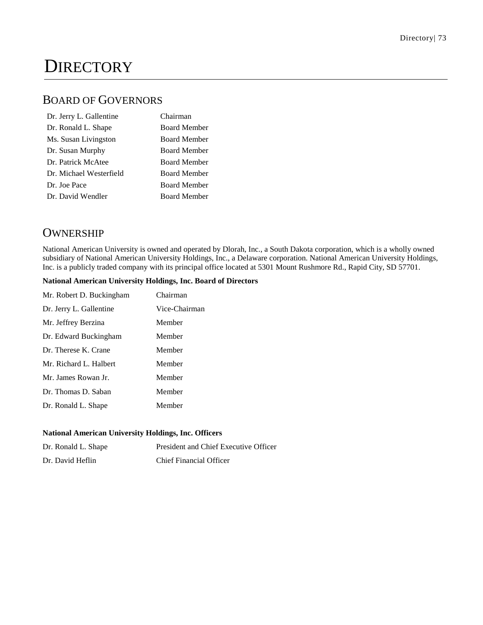# **DIRECTORY**

# BOARD OF GOVERNORS

| Dr. Jerry L. Gallentine | Chairman            |
|-------------------------|---------------------|
| Dr. Ronald L. Shape     | <b>Board Member</b> |
| Ms. Susan Livingston    | <b>Board Member</b> |
| Dr. Susan Murphy        | <b>Board Member</b> |
| Dr. Patrick McAtee      | <b>Board Member</b> |
| Dr. Michael Westerfield | <b>Board Member</b> |
| Dr. Joe Pace            | <b>Board Member</b> |
| Dr. David Wendler       | <b>Board Member</b> |

# **OWNERSHIP**

National American University is owned and operated by Dlorah, Inc., a South Dakota corporation, which is a wholly owned subsidiary of National American University Holdings, Inc., a Delaware corporation. National American University Holdings, Inc. is a publicly traded company with its principal office located at 5301 Mount Rushmore Rd., Rapid City, SD 57701.

#### **National American University Holdings, Inc. Board of Directors**

| Mr. Robert D. Buckingham | Chairman      |
|--------------------------|---------------|
| Dr. Jerry L. Gallentine  | Vice-Chairman |
| Mr. Jeffrey Berzina      | Member        |
| Dr. Edward Buckingham    | Member        |
| Dr. Therese K. Crane     | Member        |
| Mr. Richard L. Halbert   | Member        |
| Mr. James Rowan Jr.      | Member        |
| Dr. Thomas D. Saban      | Member        |
| Dr. Ronald L. Shape      | Member        |

#### **National American University Holdings, Inc. Officers**

| Dr. Ronald L. Shape | President and Chief Executive Officer |
|---------------------|---------------------------------------|
| Dr. David Heflin    | <b>Chief Financial Officer</b>        |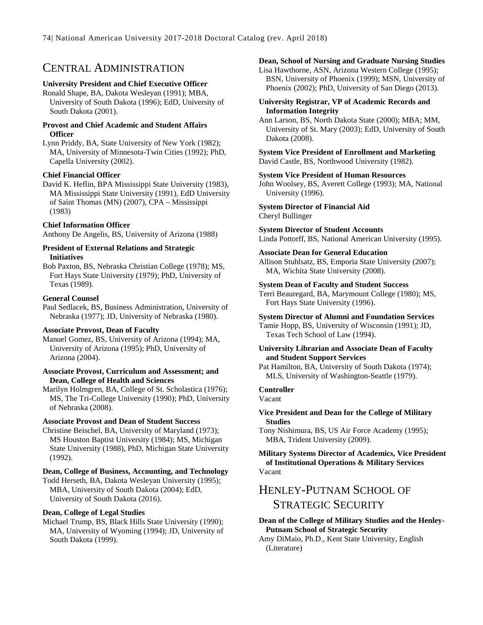# CENTRAL ADMINISTRATION

#### **University President and Chief Executive Officer**

Ronald Shape, BA, Dakota Wesleyan (1991); MBA, University of South Dakota (1996); EdD, University of South Dakota (2001).

#### **Provost and Chief Academic and Student Affairs Officer**

Lynn Priddy, BA, State University of New York (1982); MA, University of Minnesota-Twin Cities (1992); PhD, Capella University (2002).

#### **Chief Financial Officer**

David K. Heflin, BPA Mississippi State University (1983), MA Mississippi State University (1991), EdD University of Saint Thomas (MN) (2007), CPA – Mississippi (1983)

#### **Chief Information Officer**

Anthony De Angelis, BS, University of Arizona (1988)

#### **President of External Relations and Strategic Initiatives**

Bob Paxton, BS, Nebraska Christian College (1978); MS, Fort Hays State University (1979); PhD, University of Texas (1989).

#### **General Counsel**

Paul Sedlacek, BS, Business Administration, University of Nebraska (1977); JD, University of Nebraska (1980).

#### **Associate Provost, Dean of Faculty**

Manuel Gomez, BS, University of Arizona (1994); MA, University of Arizona (1995); PhD, University of Arizona (2004).

#### **Associate Provost, Curriculum and Assessment; and Dean, College of Health and Sciences**

Marilyn Holmgren, BA, College of St. Scholastica (1976); MS, The Tri-College University (1990); PhD, University of Nebraska (2008).

#### **Associate Provost and Dean of Student Success**

Christine Beischel, BA, University of Maryland (1973); MS Houston Baptist University (1984); MS, Michigan State University (1988), PhD, Michigan State University (1992).

#### **Dean, College of Business, Accounting, and Technology**

Todd Herseth, BA, Dakota Wesleyan University (1995); MBA, University of South Dakota (2004); EdD, University of South Dakota (2016).

#### **Dean, College of Legal Studies**

Michael Trump, BS, Black Hills State University (1990); MA, University of Wyoming (1994); JD, University of South Dakota (1999).

#### **Dean, School of Nursing and Graduate Nursing Studies**

Lisa Hawthorne, ASN, Arizona Western College (1995); BSN, University of Phoenix (1999); MSN, University of Phoenix (2002); PhD, University of San Diego (2013).

#### **University Registrar, VP of Academic Records and Information Integrity**

Ann Larson, BS, North Dakota State (2000); MBA; MM, University of St. Mary (2003); EdD, University of South Dakota (2008).

**System Vice President of Enrollment and Marketing**  David Castle, BS, Northwood University (1982).

#### **System Vice President of Human Resources**

John Woolsey, BS, Averett College (1993); MA, National University (1996).

**System Director of Financial Aid** Cheryl Bullinger

**System Director of Student Accounts**

Linda Pottorff, BS, National American University (1995).

#### **Associate Dean for General Education**

Allison Stuhlsatz, BS, Emporia State University (2007); MA, Wichita State University (2008).

#### **System Dean of Faculty and Student Success**

Terri Beauregard, BA, Marymount College (1980); MS, Fort Hays State University (1996).

#### **System Director of Alumni and Foundation Services**

Tamie Hopp, BS, University of Wisconsin (1991); JD, Texas Tech School of Law (1994).

#### **University Librarian and Associate Dean of Faculty and Student Support Services**

Pat Hamilton, BA, University of South Dakota (1974); MLS, University of Washington-Seattle (1979).

#### **Controller**

Vacant

#### **Vice President and Dean for the College of Military Studies**

Tony Nishimura, BS, US Air Force Academy (1995); MBA, Trident University (2009).

#### **Military Systems Director of Academics, Vice President of Institutional Operations & Military Services** Vacant

# HENLEY-PUTNAM SCHOOL OF STRATEGIC SECURITY

**Dean of the College of Military Studies and the Henley-Putnam School of Strategic Security**

Amy DiMaio, Ph.D., Kent State University, English (Literature)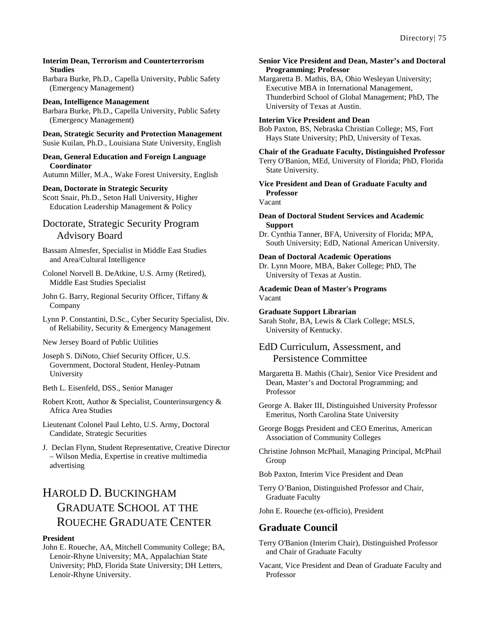#### **Interim Dean, Terrorism and Counterterrorism Studies**

Barbara Burke, Ph.D., Capella University, Public Safety (Emergency Management)

## **Dean, Intelligence Management**

Barbara Burke, Ph.D., Capella University, Public Safety (Emergency Management)

**Dean, Strategic Security and Protection Management** Susie Kuilan, Ph.D., Louisiana State University, English

#### **Dean, General Education and Foreign Language Coordinator**

Autumn Miller, M.A., Wake Forest University, English

#### **Dean, Doctorate in Strategic Security**

Scott Snair, Ph.D., Seton Hall University, Higher Education Leadership Management & Policy

### Doctorate, Strategic Security Program Advisory Board

Bassam Almesfer, Specialist in Middle East Studies and Area/Cultural Intelligence

Colonel Norvell B. DeAtkine, U.S. Army (Retired), Middle East Studies Specialist

John G. Barry, Regional Security Officer, Tiffany & Company

Lynn P. Constantini, D.Sc., Cyber Security Specialist, Div. of Reliability, Security & Emergency Management

New Jersey Board of Public Utilities

Joseph S. DiNoto, Chief Security Officer, U.S. Government, Doctoral Student, Henley-Putnam University

Beth L. Eisenfeld, DSS., Senior Manager

Robert Krott, Author & Specialist, Counterinsurgency & Africa Area Studies

Lieutenant Colonel Paul Lehto, U.S. Army, Doctoral Candidate, Strategic Securities

J. Declan Flynn, Student Representative, Creative Director – Wilson Media, Expertise in creative multimedia advertising

# HAROLD D. BUCKINGHAM GRADUATE SCHOOL AT THE ROUECHE GRADUATE CENTER

#### **President**

John E. Roueche, AA, Mitchell Community College; BA, Lenoir-Rhyne University; MA, Appalachian State University; PhD, Florida State University; DH Letters, Lenoir-Rhyne University.

#### **Senior Vice President and Dean, Master's and Doctoral Programming; Professor**

Margaretta B. Mathis, BA, Ohio Wesleyan University; Executive MBA in International Management, Thunderbird School of Global Management; PhD, The University of Texas at Austin.

#### **Interim Vice President and Dean**

Bob Paxton, BS, Nebraska Christian College; MS, Fort Hays State University; PhD, University of Texas.

#### **Chair of the Graduate Faculty, Distinguished Professor**

Terry O'Banion, MEd, University of Florida; PhD, Florida State University.

**Vice President and Dean of Graduate Faculty and Professor**

Vacant

#### **Dean of Doctoral Student Services and Academic Support**

Dr. Cynthia Tanner, BFA, University of Florida; MPA, South University; EdD, National American University.

#### **Dean of Doctoral Academic Operations**

Dr. Lynn Moore, MBA, Baker College; PhD, The University of Texas at Austin.

#### **Academic Dean of Master's Programs** Vacant

**Graduate Support Librarian**

Sarah Stohr, BA, Lewis & Clark College; MSLS, University of Kentucky.

### EdD Curriculum, Assessment, and Persistence Committee

Margaretta B. Mathis (Chair), Senior Vice President and Dean, Master's and Doctoral Programming; and Professor

George A. Baker III, Distinguished University Professor Emeritus, North Carolina State University

George Boggs President and CEO Emeritus, American Association of Community Colleges

Christine Johnson McPhail, Managing Principal, McPhail Group

Bob Paxton, Interim Vice President and Dean

Terry O'Banion, Distinguished Professor and Chair, Graduate Faculty

John E. Roueche (ex-officio), President

### **Graduate Council**

- Terry O'Banion (Interim Chair), Distinguished Professor and Chair of Graduate Faculty
- Vacant, Vice President and Dean of Graduate Faculty and Professor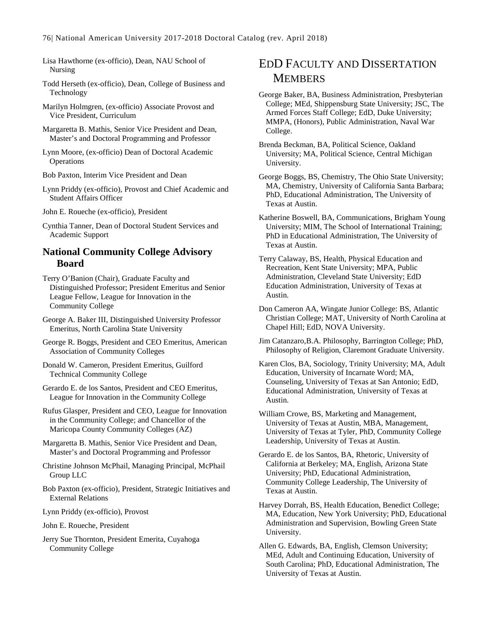Lisa Hawthorne (ex-officio), Dean, NAU School of Nursing

Todd Herseth (ex-officio), Dean, College of Business and Technology

Marilyn Holmgren, (ex-officio) Associate Provost and Vice President, Curriculum

Margaretta B. Mathis, Senior Vice President and Dean, Master's and Doctoral Programming and Professor

Lynn Moore, (ex-officio) Dean of Doctoral Academic **Operations** 

Bob Paxton, Interim Vice President and Dean

Lynn Priddy (ex-officio), Provost and Chief Academic and Student Affairs Officer

John E. Roueche (ex-officio), President

Cynthia Tanner, Dean of Doctoral Student Services and Academic Support

### **National Community College Advisory Board**

Terry O'Banion (Chair), Graduate Faculty and Distinguished Professor; President Emeritus and Senior League Fellow, League for Innovation in the Community College

Donald W. Cameron, President Emeritus, Guilford Technical Community College

Gerardo E. de los Santos, President and CEO Emeritus, League for Innovation in the Community College

Rufus Glasper, President and CEO, League for Innovation in the Community College; and Chancellor of the Maricopa County Community Colleges (AZ)

Margaretta B. Mathis, Senior Vice President and Dean, Master's and Doctoral Programming and Professor

Christine Johnson McPhail, Managing Principal, McPhail Group LLC

Bob Paxton (ex-officio), President, Strategic Initiatives and External Relations

Lynn Priddy (ex-officio), Provost

John E. Roueche, President

Jerry Sue Thornton, President Emerita, Cuyahoga Community College

# EDD FACULTY AND DISSERTATION **MEMBERS**

George Baker, BA, Business Administration, Presbyterian College; MEd, Shippensburg State University; JSC, The Armed Forces Staff College; EdD, Duke University; MMPA, (Honors), Public Administration, Naval War College.

Brenda Beckman, BA, Political Science, Oakland University; MA, Political Science, Central Michigan University.

George Boggs, BS, Chemistry, The Ohio State University; MA, Chemistry, University of California Santa Barbara; PhD, Educational Administration, The University of Texas at Austin.

Katherine Boswell, BA, Communications, Brigham Young University; MIM, The School of International Training; PhD in Educational Administration, The University of Texas at Austin.

Terry Calaway, BS, Health, Physical Education and Recreation, Kent State University; MPA, Public Administration, Cleveland State University; EdD Education Administration, University of Texas at Austin.

Don Cameron AA, Wingate Junior College: BS, Atlantic Christian College; MAT, University of North Carolina at Chapel Hill; EdD, NOVA University.

Jim Catanzaro,B.A. Philosophy, Barrington College; PhD, Philosophy of Religion, Claremont Graduate University.

Karen Clos, BA, Sociology, Trinity University; MA, Adult Education, University of Incarnate Word; MA, Counseling, University of Texas at San Antonio; EdD, Educational Administration, University of Texas at Austin.

William Crowe, BS, Marketing and Management, University of Texas at Austin, MBA, Management, University of Texas at Tyler, PhD, Community College Leadership, University of Texas at Austin.

Gerardo E. de los Santos, BA, Rhetoric, University of California at Berkeley; MA, English, Arizona State University; PhD, Educational Administration, Community College Leadership, The University of Texas at Austin.

Harvey Dorrah, BS, Health Education, Benedict College; MA, Education, New York University; PhD, Educational Administration and Supervision, Bowling Green State University.

Allen G. Edwards, BA, English, Clemson University; MEd, Adult and Continuing Education, University of South Carolina; PhD, Educational Administration, The University of Texas at Austin.

George A. Baker III, Distinguished University Professor Emeritus, North Carolina State University

George R. Boggs, President and CEO Emeritus, American Association of Community Colleges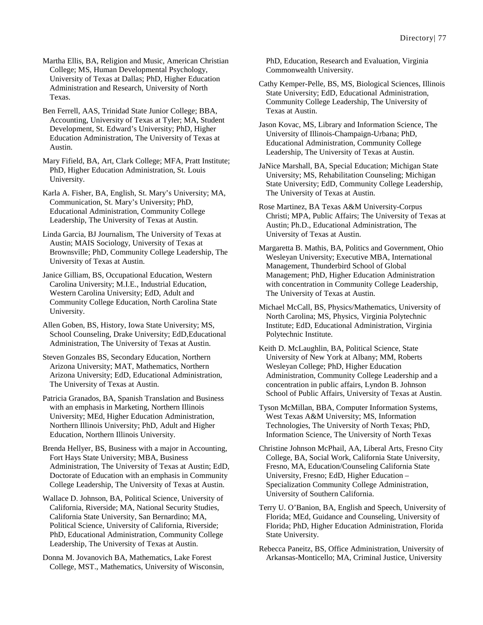Martha Ellis, BA, Religion and Music, American Christian College; MS, Human Developmental Psychology, University of Texas at Dallas; PhD, Higher Education Administration and Research, University of North Texas.

Ben Ferrell, AAS, Trinidad State Junior College; BBA, Accounting, University of Texas at Tyler; MA, Student Development, St. Edward's University; PhD, Higher Education Administration, The University of Texas at Austin.

Mary Fifield, BA, Art, Clark College; MFA, Pratt Institute; PhD, Higher Education Administration, St. Louis University.

Karla A. Fisher, BA, English, St. Mary's University; MA, Communication, St. Mary's University; PhD, Educational Administration, Community College Leadership, The University of Texas at Austin.

Linda Garcia, BJ Journalism, The University of Texas at Austin; MAIS Sociology, University of Texas at Brownsville; PhD, Community College Leadership, The University of Texas at Austin.

Janice Gilliam, BS, Occupational Education, Western Carolina University; M.I.E., Industrial Education, Western Carolina University; EdD, Adult and Community College Education, North Carolina State University.

Allen Goben, BS, History, Iowa State University; MS, School Counseling, Drake University; EdD,Educational Administration, The University of Texas at Austin.

Steven Gonzales BS, Secondary Education, Northern Arizona University; MAT, Mathematics, Northern Arizona University; EdD, Educational Administration, The University of Texas at Austin.

Patricia Granados, BA, Spanish Translation and Business with an emphasis in Marketing, Northern Illinois University; MEd, Higher Education Administration, Northern Illinois University; PhD, Adult and Higher Education, Northern Illinois University.

Brenda Hellyer, BS, Business with a major in Accounting, Fort Hays State University; MBA, Business Administration, The University of Texas at Austin; EdD, Doctorate of Education with an emphasis in Community College Leadership, The University of Texas at Austin.

Wallace D. Johnson, BA, Political Science, University of California, Riverside; MA, National Security Studies, California State University, San Bernardino; MA, Political Science, University of California, Riverside; PhD, Educational Administration, Community College Leadership, The University of Texas at Austin.

Donna M. Jovanovich BA, Mathematics, Lake Forest College, MST., Mathematics, University of Wisconsin, PhD, Education, Research and Evaluation, Virginia Commonwealth University.

Cathy Kemper-Pelle, BS, MS, Biological Sciences, Illinois State University; EdD, Educational Administration, Community College Leadership, The University of Texas at Austin.

Jason Kovac, MS, Library and Information Science, The University of Illinois-Champaign-Urbana; PhD, Educational Administration, Community College Leadership, The University of Texas at Austin.

JaNice Marshall, BA, Special Education; Michigan State University; MS, Rehabilitation Counseling; Michigan State University; EdD, Community College Leadership, The University of Texas at Austin.

Rose Martinez, BA Texas A&M University-Corpus Christi; MPA, Public Affairs; The University of Texas at Austin; Ph.D., Educational Administration, The University of Texas at Austin.

Margaretta B. Mathis, BA, Politics and Government, Ohio Wesleyan University; Executive MBA, International Management, Thunderbird School of Global Management; PhD, Higher Education Administration with concentration in Community College Leadership, The University of Texas at Austin.

Michael McCall, BS, Physics/Mathematics, University of North Carolina; MS, Physics, Virginia Polytechnic Institute; EdD, Educational Administration, Virginia Polytechnic Institute.

Keith D. McLaughlin, BA, Political Science, State University of New York at Albany; MM, Roberts Wesleyan College; PhD, Higher Education Administration, Community College Leadership and a concentration in public affairs, Lyndon B. Johnson School of Public Affairs, University of Texas at Austin.

Tyson McMillan, BBA, Computer Information Systems, West Texas A&M University; MS, Information Technologies, The University of North Texas; PhD, Information Science, The University of North Texas

Christine Johnson McPhail, AA, Liberal Arts, Fresno City College, BA, Social Work, California State University, Fresno, MA, Education/Counseling California State University, Fresno; EdD, Higher Education – Specialization Community College Administration, University of Southern California.

Terry U. O'Banion, BA, English and Speech, University of Florida; MEd, Guidance and Counseling, University of Florida; PhD, Higher Education Administration, Florida State University.

Rebecca Paneitz, BS, Office Administration, University of Arkansas-Monticello; MA, Criminal Justice, University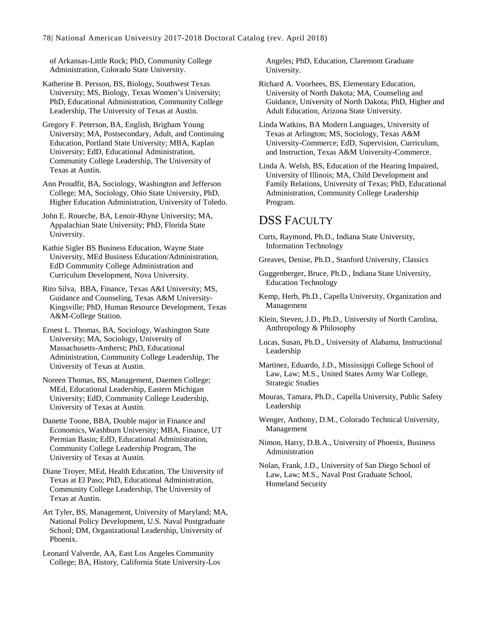of Arkansas-Little Rock; PhD, Community College Administration, Colorado State University.

Katherine B. Persson, BS, Biology, Southwest Texas University; MS, Biology, Texas Women's University; PhD, Educational Administration, Community College Leadership, The University of Texas at Austin.

Gregory F. Peterson, BA, English, Brigham Young University; MA, Postsecondary, Adult, and Continuing Education, Portland State University; MBA, Kaplan University; EdD, Educational Administration, Community College Leadership, The University of Texas at Austin.

Ann Proudfit, BA, Sociology, Washington and Jefferson College; MA, Sociology, Ohio State University, PhD, Higher Education Administration, University of Toledo.

John E. Roueche, BA, Lenoir-Rhyne University; MA, Appalachian State University; PhD, Florida State University.

Kathie Sigler BS Business Education, Wayne State University, MEd Business Education/Administration, EdD Community College Administration and Curriculum Development, Nova University.

Rito Silva, BBA, Finance, Texas A&I University; MS, Guidance and Counseling, Texas A&M University-Kingsville; PhD, Human Resource Development, Texas A&M-College Station.

Ernest L. Thomas, BA, Sociology, Washington State University; MA, Sociology, University of Massachusetts-Amherst; PhD, Educational Administration, Community College Leadership, The University of Texas at Austin.

Noreen Thomas, BS, Management, Daemen College; MEd, Educational Leadership, Eastern Michigan University; EdD, Community College Leadership, University of Texas at Austin.

Danette Toone, BBA, Double major in Finance and Economics, Washburn University; MBA, Finance, UT Permian Basin; EdD, Educational Administration, Community College Leadership Program, The University of Texas at Austin.

Diane Troyer, MEd, Health Education, The University of Texas at El Paso; PhD, Educational Administration, Community College Leadership, The University of Texas at Austin.

Art Tyler, BS, Management, University of Maryland; MA, National Policy Development, U.S. Naval Postgraduate School; DM, Organizational Leadership, University of Phoenix.

Leonard Valverde, AA, East Los Angeles Community College; BA, History, California State University-Los Angeles; PhD, Education, Claremont Graduate University.

Richard A. Voorhees, BS, Elementary Education, University of North Dakota; MA, Counseling and Guidance, University of North Dakota; PhD, Higher and Adult Education, Arizona State University.

Linda Watkins, BA Modern Languages, University of Texas at Arlington; MS, Sociology, Texas A&M University-Commerce; EdD, Supervision, Curriculum, and Instruction, Texas A&M University-Commerce.

Linda A. Welsh, BS, Education of the Hearing Impaired, University of Illinois; MA, Child Development and Family Relations, University of Texas; PhD, Educational Administration, Community College Leadership Program.

# DSS FACULTY

- Curts, Raymond, Ph.D., Indiana State University, Information Technology
- Greaves, Denise, Ph.D., Stanford University, Classics
- Guggenberger, Bruce, Ph.D., Indiana State University, Education Technology

Kemp, Herb, Ph.D., Capella University, Organization and Management

Klein, Steven, J.D., Ph.D., University of North Carolina, Anthropology & Philosophy

Lucas, Susan, Ph.D., University of Alabama, Instructional Leadership

Martinez, Eduardo, J.D., Mississippi College School of Law, Law; M.S., United States Army War College, Strategic Studies

Mouras, Tamara, Ph.D., Capella University, Public Safety Leadership

Wenger, Anthony, D.M., Colorado Technical University, Management

Nimon, Harry, D.B.A., University of Phoenix, Business Administration

Nolan, Frank, J.D., University of San Diego School of Law, Law; M.S., Naval Post Graduate School, Homeland Security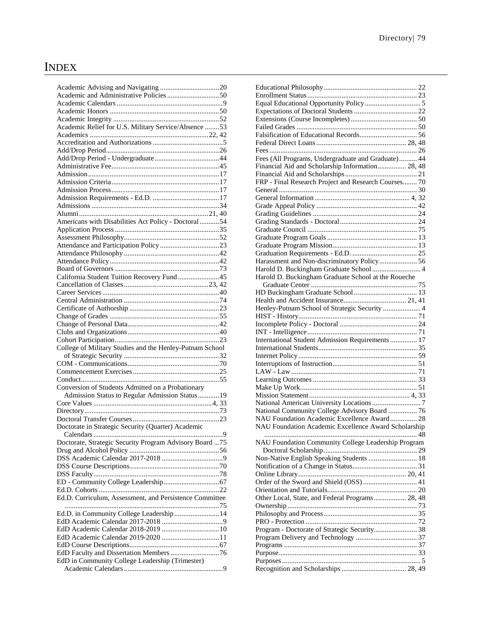# INDEX

| Academic and Administrative Policies 50                  |  |
|----------------------------------------------------------|--|
|                                                          |  |
|                                                          |  |
|                                                          |  |
| Academic Relief for U.S. Military Service/Absence 53     |  |
|                                                          |  |
|                                                          |  |
|                                                          |  |
|                                                          |  |
|                                                          |  |
|                                                          |  |
|                                                          |  |
|                                                          |  |
|                                                          |  |
|                                                          |  |
|                                                          |  |
| Americans with Disabilities Act Policy - Doctoral54      |  |
|                                                          |  |
|                                                          |  |
|                                                          |  |
|                                                          |  |
|                                                          |  |
|                                                          |  |
| California Student Tuition Recovery Fund 45              |  |
|                                                          |  |
|                                                          |  |
|                                                          |  |
|                                                          |  |
|                                                          |  |
|                                                          |  |
|                                                          |  |
|                                                          |  |
| College of Military Studies and the Henley-Putnam School |  |
|                                                          |  |
|                                                          |  |
|                                                          |  |
|                                                          |  |
| Conversion of Students Admitted on a Probationary        |  |
|                                                          |  |
| Admission Status to Regular Admission Status19           |  |
|                                                          |  |
|                                                          |  |
|                                                          |  |
| Doctorate in Strategic Security (Quarter) Academic       |  |
|                                                          |  |
| Doctorate, Strategic Security Program Advisory Board  75 |  |
|                                                          |  |
|                                                          |  |
|                                                          |  |
|                                                          |  |
|                                                          |  |
|                                                          |  |
| Ed.D. Curriculum, Assessment, and Persistence Committee  |  |
|                                                          |  |
| Ed.D. in Community College Leadership 14                 |  |
|                                                          |  |
|                                                          |  |
|                                                          |  |
| EdD Academic Calendar 2019-2020 11                       |  |
|                                                          |  |
|                                                          |  |
| EdD Faculty and Dissertation Members 76                  |  |
| EdD in Community College Leadership (Trimester)          |  |

| Fees (All Programs, Undergraduate and Graduate) 44   |
|------------------------------------------------------|
| Financial Aid and Scholarship Information 28, 48     |
|                                                      |
| FRP - Final Research Project and Research Courses 70 |
|                                                      |
|                                                      |
|                                                      |
|                                                      |
|                                                      |
|                                                      |
|                                                      |
|                                                      |
|                                                      |
| Harassment and Non-discriminatory Policy  56         |
| Harold D. Buckingham Graduate School  4              |
| Harold D. Buckingham Graduate School at the Roueche  |
|                                                      |
|                                                      |
|                                                      |
| Henley-Putnam School of Strategic Security  4        |
|                                                      |
|                                                      |
| International Student Admission Requirements  17     |
|                                                      |
|                                                      |
|                                                      |
|                                                      |
|                                                      |
|                                                      |
|                                                      |
|                                                      |
|                                                      |
|                                                      |
| National Community College Advisory Board  76        |
| NAU Foundation Academic Excellence Award 28          |
| NAU Foundation Academic Excellence Award Scholarship |
|                                                      |
| NAU Foundation Community College Leadership Program  |
|                                                      |
| Non-Native English Speaking Students  18             |
|                                                      |
|                                                      |
| Order of the Sword and Shield (OSS) 41               |
|                                                      |
| Other Local, State, and Federal Programs 28, 48      |
|                                                      |
|                                                      |
| Program - Doctorate of Strategic Security 38         |
|                                                      |
|                                                      |
|                                                      |
|                                                      |